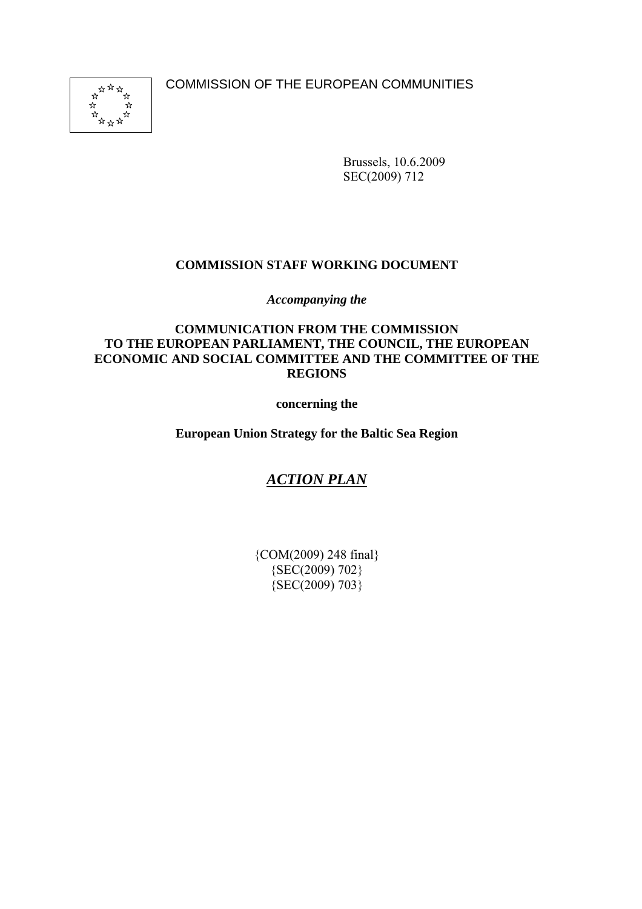COMMISSION OF THE EUROPEAN COMMUNITIES



Brussels, 10.6.2009 SEC(2009) 712

# **COMMISSION STAFF WORKING DOCUMENT**

*Accompanying the* 

# **COMMUNICATION FROM THE COMMISSION TO THE EUROPEAN PARLIAMENT, THE COUNCIL, THE EUROPEAN ECONOMIC AND SOCIAL COMMITTEE AND THE COMMITTEE OF THE REGIONS**

**concerning the** 

**European Union Strategy for the Baltic Sea Region** 

# *ACTION PLAN*

{COM(2009) 248 final} {SEC(2009) 702} {SEC(2009) 703}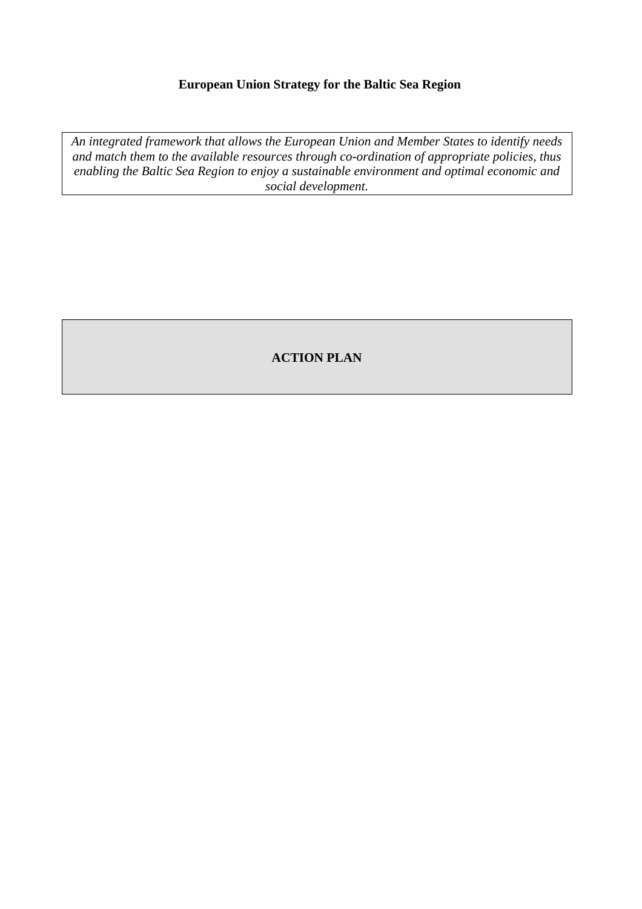# **European Union Strategy for the Baltic Sea Region**

*An integrated framework that allows the European Union and Member States to identify needs and match them to the available resources through co-ordination of appropriate policies, thus enabling the Baltic Sea Region to enjoy a sustainable environment and optimal economic and social development.* 

# **ACTION PLAN**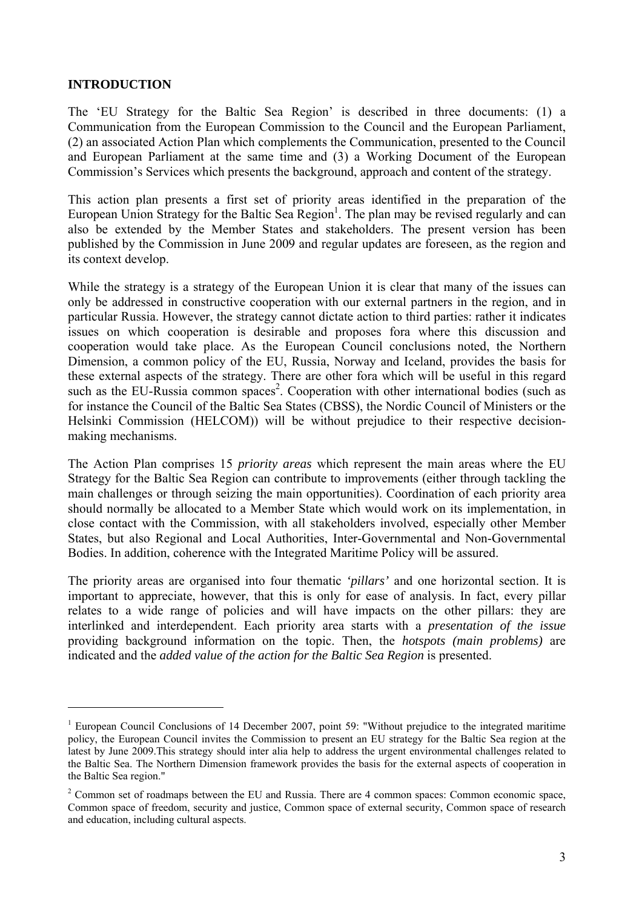### <span id="page-2-0"></span>**INTRODUCTION**

 $\overline{a}$ 

The 'EU Strategy for the Baltic Sea Region' is described in three documents: (1) a Communication from the European Commission to the Council and the European Parliament, (2) an associated Action Plan which complements the Communication, presented to the Council and European Parliament at the same time and (3) a Working Document of the European Commission's Services which presents the background, approach and content of the strategy.

This action plan presents a first set of priority areas identified in the preparation of the European Union Strategy for the Baltic Sea Region<sup>1</sup>. The plan may be revised regularly and can also be extended by the Member States and stakeholders. The present version has been published by the Commission in June 2009 and regular updates are foreseen, as the region and its context develop.

While the strategy is a strategy of the European Union it is clear that many of the issues can only be addressed in constructive cooperation with our external partners in the region, and in particular Russia. However, the strategy cannot dictate action to third parties: rather it indicates issues on which cooperation is desirable and proposes fora where this discussion and cooperation would take place. As the European Council conclusions noted, the Northern Dimension, a common policy of the EU, Russia, Norway and Iceland, provides the basis for these external aspects of the strategy. There are other fora which will be useful in this regard such as the EU-Russia common spaces<sup>2</sup>. Cooperation with other international bodies (such as for instance the Council of the Baltic Sea States (CBSS), the Nordic Council of Ministers or the Helsinki Commission (HELCOM)) will be without prejudice to their respective decisionmaking mechanisms.

The Action Plan comprises 15 *priority areas* which represent the main areas where the EU Strategy for the Baltic Sea Region can contribute to improvements (either through tackling the main challenges or through seizing the main opportunities). Coordination of each priority area should normally be allocated to a Member State which would work on its implementation, in close contact with the Commission, with all stakeholders involved, especially other Member States, but also Regional and Local Authorities, Inter-Governmental and Non-Governmental Bodies. In addition, coherence with the Integrated Maritime Policy will be assured.

The priority areas are organised into four thematic *'pillars'* and one horizontal section. It is important to appreciate, however, that this is only for ease of analysis. In fact, every pillar relates to a wide range of policies and will have impacts on the other pillars: they are interlinked and interdependent. Each priority area starts with a *presentation of the issue* providing background information on the topic. Then, the *hotspots (main problems)* are indicated and the *added value of the action for the Baltic Sea Region* is presented.

<sup>&</sup>lt;sup>1</sup> European Council Conclusions of 14 December 2007, point 59: "Without prejudice to the integrated maritime policy, the European Council invites the Commission to present an EU strategy for the Baltic Sea region at the latest by June 2009.This strategy should inter alia help to address the urgent environmental challenges related to the Baltic Sea. The Northern Dimension framework provides the basis for the external aspects of cooperation in the Baltic Sea region."

 $2$  Common set of roadmaps between the EU and Russia. There are 4 common spaces: Common economic space, Common space of freedom, security and justice, Common space of external security, Common space of research and education, including cultural aspects.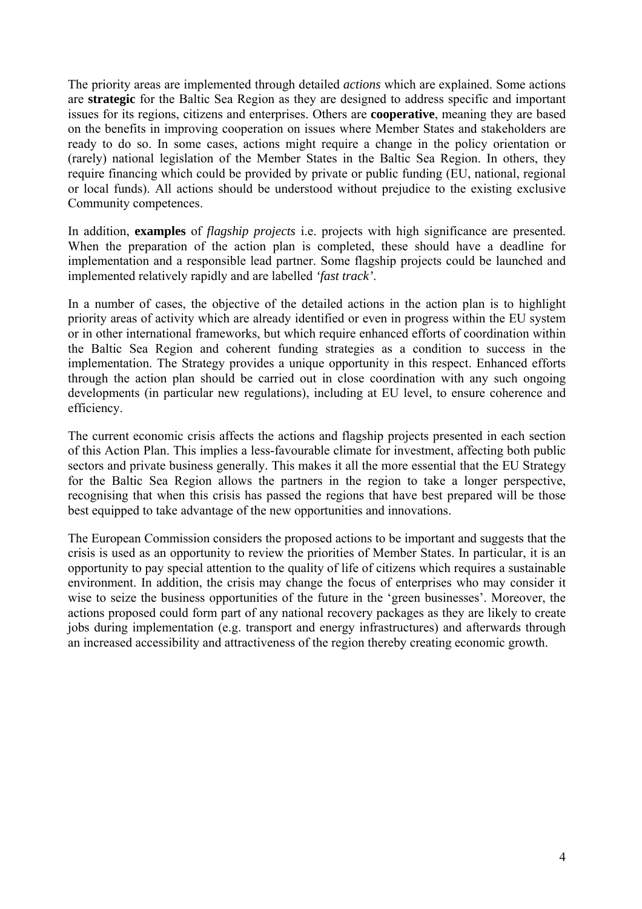The priority areas are implemented through detailed *actions* which are explained. Some actions are **strategic** for the Baltic Sea Region as they are designed to address specific and important issues for its regions, citizens and enterprises. Others are **cooperative**, meaning they are based on the benefits in improving cooperation on issues where Member States and stakeholders are ready to do so. In some cases, actions might require a change in the policy orientation or (rarely) national legislation of the Member States in the Baltic Sea Region. In others, they require financing which could be provided by private or public funding (EU, national, regional or local funds). All actions should be understood without prejudice to the existing exclusive Community competences.

In addition, **examples** of *flagship projects* i.e. projects with high significance are presented. When the preparation of the action plan is completed, these should have a deadline for implementation and a responsible lead partner. Some flagship projects could be launched and implemented relatively rapidly and are labelled *'fast track'*.

In a number of cases, the objective of the detailed actions in the action plan is to highlight priority areas of activity which are already identified or even in progress within the EU system or in other international frameworks, but which require enhanced efforts of coordination within the Baltic Sea Region and coherent funding strategies as a condition to success in the implementation. The Strategy provides a unique opportunity in this respect. Enhanced efforts through the action plan should be carried out in close coordination with any such ongoing developments (in particular new regulations), including at EU level, to ensure coherence and efficiency.

The current economic crisis affects the actions and flagship projects presented in each section of this Action Plan. This implies a less-favourable climate for investment, affecting both public sectors and private business generally. This makes it all the more essential that the EU Strategy for the Baltic Sea Region allows the partners in the region to take a longer perspective, recognising that when this crisis has passed the regions that have best prepared will be those best equipped to take advantage of the new opportunities and innovations.

The European Commission considers the proposed actions to be important and suggests that the crisis is used as an opportunity to review the priorities of Member States. In particular, it is an opportunity to pay special attention to the quality of life of citizens which requires a sustainable environment. In addition, the crisis may change the focus of enterprises who may consider it wise to seize the business opportunities of the future in the 'green businesses'. Moreover, the actions proposed could form part of any national recovery packages as they are likely to create jobs during implementation (e.g. transport and energy infrastructures) and afterwards through an increased accessibility and attractiveness of the region thereby creating economic growth.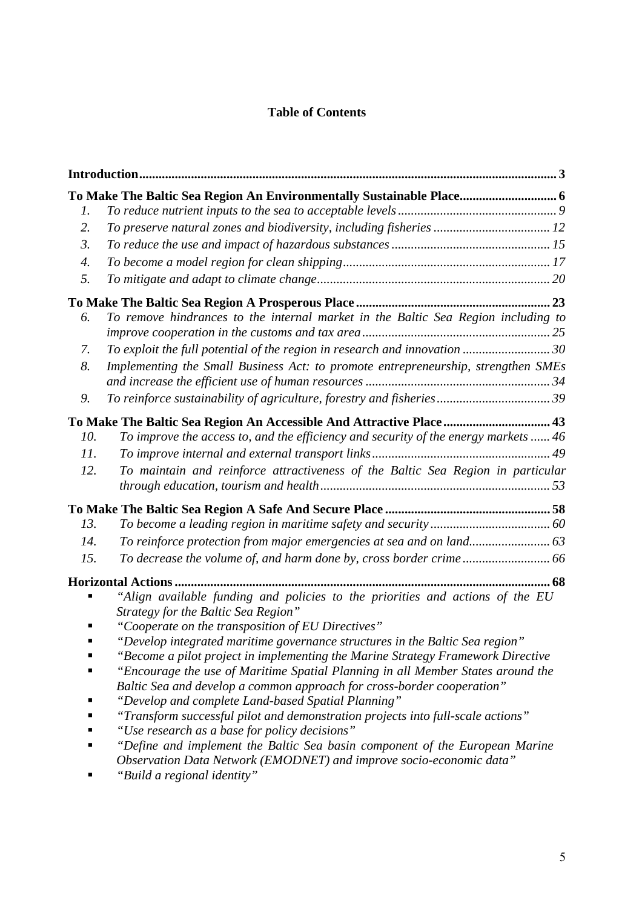# **Table of Contents**

|                  | To Make The Baltic Sea Region An Environmentally Sustainable Place 6                                                         |
|------------------|------------------------------------------------------------------------------------------------------------------------------|
| 1.               |                                                                                                                              |
| 2.               | To preserve natural zones and biodiversity, including fisheries  12                                                          |
| $\mathfrak{Z}$ . |                                                                                                                              |
| 4.               |                                                                                                                              |
| 5.               |                                                                                                                              |
|                  |                                                                                                                              |
| 6.               | To remove hindrances to the internal market in the Baltic Sea Region including to                                            |
|                  |                                                                                                                              |
| 7.               | To exploit the full potential of the region in research and innovation  30                                                   |
| 8.               | Implementing the Small Business Act: to promote entrepreneurship, strengthen SMEs                                            |
| 9.               |                                                                                                                              |
|                  | To Make The Baltic Sea Region An Accessible And Attractive Place 43                                                          |
| 10.              | To improve the access to, and the efficiency and security of the energy markets  46                                          |
| 11.              |                                                                                                                              |
| 12.              | To maintain and reinforce attractiveness of the Baltic Sea Region in particular                                              |
|                  |                                                                                                                              |
|                  |                                                                                                                              |
| 13.              |                                                                                                                              |
| 14.              | To reinforce protection from major emergencies at sea and on land 63                                                         |
| 15.              |                                                                                                                              |
|                  |                                                                                                                              |
|                  | "Align available funding and policies to the priorities and actions of the EU<br>Strategy for the Baltic Sea Region"         |
|                  | "Cooperate on the transposition of EU Directives"                                                                            |
|                  | "Develop integrated maritime governance structures in the Baltic Sea region"                                                 |
|                  | Become a pilot project in implementing the Marine Strategy Framework Directive                                               |
|                  | "Encourage the use of Maritime Spatial Planning in all Member States around the                                              |
|                  | Baltic Sea and develop a common approach for cross-border cooperation"                                                       |
|                  | "Develop and complete Land-based Spatial Planning"                                                                           |
|                  | "Transform successful pilot and demonstration projects into full-scale actions"                                              |
|                  | "Use research as a base for policy decisions"<br>"Define and implement the Baltic Sea basin component of the European Marine |
|                  | Observation Data Network (EMODNET) and improve socio-economic data"                                                          |
|                  | "Build a regional identity"                                                                                                  |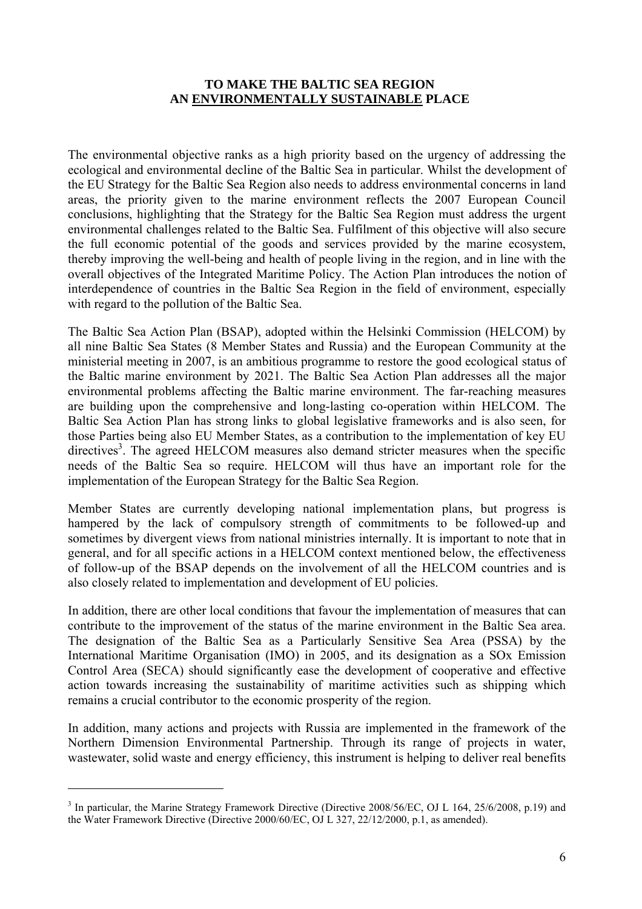### **TO MAKE THE BALTIC SEA REGION AN ENVIRONMENTALLY SUSTAINABLE PLACE**

<span id="page-5-0"></span>The environmental objective ranks as a high priority based on the urgency of addressing the ecological and environmental decline of the Baltic Sea in particular. Whilst the development of the EU Strategy for the Baltic Sea Region also needs to address environmental concerns in land areas, the priority given to the marine environment reflects the 2007 [European Council](http://www.consilium.europa.eu/ueDocs/cms_Data/docs/pressData/en/ec/97669.pdf)  [conclusions,](http://www.consilium.europa.eu/ueDocs/cms_Data/docs/pressData/en/ec/97669.pdf) highlighting that the Strategy for the Baltic Sea Region must address the urgent environmental challenges related to the Baltic Sea. Fulfilment of this objective will also secure the full economic potential of the goods and services provided by the marine ecosystem, thereby improving the well-being and health of people living in the region, and in line with the overall objectives of the Integrated Maritime Policy. The Action Plan introduces the notion of interdependence of countries in the Baltic Sea Region in the field of environment, especially with regard to the pollution of the Baltic Sea.

The Baltic Sea Action Plan (BSAP), adopted within the Helsinki Commission (HELCOM) by all nine Baltic Sea States (8 Member States and Russia) and the European Community at the ministerial meeting in 2007, is an ambitious programme to restore the good ecological status of the Baltic marine environment by 2021. The Baltic Sea Action Plan addresses all the major environmental problems affecting the Baltic marine environment. The far-reaching measures are building upon the comprehensive and long-lasting co-operation within HELCOM. The Baltic Sea Action Plan has strong links to global legislative frameworks and is also seen, for those Parties being also EU Member States, as a contribution to the implementation of key EU directives<sup>3</sup>. The agreed HELCOM measures also demand stricter measures when the specific needs of the Baltic Sea so require. HELCOM will thus have an important role for the implementation of the European Strategy for the Baltic Sea Region.

Member States are currently developing national implementation plans, but progress is hampered by the lack of compulsory strength of commitments to be followed-up and sometimes by divergent views from national ministries internally. It is important to note that in general, and for all specific actions in a HELCOM context mentioned below, the effectiveness of follow-up of the BSAP depends on the involvement of all the HELCOM countries and is also closely related to implementation and development of EU policies.

In addition, there are other local conditions that favour the implementation of measures that can contribute to the improvement of the status of the marine environment in the Baltic Sea area. The designation of the Baltic Sea as a Particularly Sensitive Sea Area (PSSA) by the International Maritime Organisation (IMO) in 2005, and its designation as a SOx Emission Control Area (SECA) should significantly ease the development of cooperative and effective action towards increasing the sustainability of maritime activities such as shipping which remains a crucial contributor to the economic prosperity of the region.

In addition, many actions and projects with Russia are implemented in the framework of the Northern Dimension Environmental Partnership. Through its range of projects in water, wastewater, solid waste and energy efficiency, this instrument is helping to deliver real benefits

<sup>&</sup>lt;sup>3</sup> In particular, the Marine Strategy Framework Directive (Directive 2008/56/EC, OJ L 164, 25/6/2008, p.19) and the Water Framework Directive (Directive 2000/60/EC, OJ L 327, 22/12/2000, p.1, as amended).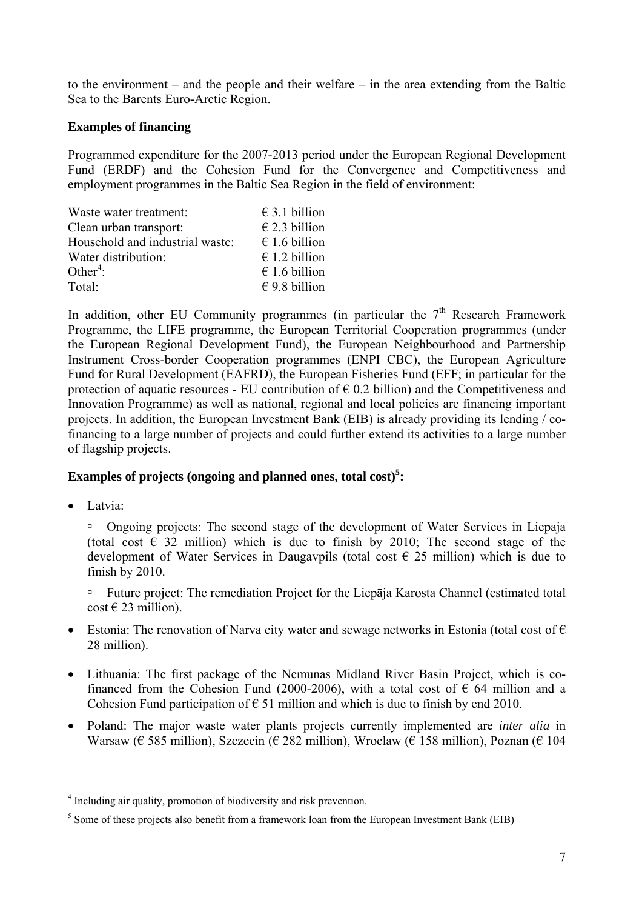to the environment – and the people and their welfare – in the area extending from the Baltic Sea to the Barents Euro-Arctic Region.

# **Examples of financing**

Programmed expenditure for the 2007-2013 period under the European Regional Development Fund (ERDF) and the Cohesion Fund for the Convergence and Competitiveness and employment programmes in the Baltic Sea Region in the field of environment:

| Waste water treatment:          | $\epsilon$ 3.1 billion |
|---------------------------------|------------------------|
| Clean urban transport:          | $\epsilon$ 2.3 billion |
| Household and industrial waste: | $\epsilon$ 1.6 billion |
| Water distribution:             | $\epsilon$ 1.2 billion |
| Other <sup>4</sup> :            | $\epsilon$ 1.6 billion |
| Total:                          | $\epsilon$ 9.8 billion |

In addition, other EU Community programmes (in particular the  $7<sup>th</sup>$  Research Framework Programme, the LIFE programme, the European Territorial Cooperation programmes (under the European Regional Development Fund), the European Neighbourhood and Partnership Instrument Cross-border Cooperation programmes (ENPI CBC), the European Agriculture Fund for Rural Development (EAFRD), the European Fisheries Fund (EFF; in particular for the protection of aquatic resources - EU contribution of  $\epsilon$  0.2 billion) and the Competitiveness and Innovation Programme) as well as national, regional and local policies are financing important projects. In addition, the European Investment Bank (EIB) is already providing its lending / cofinancing to a large number of projects and could further extend its activities to a large number of flagship projects.

# **Examples of projects (ongoing and planned ones, total cost)<sup>5</sup>:**

• Latvia:

 $\overline{a}$ 

à Ongoing projects: The second stage of the development of Water Services in Liepaja (total cost  $\epsilon$  32 million) which is due to finish by 2010; The second stage of the development of Water Services in Daugavpils (total cost  $\epsilon$  25 million) which is due to finish by 2010.

à Future project: The remediation Project for the Liepāja Karosta Channel (estimated total  $\cos t \in 23$  million).

- Estonia: The renovation of Narva city water and sewage networks in Estonia (total cost of  $\epsilon$ ) 28 million).
- Lithuania: The first package of the Nemunas Midland River Basin Project, which is cofinanced from the Cohesion Fund (2000-2006), with a total cost of  $\epsilon$  64 million and a Cohesion Fund participation of  $\epsilon$  51 million and which is due to finish by end 2010.
- Poland: The major waste water plants projects currently implemented are *inter alia* in Warsaw ( $\epsilon$  585 million), Szczecin ( $\epsilon$  282 million), Wroclaw ( $\epsilon$  158 million), Poznan ( $\epsilon$  104

<sup>4</sup> Including air quality, promotion of biodiversity and risk prevention.

 $<sup>5</sup>$  Some of these projects also benefit from a framework loan from the European Investment Bank (EIB)</sup>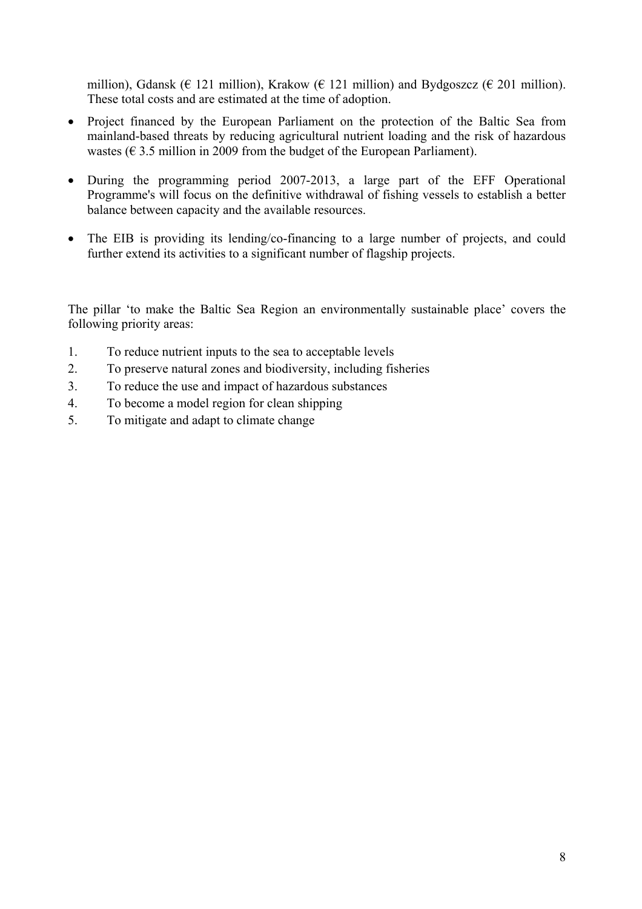million), Gdansk ( $\in$  121 million), Krakow ( $\in$  121 million) and Bydgoszcz ( $\in$  201 million). These total costs and are estimated at the time of adoption.

- Project financed by the European Parliament on the protection of the Baltic Sea from mainland-based threats by reducing agricultural nutrient loading and the risk of hazardous wastes ( $\epsilon$  3.5 million in 2009 from the budget of the European Parliament).
- During the programming period 2007-2013, a large part of the EFF Operational Programme's will focus on the definitive withdrawal of fishing vessels to establish a better balance between capacity and the available resources.
- The EIB is providing its lending/co-financing to a large number of projects, and could further extend its activities to a significant number of flagship projects.

The pillar 'to make the Baltic Sea Region an environmentally sustainable place' covers the following priority areas:

- 1. To reduce nutrient inputs to the sea to acceptable levels
- [2. To preserve natural zones and biodiversity,](#page-11-0) including fisheries
- [3. To reduce the use and impact of hazardous substances](#page-14-0)
- [4. To become a model region for clean shipping](#page-16-0)
- [5. To mitigate and adapt to climate change](#page-19-0)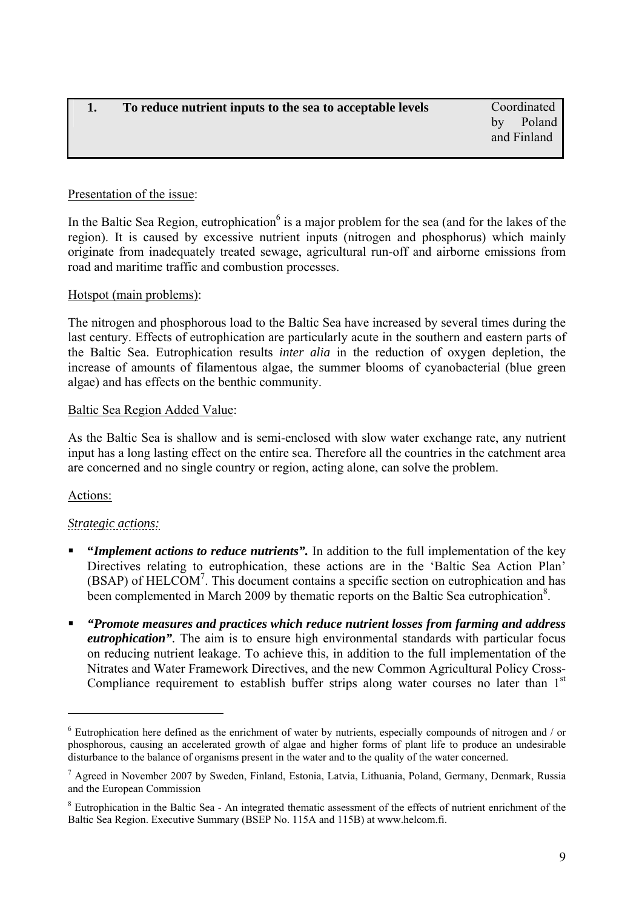by Poland and Finland

# <span id="page-8-0"></span>Presentation of the issue:

In the Baltic Sea Region, eutrophication<sup>6</sup> is a major problem for the sea (and for the lakes of the region). It is caused by excessive nutrient inputs (nitrogen and phosphorus) which mainly originate from inadequately treated sewage, agricultural run-off and airborne emissions from road and maritime traffic and combustion processes.

# Hotspot (main problems):

The nitrogen and phosphorous load to the Baltic Sea have increased by several times during the last century. Effects of eutrophication are particularly acute in the southern and eastern parts of the Baltic Sea. Eutrophication results *inter alia* in the reduction of oxygen depletion, the increase of amounts of filamentous algae, the summer blooms of cyanobacterial (blue green algae) and has effects on the benthic community.

### Baltic Sea Region Added Value:

As the Baltic Sea is shallow and is semi-enclosed with slow water exchange rate, any nutrient input has a long lasting effect on the entire sea. Therefore all the countries in the catchment area are concerned and no single country or region, acting alone, can solve the problem.

# Actions:

 $\overline{a}$ 

# *Strategic actions:*

- **"***Implement actions to reduce nutrients".* In addition to the full implementation of the key Directives relating to eutrophication, these actions are in the 'Baltic Sea Action Plan'  $(BSAP)$  of HELCOM<sup>7</sup>. This document contains a specific section on eutrophication and has been complemented in March 2009 by thematic reports on the Baltic Sea eutrophication<sup>8</sup>.
- *"Promote measures and practices which reduce nutrient losses from farming and address eutrophication".* The aim is to ensure high environmental standards with particular focus on reducing nutrient leakage. To achieve this, in addition to the full implementation of the Nitrates and Water Framework Directives, and the new Common Agricultural Policy Cross-Compliance requirement to establish buffer strips along water courses no later than  $1<sup>st</sup>$

<sup>&</sup>lt;sup>6</sup> Eutrophication here defined as the enrichment of water by nutrients, especially compounds of nitrogen and / or phosphorous, causing an accelerated growth of algae and higher forms of plant life to produce an undesirable disturbance to the balance of organisms present in the water and to the quality of the water concerned.

<sup>&</sup>lt;sup>7</sup> Agreed in November 2007 by Sweden, Finland, Estonia, Latvia, Lithuania, Poland, Germany, Denmark, Russia and the European Commission

<sup>&</sup>lt;sup>8</sup> Eutrophication in the Baltic Sea - An integrated thematic assessment of the effects of nutrient enrichment of the Baltic Sea Region. Executive Summary (BSEP No. 115A and 115B) at www.helcom.fi.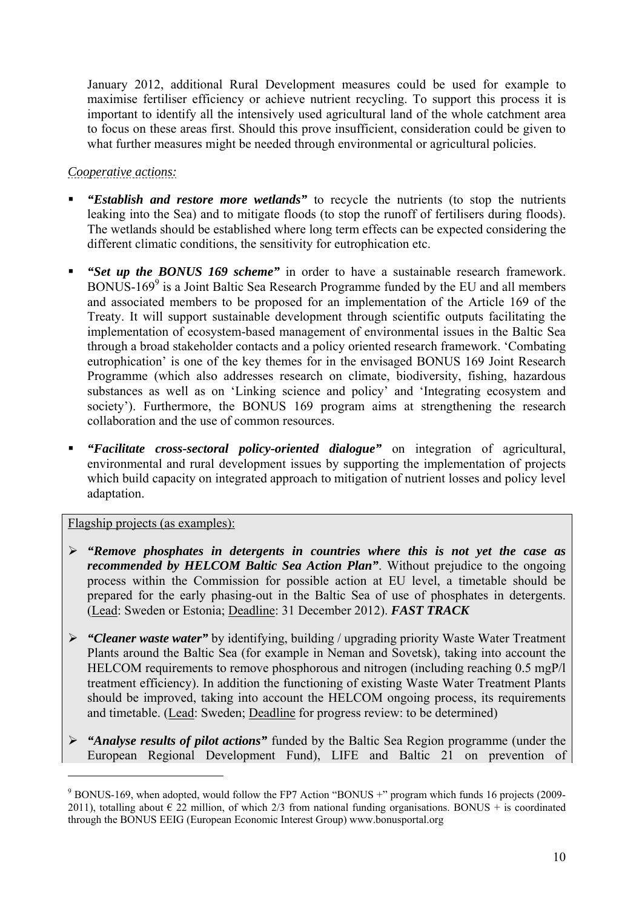January 2012, additional Rural Development measures could be used for example to maximise fertiliser efficiency or achieve nutrient recycling. To support this process it is important to identify all the intensively used agricultural land of the whole catchment area to focus on these areas first. Should this prove insufficient, consideration could be given to what further measures might be needed through environmental or agricultural policies.

# *Cooperative actions:*

- *"Establish and restore more wetlands"* to recycle the nutrients (to stop the nutrients leaking into the Sea) and to mitigate floods (to stop the runoff of fertilisers during floods). The wetlands should be established where long term effects can be expected considering the different climatic conditions, the sensitivity for eutrophication etc.
- *"Set up the BONUS 169 scheme"* in order to have a sustainable research framework. BONUS-169<sup>9</sup> is a Joint Baltic Sea Research Programme funded by the EU and all members and associated members to be proposed for an implementation of the Article 169 of the Treaty. It will support sustainable development through scientific outputs facilitating the implementation of ecosystem-based management of environmental issues in the Baltic Sea through a broad stakeholder contacts and a policy oriented research framework. 'Combating eutrophication' is one of the key themes for in the envisaged BONUS 169 Joint Research Programme (which also addresses research on climate, biodiversity, fishing, hazardous substances as well as on 'Linking science and policy' and 'Integrating ecosystem and society'). Furthermore, the BONUS 169 program aims at strengthening the research collaboration and the use of common resources.
- *"Facilitate cross-sectoral policy-oriented dialogue"* on integration of agricultural, environmental and rural development issues by supporting the implementation of projects which build capacity on integrated approach to mitigation of nutrient losses and policy level adaptation.

Flagship projects (as examples):

- ¾ *"Remove phosphates in detergents in countries where this is not yet the case as recommended by HELCOM Baltic Sea Action Plan"*. Without prejudice to the ongoing process within the Commission for possible action at EU level, a timetable should be prepared for the early phasing-out in the Baltic Sea of use of phosphates in detergents. (Lead: Sweden or Estonia; Deadline: 31 December 2012). *FAST TRACK*
- ¾ *"Cleaner waste water"* by identifying, building / upgrading priority Waste Water Treatment Plants around the Baltic Sea (for example in Neman and Sovetsk), taking into account the HELCOM requirements to remove phosphorous and nitrogen (including reaching 0.5 mgP/l treatment efficiency). In addition the functioning of existing Waste Water Treatment Plants should be improved, taking into account the HELCOM ongoing process, its requirements and timetable. (Lead: Sweden; Deadline for progress review: to be determined)
- ¾ *"Analyse results of pilot actions"* funded by the Baltic Sea Region programme (under the European Regional Development Fund), LIFE and Baltic 21 on prevention of

<sup>&</sup>lt;sup>9</sup> BONUS-169, when adopted, would follow the FP7 Action "BONUS +" program which funds 16 projects (2009-2011), totalling about  $\epsilon$  22 million, of which 2/3 from national funding organisations. BONUS + is coordinated through the BONUS EEIG (European Economic Interest Group) www.bonusportal.org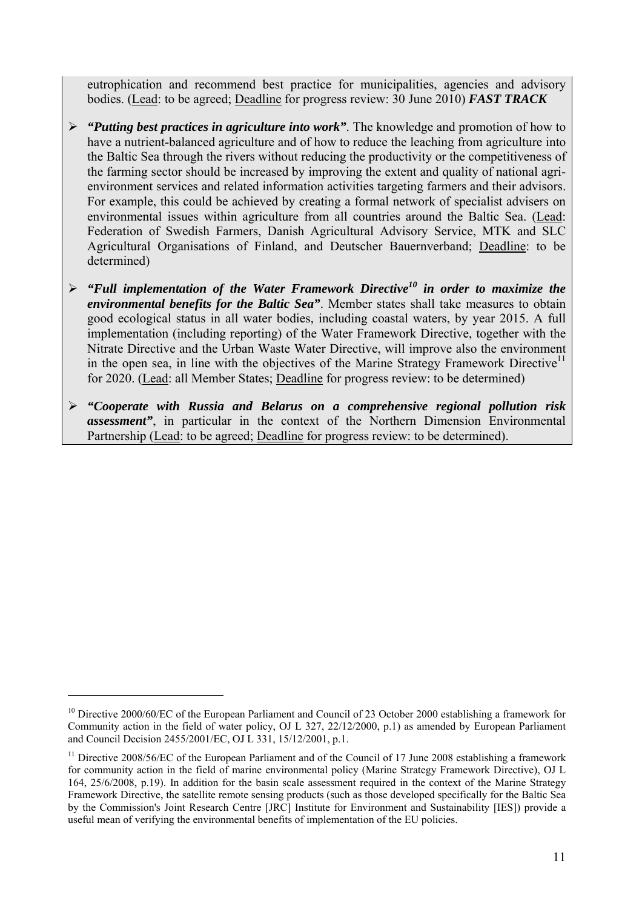eutrophication and recommend best practice for municipalities, agencies and advisory bodies. (Lead: to be agreed; Deadline for progress review: 30 June 2010) *FAST TRACK*

- ¾ *"Putting best practices in agriculture into work"*. The knowledge and promotion of how to have a nutrient-balanced agriculture and of how to reduce the leaching from agriculture into the Baltic Sea through the rivers without reducing the productivity or the competitiveness of the farming sector should be increased by improving the extent and quality of national agrienvironment services and related information activities targeting farmers and their advisors. For example, this could be achieved by creating a formal network of specialist advisers on environmental issues within agriculture from all countries around the Baltic Sea. (Lead: Federation of Swedish Farmers, Danish Agricultural Advisory Service, MTK and SLC Agricultural Organisations of Finland, and Deutscher Bauernverband; Deadline: to be determined)
- ¾ *"Full implementation of the Water Framework Directive10 in order to maximize the environmental benefits for the Baltic Sea"*. Member states shall take measures to obtain good ecological status in all water bodies, including coastal waters, by year 2015. A full implementation (including reporting) of the Water Framework Directive, together with the Nitrate Directive and the Urban Waste Water Directive, will improve also the environment in the open sea, in line with the objectives of the Marine Strategy Framework Directive<sup>11</sup> for 2020. (Lead: all Member States; Deadline for progress review: to be determined)
- ¾ *"Cooperate with Russia and Belarus on a comprehensive regional pollution risk assessment"*, in particular in the context of the Northern Dimension Environmental Partnership (Lead: to be agreed; Deadline for progress review: to be determined).

<sup>&</sup>lt;sup>10</sup> Directive 2000/60/EC of the European Parliament and Council of 23 October 2000 establishing a framework for Community action in the field of water policy, OJ L 327, 22/12/2000, p.1) as amended by European Parliament and Council Decision 2455/2001/EC, OJ L 331, 15/12/2001, p.1.

<sup>&</sup>lt;sup>11</sup> Directive 2008/56/EC of the European Parliament and of the Council of 17 June 2008 establishing a framework for community action in the field of marine environmental policy (Marine Strategy Framework Directive), OJ L 164, 25/6/2008, p.19). In addition for the basin scale assessment required in the context of the Marine Strategy Framework Directive, the satellite remote sensing products (such as those developed specifically for the Baltic Sea by the Commission's Joint Research Centre [JRC] Institute for Environment and Sustainability [IES]) provide a useful mean of verifying the environmental benefits of implementation of the EU policies.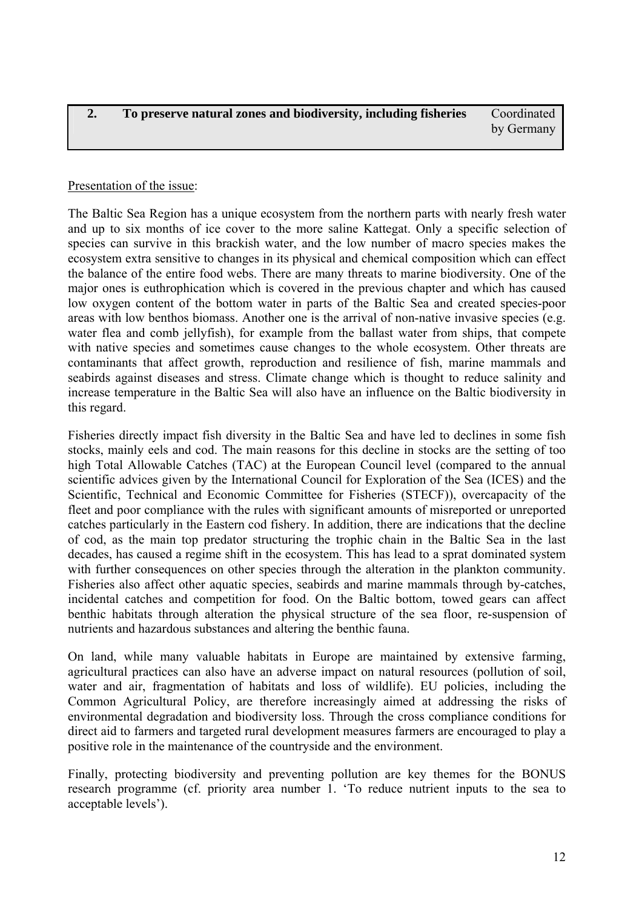<span id="page-11-0"></span>**2. To preserve natural zones and biodiversity, including fisheries** Coordinated by Germany

# Presentation of the issue:

The Baltic Sea Region has a unique ecosystem from the northern parts with nearly fresh water and up to six months of ice cover to the more saline Kattegat. Only a specific selection of species can survive in this brackish water, and the low number of macro species makes the ecosystem extra sensitive to changes in its physical and chemical composition which can effect the balance of the entire food webs. There are many threats to marine biodiversity. One of the major ones is euthrophication which is covered in the previous chapter and which has caused low oxygen content of the bottom water in parts of the Baltic Sea and created species-poor areas with low benthos biomass. Another one is the arrival of non-native invasive species (e.g. water flea and comb jellyfish), for example from the ballast water from ships, that compete with native species and sometimes cause changes to the whole ecosystem. Other threats are contaminants that affect growth, reproduction and resilience of fish, marine mammals and seabirds against diseases and stress. Climate change which is thought to reduce salinity and increase temperature in the Baltic Sea will also have an influence on the Baltic biodiversity in this regard.

Fisheries directly impact fish diversity in the Baltic Sea and have led to declines in some fish stocks, mainly eels and cod. The main reasons for this decline in stocks are the setting of too high Total Allowable Catches (TAC) at the European Council level (compared to the annual scientific advices given by the International Council for Exploration of the Sea (ICES) and the Scientific, Technical and Economic Committee for Fisheries (STECF)), overcapacity of the fleet and poor compliance with the rules with significant amounts of misreported or unreported catches particularly in the Eastern cod fishery. In addition, there are indications that the decline of cod, as the main top predator structuring the trophic chain in the Baltic Sea in the last decades, has caused a regime shift in the ecosystem. This has lead to a sprat dominated system with further consequences on other species through the alteration in the plankton community. Fisheries also affect other aquatic species, seabirds and marine mammals through by-catches, incidental catches and competition for food. On the Baltic bottom, towed gears can affect benthic habitats through alteration the physical structure of the sea floor, re-suspension of nutrients and hazardous substances and altering the benthic fauna.

On land, while many valuable habitats in Europe are maintained by extensive farming, agricultural practices can also have an adverse impact on natural resources (pollution of soil, water and air, fragmentation of habitats and loss of wildlife). EU policies, including the Common Agricultural Policy, are therefore increasingly aimed at addressing the risks of environmental degradation and biodiversity loss. Through the cross compliance conditions for direct aid to farmers and targeted rural development measures farmers are encouraged to play a positive role in the maintenance of the countryside and the environment.

Finally, protecting biodiversity and preventing pollution are key themes for the BONUS research programme (cf. priority area number 1. 'To reduce nutrient inputs to the sea to acceptable levels').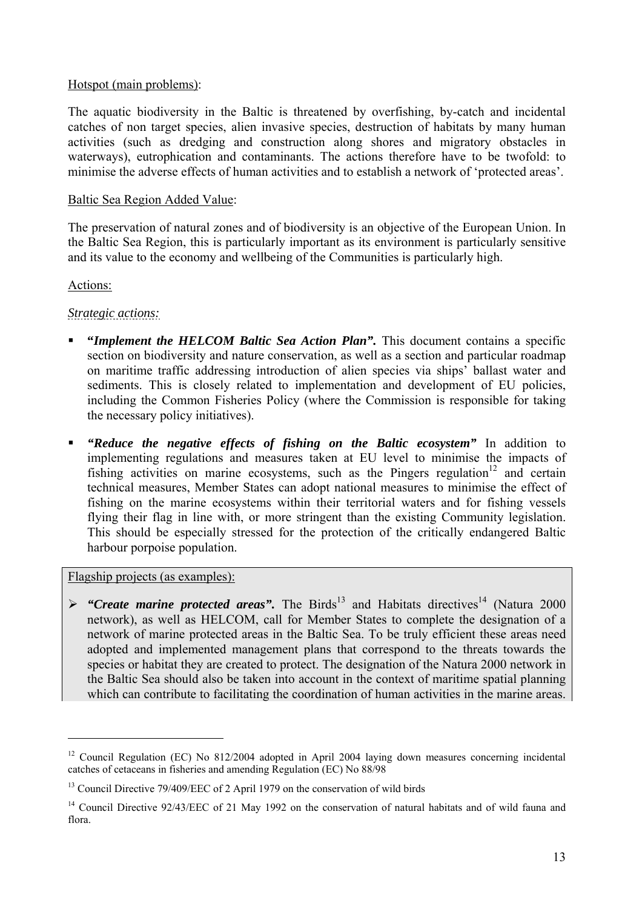### Hotspot (main problems):

The aquatic biodiversity in the Baltic is threatened by overfishing, by-catch and incidental catches of non target species, alien invasive species, destruction of habitats by many human activities (such as dredging and construction along shores and migratory obstacles in waterways), eutrophication and contaminants. The actions therefore have to be twofold: to minimise the adverse effects of human activities and to establish a network of 'protected areas'.

### Baltic Sea Region Added Value:

The preservation of natural zones and of biodiversity is an objective of the European Union. In the Baltic Sea Region, this is particularly important as its environment is particularly sensitive and its value to the economy and wellbeing of the Communities is particularly high.

### Actions:

 $\overline{a}$ 

### *Strategic actions:*

- **"Implement the HELCOM Baltic Sea Action Plan".** This document contains a specific section on biodiversity and nature conservation, as well as a section and particular roadmap on maritime traffic addressing introduction of alien species via ships' ballast water and sediments. This is closely related to implementation and development of EU policies, including the Common Fisheries Policy (where the Commission is responsible for taking the necessary policy initiatives).
- *"Reduce the negative effects of fishing on the Baltic ecosystem"* In addition to implementing regulations and measures taken at EU level to minimise the impacts of fishing activities on marine ecosystems, such as the Pingers regulation<sup>12</sup> and certain technical measures, Member States can adopt national measures to minimise the effect of fishing on the marine ecosystems within their territorial waters and for fishing vessels flying their flag in line with, or more stringent than the existing Community legislation. This should be especially stressed for the protection of the critically endangered Baltic harbour porpoise population.

Flagship projects (as examples):

 $\triangleright$  "Create marine protected areas". The Birds<sup>13</sup> and Habitats directives<sup>14</sup> (Natura 2000) network), as well as HELCOM, call for Member States to complete the designation of a network of marine protected areas in the Baltic Sea. To be truly efficient these areas need adopted and implemented management plans that correspond to the threats towards the species or habitat they are created to protect. The designation of the Natura 2000 network in the Baltic Sea should also be taken into account in the context of maritime spatial planning which can contribute to facilitating the coordination of human activities in the marine areas.

<sup>&</sup>lt;sup>12</sup> Council Regulation (EC) No 812/2004 adopted in April 2004 laying down measures concerning incidental catches of cetaceans in fisheries and amending Regulation (EC) No 88/98

<sup>&</sup>lt;sup>13</sup> Council Directive 79/409/EEC of 2 April 1979 on the conservation of wild birds

<sup>&</sup>lt;sup>14</sup> Council Directive 92/43/EEC of 21 May 1992 on the conservation of natural habitats and of wild fauna and flora.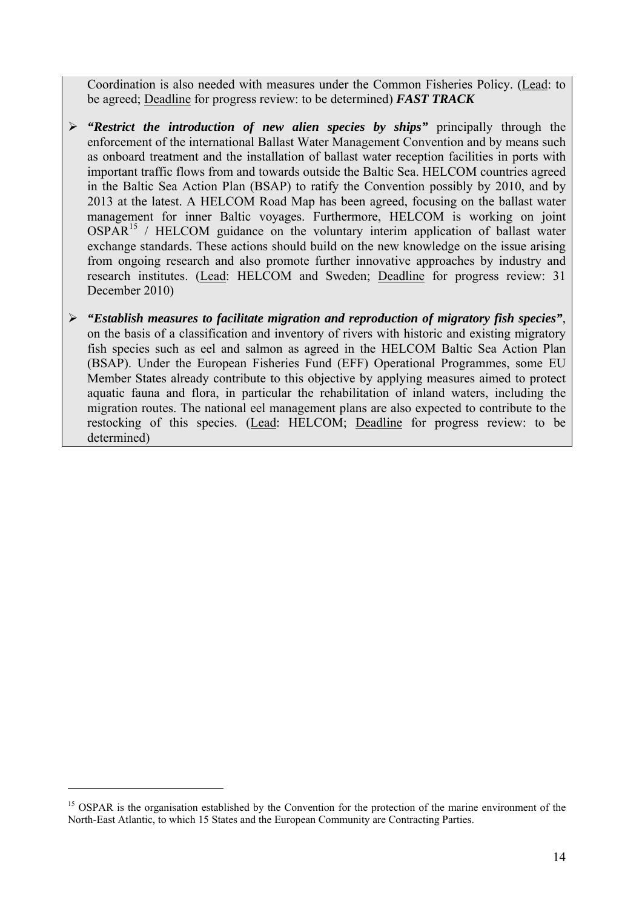Coordination is also needed with measures under the Common Fisheries Policy. (Lead: to be agreed; Deadline for progress review: to be determined) *FAST TRACK*

- ¾ *"Restrict the introduction of new alien species by ships"* principally through the enforcement of the international Ballast Water Management Convention and by means such as onboard treatment and the installation of ballast water reception facilities in ports with important traffic flows from and towards outside the Baltic Sea. HELCOM countries agreed in the Baltic Sea Action Plan (BSAP) to ratify the Convention possibly by 2010, and by 2013 at the latest. A HELCOM Road Map has been agreed, focusing on the ballast water management for inner Baltic voyages. Furthermore, HELCOM is working on joint  $OSPAR<sup>15</sup>$  / HELCOM guidance on the voluntary interim application of ballast water exchange standards. These actions should build on the new knowledge on the issue arising from ongoing research and also promote further innovative approaches by industry and research institutes. (Lead: HELCOM and Sweden; Deadline for progress review: 31 December 2010)
- ¾ *"Establish measures to facilitate migration and reproduction of migratory fish species"*, on the basis of a classification and inventory of rivers with historic and existing migratory fish species such as eel and salmon as agreed in the HELCOM Baltic Sea Action Plan (BSAP). Under the European Fisheries Fund (EFF) Operational Programmes, some EU Member States already contribute to this objective by applying measures aimed to protect aquatic fauna and flora, in particular the rehabilitation of inland waters, including the migration routes. The national eel management plans are also expected to contribute to the restocking of this species. (Lead: HELCOM; Deadline for progress review: to be determined)

<sup>&</sup>lt;sup>15</sup> OSPAR is the organisation established by the Convention for the protection of the marine environment of the North-East Atlantic, to which 15 States and the European Community are Contracting Parties.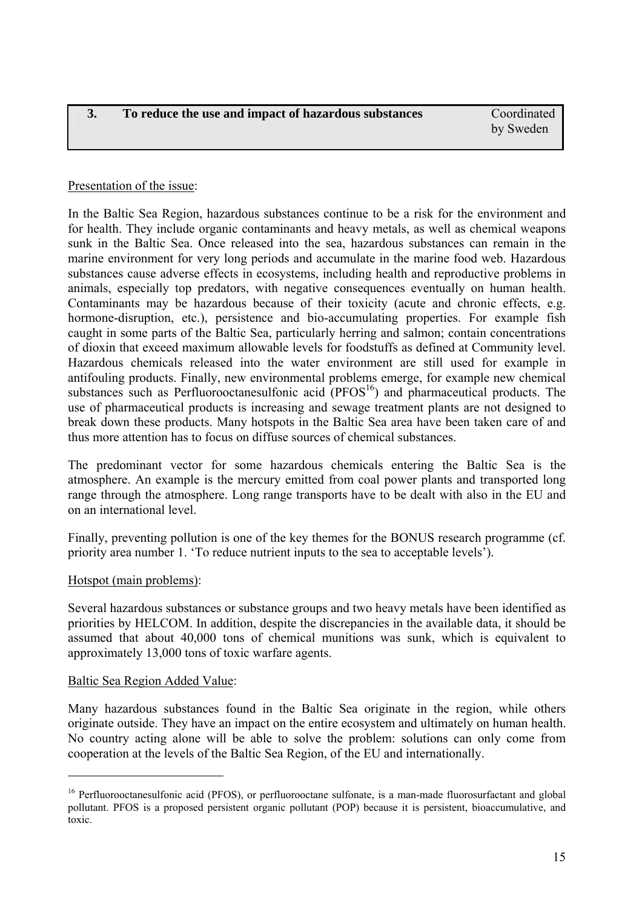### <span id="page-14-0"></span>Presentation of the issue:

In the Baltic Sea Region, hazardous substances continue to be a risk for the environment and for health. They include organic contaminants and heavy metals, as well as chemical weapons sunk in the Baltic Sea. Once released into the sea, hazardous substances can remain in the marine environment for very long periods and accumulate in the marine food web. Hazardous substances cause adverse effects in ecosystems, including health and reproductive problems in animals, especially top predators, with negative consequences eventually on human health. Contaminants may be hazardous because of their toxicity (acute and chronic effects, e.g. hormone-disruption, etc.), persistence and bio-accumulating properties. For example fish caught in some parts of the Baltic Sea, particularly herring and salmon; contain concentrations of dioxin that exceed maximum allowable levels for foodstuffs as defined at Community level. Hazardous chemicals released into the water environment are still used for example in antifouling products. Finally, new environmental problems emerge, for example new chemical substances such as Perfluorooctanesulfonic acid  $(PPOS<sup>16</sup>)$  and pharmaceutical products. The use of pharmaceutical products is increasing and sewage treatment plants are not designed to break down these products. Many hotspots in the Baltic Sea area have been taken care of and thus more attention has to focus on diffuse sources of chemical substances.

The predominant vector for some hazardous chemicals entering the Baltic Sea is the atmosphere. An example is the mercury emitted from coal power plants and transported long range through the atmosphere. Long range transports have to be dealt with also in the EU and on an international level.

Finally, preventing pollution is one of the key themes for the BONUS research programme (cf. priority area number 1. 'To reduce nutrient inputs to the sea to acceptable levels').

### Hotspot (main problems):

Several hazardous substances or substance groups and two heavy metals have been identified as priorities by HELCOM. In addition, despite the discrepancies in the available data, it should be assumed that about 40,000 tons of chemical munitions was sunk, which is equivalent to approximately 13,000 tons of toxic warfare agents.

### Baltic Sea Region Added Value:

 $\overline{a}$ 

Many hazardous substances found in the Baltic Sea originate in the region, while others originate outside. They have an impact on the entire ecosystem and ultimately on human health. No country acting alone will be able to solve the problem: solutions can only come from cooperation at the levels of the Baltic Sea Region, of the EU and internationally.

<sup>&</sup>lt;sup>16</sup> Perfluorooctanesulfonic acid (PFOS), or perfluorooctane sulfonate, is a man-mad[e fluorosurfactant](http://en.wikipedia.org/wiki/Fluorosurfactant) and global [pollutant.](http://en.wikipedia.org/wiki/Pollutant) PFOS is a proposed [persistent organic pollutant](http://en.wikipedia.org/wiki/Persistent_organic_pollutant) (POP) because it is persistent, bioaccumulative, and toxic.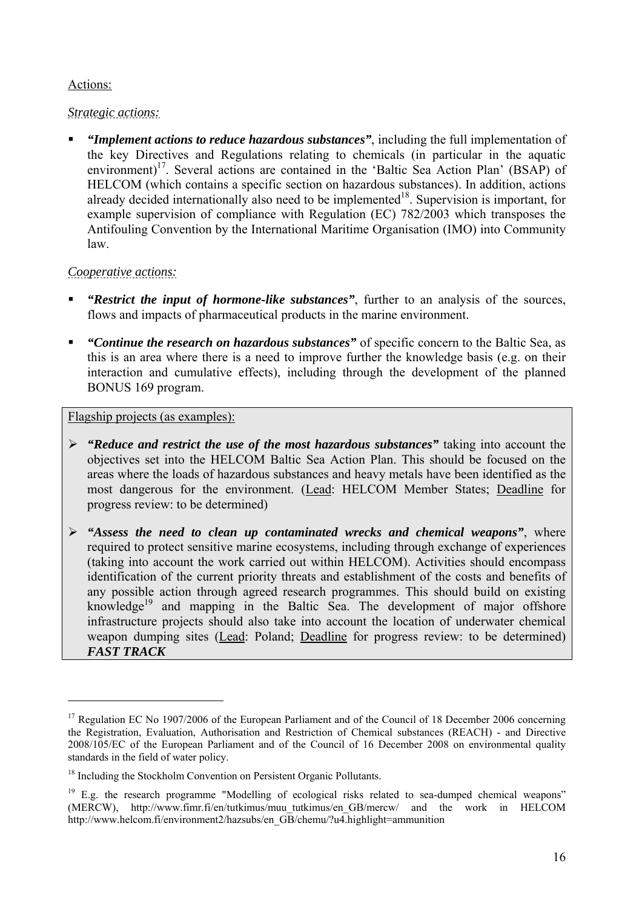# Actions:

# *Strategic actions:*

 *"Implement actions to reduce hazardous substances"*, including the full implementation of the key Directives and Regulations relating to chemicals (in particular in the aquatic environment)<sup>17</sup>. Several actions are contained in the 'Baltic Sea Action Plan' (BSAP) of HELCOM (which contains a specific section on hazardous substances). In addition, actions already decided internationally also need to be implemented<sup>18</sup>. Supervision is important, for example supervision of compliance with Regulation (EC) 782/2003 which transposes the Antifouling Convention by the International Maritime Organisation (IMO) into Community law.

# *Cooperative actions:*

 $\overline{a}$ 

- *"Restrict the input of hormone-like substances"*, further to an analysis of the sources, flows and impacts of pharmaceutical products in the marine environment.
- *"Continue the research on hazardous substances"* of specific concern to the Baltic Sea, as this is an area where there is a need to improve further the knowledge basis (e.g. on their interaction and cumulative effects), including through the development of the planned BONUS 169 program.

# Flagship projects (as examples):

- ¾ *"Reduce and restrict the use of the most hazardous substances"* taking into account the objectives set into the HELCOM Baltic Sea Action Plan. This should be focused on the areas where the loads of hazardous substances and heavy metals have been identified as the most dangerous for the environment. (Lead: HELCOM Member States; Deadline for progress review: to be determined)
- ¾ *"Assess the need to clean up contaminated wrecks and chemical weapons"*, where required to protect sensitive marine ecosystems, including through exchange of experiences (taking into account the work carried out within HELCOM). Activities should encompass identification of the current priority threats and establishment of the costs and benefits of any possible action through agreed research programmes. This should build on existing knowledge<sup>19</sup> and mapping in the Baltic Sea. The development of major offshore infrastructure projects should also take into account the location of underwater chemical weapon dumping sites (Lead: Poland; Deadline for progress review: to be determined) *FAST TRACK*

 $17$  Regulation EC No 1907/2006 of the European Parliament and of the Council of 18 December 2006 concerning the Registration, Evaluation, Authorisation and Restriction of Chemical substances (REACH) - and Directive 2008/105/EC of the European Parliament and of the Council of 16 December 2008 on environmental quality standards in the field of water policy.

<sup>&</sup>lt;sup>18</sup> Including the Stockholm Convention on Persistent Organic Pollutants.

<sup>&</sup>lt;sup>19</sup> E.g. the research programme "Modelling of ecological risks related to sea-dumped chemical weapons" (MERCW), http://www.fimr.fi/en/tutkimus/muu\_tutkimus/en\_GB/mercw/ and the work in HELCOM http://www.helcom.fi/environment2/hazsubs/en\_GB/chemu/?u4.highlight=ammunition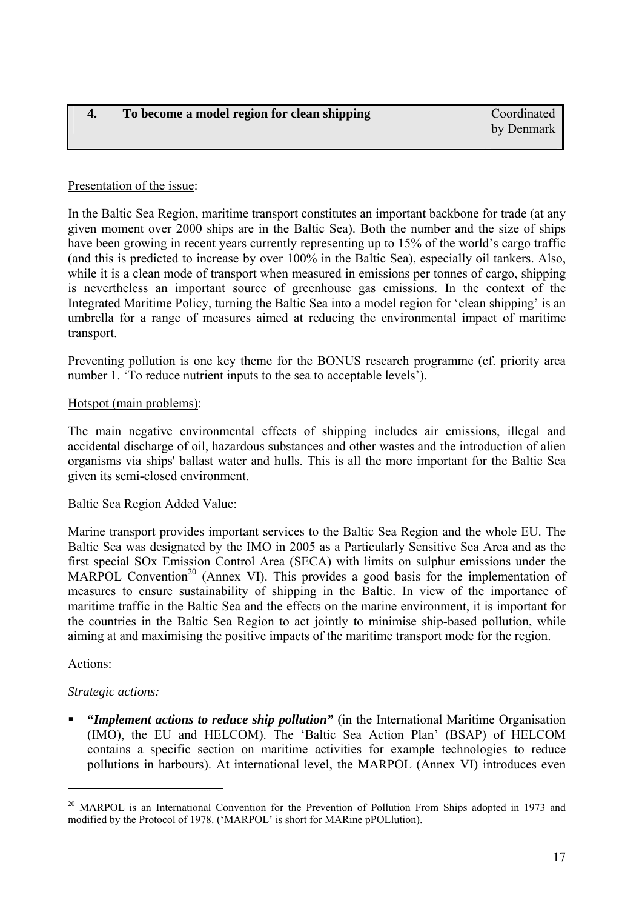### <span id="page-16-0"></span>Presentation of the issue:

In the Baltic Sea Region, maritime transport constitutes an important backbone for trade (at any given moment over 2000 ships are in the Baltic Sea). Both the number and the size of ships have been growing in recent years currently representing up to 15% of the world's cargo traffic (and this is predicted to increase by over 100% in the Baltic Sea), especially oil tankers. Also, while it is a clean mode of transport when measured in emissions per tonnes of cargo, shipping is nevertheless an important source of greenhouse gas emissions. In the context of the Integrated Maritime Policy, turning the Baltic Sea into a model region for 'clean shipping' is an umbrella for a range of measures aimed at reducing the environmental impact of maritime transport.

Preventing pollution is one key theme for the BONUS research programme (cf. priority area number 1. 'To reduce nutrient inputs to the sea to acceptable levels').

### Hotspot (main problems):

The main negative environmental effects of shipping includes air emissions, illegal and accidental discharge of oil, hazardous substances and other wastes and the introduction of alien organisms via ships' ballast water and hulls. This is all the more important for the Baltic Sea given its semi-closed environment.

### Baltic Sea Region Added Value:

Marine transport provides important services to the Baltic Sea Region and the whole EU. The Baltic Sea was designated by the IMO in 2005 as a Particularly Sensitive Sea Area and as the first special SOx Emission Control Area (SECA) with limits on sulphur emissions under the MARPOL Convention<sup>20</sup> (Annex VI). This provides a good basis for the implementation of measures to ensure sustainability of shipping in the Baltic. In view of the importance of maritime traffic in the Baltic Sea and the effects on the marine environment, it is important for the countries in the Baltic Sea Region to act jointly to minimise ship-based pollution, while aiming at and maximising the positive impacts of the maritime transport mode for the region.

### Actions:

 $\overline{a}$ 

# *Strategic actions:*

 **"***Implement actions to reduce ship pollution"* (in the International Maritime Organisation (IMO), the EU and HELCOM). The 'Baltic Sea Action Plan' (BSAP) of HELCOM contains a specific section on maritime activities for example technologies to reduce pollutions in harbours). At international level, the MARPOL (Annex VI) introduces even

<sup>&</sup>lt;sup>20</sup> MARPOL is an International Convention for the Prevention of Pollution From Ships adopted in 1973 and modified by the Protocol of 1978. ('MARPOL' is short for MARine pPOLlution).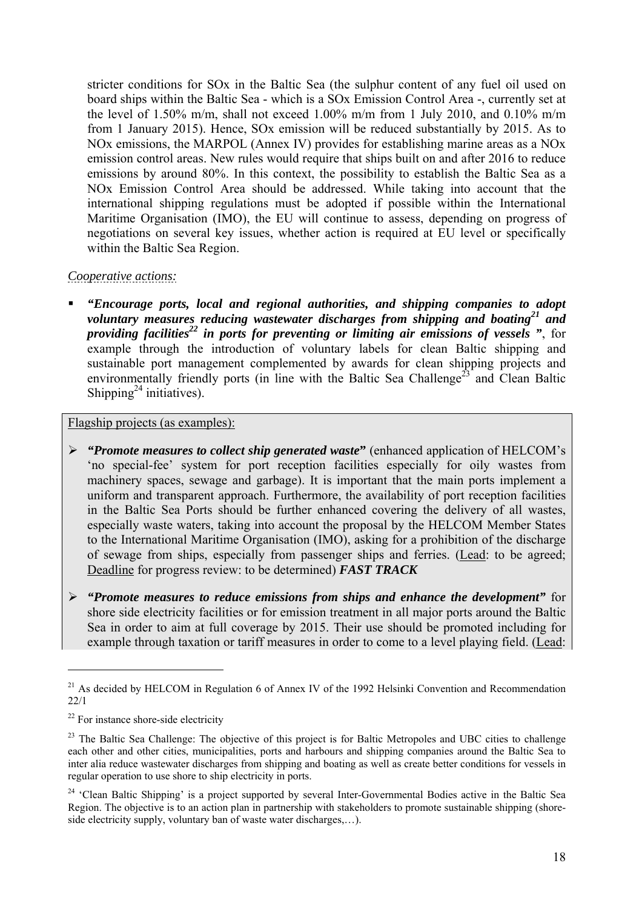stricter conditions for SOx in the Baltic Sea (the sulphur content of any fuel oil used on board ships within the Baltic Sea - which is a SOx Emission Control Area -, currently set at the level of 1.50% m/m, shall not exceed 1.00% m/m from 1 July 2010, and 0.10% m/m from 1 January 2015). Hence, SOx emission will be reduced substantially by 2015. As to NOx emissions, the MARPOL (Annex IV) provides for establishing marine areas as a NOx emission control areas. New rules would require that ships built on and after 2016 to reduce emissions by around 80%. In this context, the possibility to establish the Baltic Sea as a NOx Emission Control Area should be addressed. While taking into account that the international shipping regulations must be adopted if possible within the International Maritime Organisation (IMO), the EU will continue to assess, depending on progress of negotiations on several key issues, whether action is required at EU level or specifically within the Baltic Sea Region.

# *Cooperative actions:*

 *"Encourage ports, local and regional authorities, and shipping companies to adopt*  voluntary measures reducing wastewater discharges from shipping and boating<sup>21</sup> and *providing facilities*<sup>22</sup> in ports for preventing or limiting air emissions of vessels ", for example through the introduction of voluntary labels for clean Baltic shipping and sustainable port management complemented by awards for clean shipping projects and environmentally friendly ports (in line with the Baltic Sea Challenge<sup>23</sup> and Clean Baltic Shipping<sup>24</sup> initiatives).

Flagship projects (as examples):

- ¾ *"Promote measures to collect ship generated waste***"** (enhanced application of HELCOM's 'no special-fee' system for port reception facilities especially for oily wastes from machinery spaces, sewage and garbage). It is important that the main ports implement a uniform and transparent approach. Furthermore, the availability of port reception facilities in the Baltic Sea Ports should be further enhanced covering the delivery of all wastes, especially waste waters, taking into account the proposal by the HELCOM Member States to the International Maritime Organisation (IMO), asking for a prohibition of the discharge of sewage from ships, especially from passenger ships and ferries. (Lead: to be agreed; Deadline for progress review: to be determined) *FAST TRACK*
- ¾ *"Promote measures to reduce emissions from ships and enhance the development"* for shore side electricity facilities or for emission treatment in all major ports around the Baltic Sea in order to aim at full coverage by 2015. Their use should be promoted including for example through taxation or tariff measures in order to come to a level playing field. (Lead:

<sup>&</sup>lt;sup>21</sup> As decided by HELCOM in Regulation 6 of Annex IV of the 1992 Helsinki Convention and Recommendation 22/1

 $22$  For instance shore-side electricity

<sup>&</sup>lt;sup>23</sup> The Baltic Sea Challenge: The objective of this project is for Baltic Metropoles and UBC cities to challenge each other and other cities, municipalities, ports and harbours and shipping companies around the Baltic Sea to inter alia reduce wastewater discharges from shipping and boating as well as create better conditions for vessels in regular operation to use shore to ship electricity in ports.

<sup>&</sup>lt;sup>24</sup> 'Clean Baltic Shipping' is a project supported by several Inter-Governmental Bodies active in the Baltic Sea Region. The objective is to an action plan in partnership with stakeholders to promote sustainable shipping (shoreside electricity supply, voluntary ban of waste water discharges,…).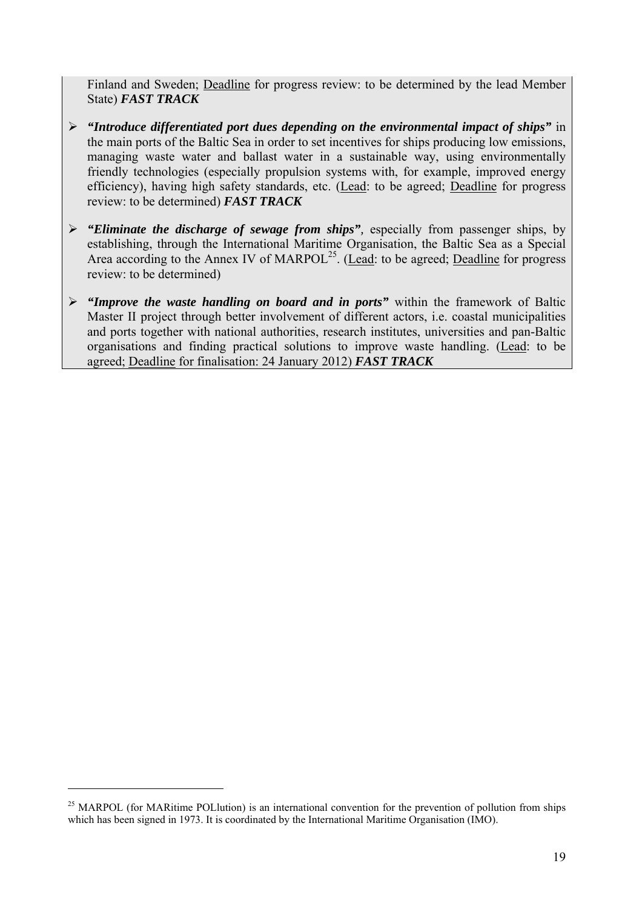Finland and Sweden; Deadline for progress review: to be determined by the lead Member State) *FAST TRACK*

- ¾ *"Introduce differentiated port dues depending on the environmental impact of ships"* in the main ports of the Baltic Sea in order to set incentives for ships producing low emissions, managing waste water and ballast water in a sustainable way, using environmentally friendly technologies (especially propulsion systems with, for example, improved energy efficiency), having high safety standards, etc. (Lead: to be agreed; Deadline for progress review: to be determined) *FAST TRACK*
- ¾ *"Eliminate the discharge of sewage from ships",* especially from passenger ships, by establishing, through the International Maritime Organisation, the Baltic Sea as a Special Area according to the Annex IV of MARPOL<sup>25</sup>. (Lead: to be agreed: Deadline for progress review: to be determined)
- ¾ *"Improve the waste handling on board and in ports"* within the framework of Baltic Master II project through better involvement of different actors, i.e. coastal municipalities and ports together with national authorities, research institutes, universities and pan-Baltic organisations and finding practical solutions to improve waste handling. (Lead: to be agreed; Deadline for finalisation: 24 January 2012) *FAST TRACK*

<sup>&</sup>lt;sup>25</sup> MARPOL (for MARitime POLlution) is an international convention for the prevention of pollution from ships which has been signed in 1973. It is coordinated by the International Maritime Organisation (IMO).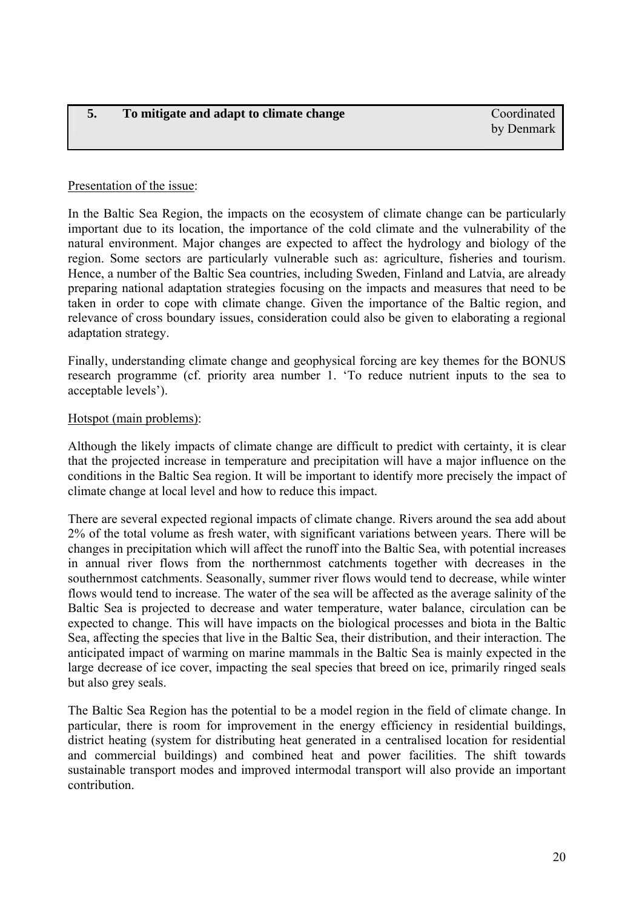### <span id="page-19-0"></span>Presentation of the issue:

In the Baltic Sea Region, the impacts on the ecosystem of climate change can be particularly important due to its location, the importance of the cold climate and the vulnerability of the natural environment. Major changes are expected to affect the hydrology and biology of the region. Some sectors are particularly vulnerable such as: agriculture, fisheries and tourism. Hence, a number of the Baltic Sea countries, including Sweden, Finland and Latvia, are already preparing national adaptation strategies focusing on the impacts and measures that need to be taken in order to cope with climate change. Given the importance of the Baltic region, and relevance of cross boundary issues, consideration could also be given to elaborating a regional adaptation strategy.

Finally, understanding climate change and geophysical forcing are key themes for the BONUS research programme (cf. priority area number 1. 'To reduce nutrient inputs to the sea to acceptable levels').

### Hotspot (main problems):

Although the likely impacts of climate change are difficult to predict with certainty, it is clear that the projected increase in temperature and precipitation will have a major influence on the conditions in the Baltic Sea region. It will be important to identify more precisely the impact of climate change at local level and how to reduce this impact.

There are several expected regional impacts of climate change. Rivers around the sea add about 2% of the total volume as fresh water, with significant variations between years. There will be changes in precipitation which will affect the runoff into the Baltic Sea, with potential increases in annual river flows from the northernmost catchments together with decreases in the southernmost catchments. Seasonally, summer river flows would tend to decrease, while winter flows would tend to increase. The water of the sea will be affected as the average salinity of the Baltic Sea is projected to decrease and water temperature, water balance, circulation can be expected to change. This will have impacts on the biological processes and biota in the Baltic Sea, affecting the species that live in the Baltic Sea, their distribution, and their interaction. The anticipated impact of warming on marine mammals in the Baltic Sea is mainly expected in the large decrease of ice cover, impacting the seal species that breed on ice, primarily ringed seals but also grey seals.

The Baltic Sea Region has the potential to be a model region in the field of climate change. In particular, there is room for improvement in the energy efficiency in residential buildings, district heating (system for distributing heat generated in a centralised location for residential and commercial buildings) and combined heat and power facilities. The shift towards sustainable transport modes and improved intermodal transport will also provide an important contribution.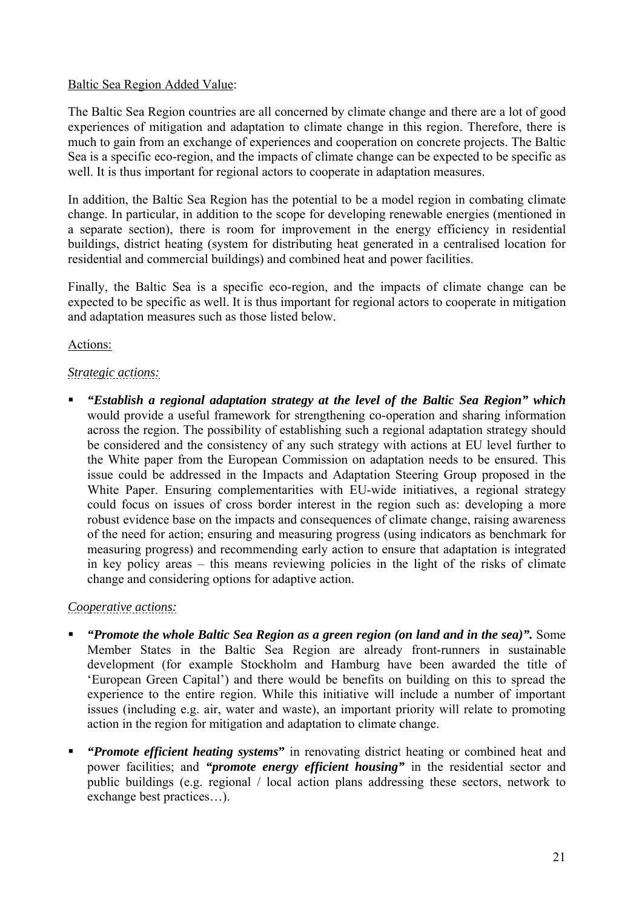# Baltic Sea Region Added Value:

The Baltic Sea Region countries are all concerned by climate change and there are a lot of good experiences of mitigation and adaptation to climate change in this region. Therefore, there is much to gain from an exchange of experiences and cooperation on concrete projects. The Baltic Sea is a specific eco-region, and the impacts of climate change can be expected to be specific as well. It is thus important for regional actors to cooperate in adaptation measures.

In addition, the Baltic Sea Region has the potential to be a model region in combating climate change. In particular, in addition to the scope for developing renewable energies (mentioned in a separate section), there is room for improvement in the energy efficiency in residential buildings, district heating (system for distributing heat generated in a centralised location for residential and commercial buildings) and combined heat and power facilities.

Finally, the Baltic Sea is a specific eco-region, and the impacts of climate change can be expected to be specific as well. It is thus important for regional actors to cooperate in mitigation and adaptation measures such as those listed below.

# Actions:

# *Strategic actions:*

 *"Establish a regional adaptation strategy at the level of the Baltic Sea Region" which* would provide a useful framework for strengthening co-operation and sharing information across the region. The possibility of establishing such a regional adaptation strategy should be considered and the consistency of any such strategy with actions at EU level further to the White paper from the European Commission on adaptation needs to be ensured. This issue could be addressed in the Impacts and Adaptation Steering Group proposed in the White Paper. Ensuring complementarities with EU-wide initiatives, a regional strategy could focus on issues of cross border interest in the region such as: developing a more robust evidence base on the impacts and consequences of climate change, raising awareness of the need for action; ensuring and measuring progress (using indicators as benchmark for measuring progress) and recommending early action to ensure that adaptation is integrated in key policy areas – this means reviewing policies in the light of the risks of climate change and considering options for adaptive action.

# *Cooperative actions:*

- *"Promote the whole Baltic Sea Region as a green region (on land and in the sea)".* Some Member States in the Baltic Sea Region are already front-runners in sustainable development (for example Stockholm and Hamburg have been awarded the title of 'European Green Capital') and there would be benefits on building on this to spread the experience to the entire region. While this initiative will include a number of important issues (including e.g. air, water and waste), an important priority will relate to promoting action in the region for mitigation and adaptation to climate change.
- *"Promote efficient heating systems***"** in renovating district heating or combined heat and power facilities; and *"promote energy efficient housing"* in the residential sector and public buildings (e.g. regional / local action plans addressing these sectors, network to exchange best practices…).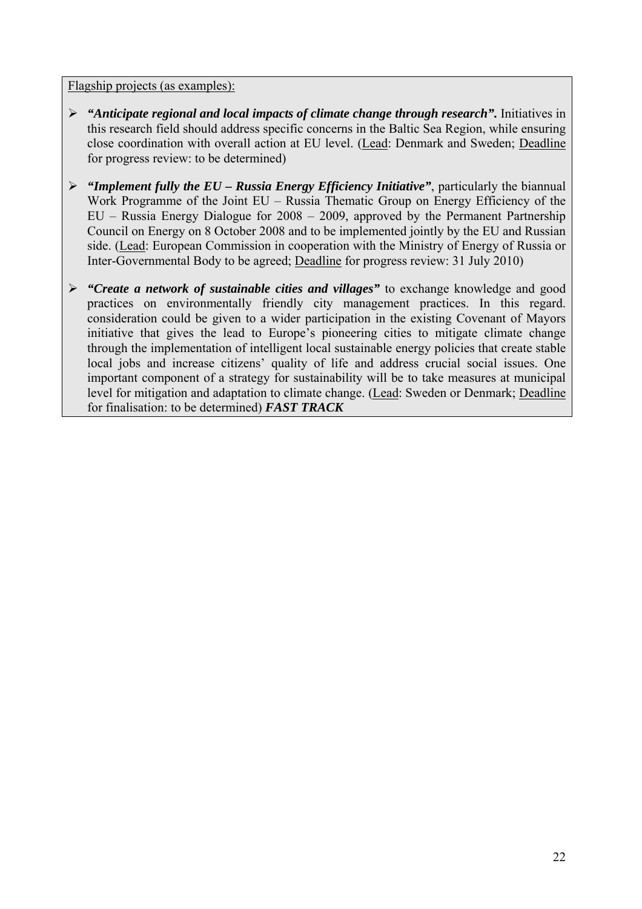### Flagship projects (as examples):

- ¾ *"Anticipate regional and local impacts of climate change through research".* Initiatives in this research field should address specific concerns in the Baltic Sea Region, while ensuring close coordination with overall action at EU level. (Lead: Denmark and Sweden; Deadline for progress review: to be determined)
- ¾ *"Implement fully the EU Russia Energy Efficiency Initiative"*, particularly the biannual Work Programme of the Joint EU – Russia Thematic Group on Energy Efficiency of the EU – Russia Energy Dialogue for 2008 – 2009, approved by the Permanent Partnership Council on Energy on 8 October 2008 and to be implemented jointly by the EU and Russian side. (Lead: European Commission in cooperation with the Ministry of Energy of Russia or Inter-Governmental Body to be agreed; Deadline for progress review: 31 July 2010)
- ¾ *"Create a network of sustainable cities and villages"* to exchange knowledge and good practices on environmentally friendly city management practices. In this regard. consideration could be given to a wider participation in the existing Covenant of Mayors initiative that gives the lead to Europe's pioneering cities to mitigate climate change through the implementation of intelligent local sustainable energy policies that create stable local jobs and increase citizens' quality of life and address crucial social issues. One important component of a strategy for sustainability will be to take measures at municipal level for mitigation and adaptation to climate change. (Lead: Sweden or Denmark; Deadline for finalisation: to be determined) *FAST TRACK*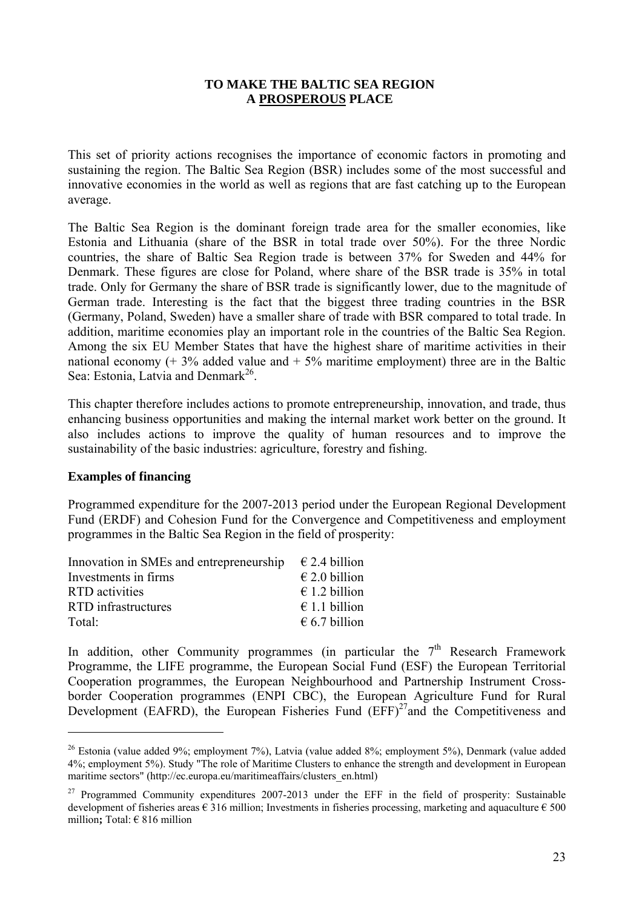### **TO MAKE THE BALTIC SEA REGION A PROSPEROUS PLACE**

<span id="page-22-0"></span>This set of priority actions recognises the importance of economic factors in promoting and sustaining the region. The Baltic Sea Region (BSR) includes some of the most successful and innovative economies in the world as well as regions that are fast catching up to the European average.

The Baltic Sea Region is the dominant foreign trade area for the smaller economies, like Estonia and Lithuania (share of the BSR in total trade over 50%). For the three Nordic countries, the share of Baltic Sea Region trade is between 37% for Sweden and 44% for Denmark. These figures are close for Poland, where share of the BSR trade is 35% in total trade. Only for Germany the share of BSR trade is significantly lower, due to the magnitude of German trade. Interesting is the fact that the biggest three trading countries in the BSR (Germany, Poland, Sweden) have a smaller share of trade with BSR compared to total trade. In addition, maritime economies play an important role in the countries of the Baltic Sea Region. Among the six EU Member States that have the highest share of maritime activities in their national economy  $(+ 3\%$  added value and  $+ 5\%$  maritime employment) three are in the Baltic Sea: Estonia, Latvia and Denmark<sup>26</sup>.

This chapter therefore includes actions to promote entrepreneurship, innovation, and trade, thus enhancing business opportunities and making the internal market work better on the ground. It also includes actions to improve the quality of human resources and to improve the sustainability of the basic industries: agriculture, forestry and fishing.

### **Examples of financing**

 $\overline{a}$ 

Programmed expenditure for the 2007-2013 period under the European Regional Development Fund (ERDF) and Cohesion Fund for the Convergence and Competitiveness and employment programmes in the Baltic Sea Region in the field of prosperity:

| Innovation in SMEs and entrepreneurship | $\epsilon$ 2.4 billion |
|-----------------------------------------|------------------------|
| Investments in firms                    | $\in$ 2.0 billion      |
| <b>RTD</b> activities                   | $\in$ 1.2 billion      |
| RTD infrastructures                     | $\in$ 1.1 billion      |
| Total:                                  | $\epsilon$ 6.7 billion |

In addition, other Community programmes (in particular the  $7<sup>th</sup>$  Research Framework Programme, the LIFE programme, the European Social Fund (ESF) the European Territorial Cooperation programmes, the European Neighbourhood and Partnership Instrument Crossborder Cooperation programmes (ENPI CBC), the European Agriculture Fund for Rural Development (EAFRD), the European Fisheries Fund  $(EFF)^{27}$  and the Competitiveness and

<sup>26</sup> Estonia (value added 9%; employment 7%), Latvia (value added 8%; employment 5%), Denmark (value added 4%; employment 5%). Study "The role of Maritime Clusters to enhance the strength and development in European maritime sectors" (http://ec.europa.eu/maritimeaffairs/clusters\_en.html)

<sup>&</sup>lt;sup>27</sup> Programmed Community expenditures 2007-2013 under the EFF in the field of prosperity: Sustainable development of fisheries areas  $\epsilon$  316 million; Investments in fisheries processing, marketing and aquaculture  $\epsilon$  500 million**;** Total: € 816 million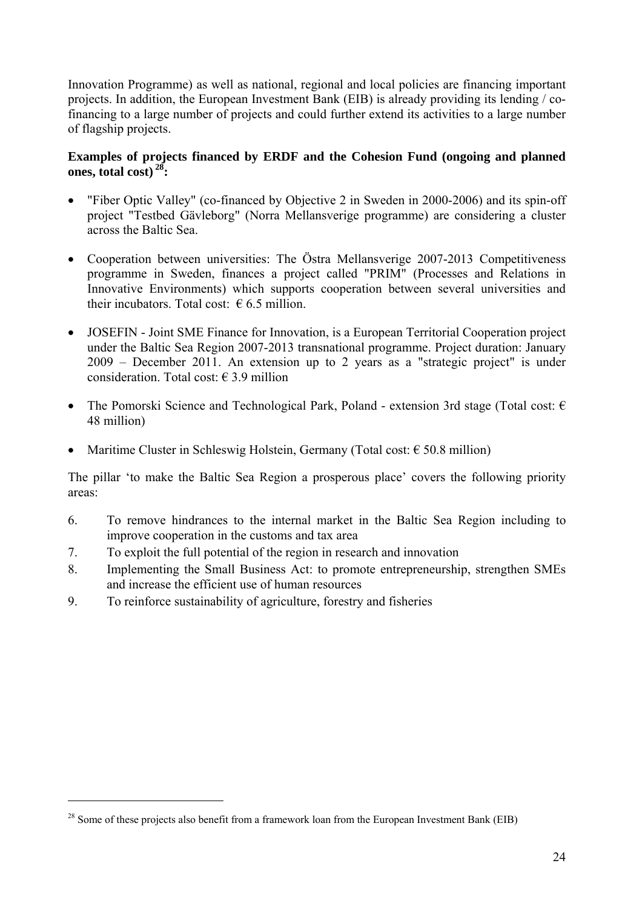Innovation Programme) as well as national, regional and local policies are financing important projects. In addition, the European Investment Bank (EIB) is already providing its lending / cofinancing to a large number of projects and could further extend its activities to a large number of flagship projects.

# **Examples of projects financed by ERDF and the Cohesion Fund (ongoing and planned ones, total cost) 28:**

- "Fiber Optic Valley" (co-financed by Objective 2 in Sweden in 2000-2006) and its spin-off project "Testbed Gävleborg" (Norra Mellansverige programme) are considering a cluster across the Baltic Sea.
- Cooperation between universities: The Östra Mellansverige 2007-2013 Competitiveness programme in Sweden, finances a project called "PRIM" (Processes and Relations in Innovative Environments) which supports cooperation between several universities and their incubators. Total cost:  $6.5$  million.
- JOSEFIN Joint SME Finance for Innovation, is a European Territorial Cooperation project under the Baltic Sea Region 2007-2013 transnational programme. Project duration: January 2009 – December 2011. An extension up to 2 years as a "strategic project" is under consideration. Total cost:  $\epsilon$  3.9 million
- The Pomorski Science and Technological Park, Poland extension 3rd stage (Total cost:  $\epsilon$ ) 48 million)
- Maritime Cluster in Schleswig Holstein, Germany (Total cost:  $\epsilon$  50.8 million)

The pillar 'to make the Baltic Sea Region a prosperous place' covers the following priority areas:

- 6. To remove hindrances to the internal market in the Baltic Sea Region including to improve cooperation in the customs and tax area
- 7. To exploit the full potential of the region in research and innovation
- 8. Implementing the Small Business Act: to promote entrepreneurship, strengthen SMEs and increase the efficient use of human resources
- 9. To reinforce sustainability of agriculture, forestry and fisheries

 $^{28}$  Some of these projects also benefit from a framework loan from the European Investment Bank (EIB)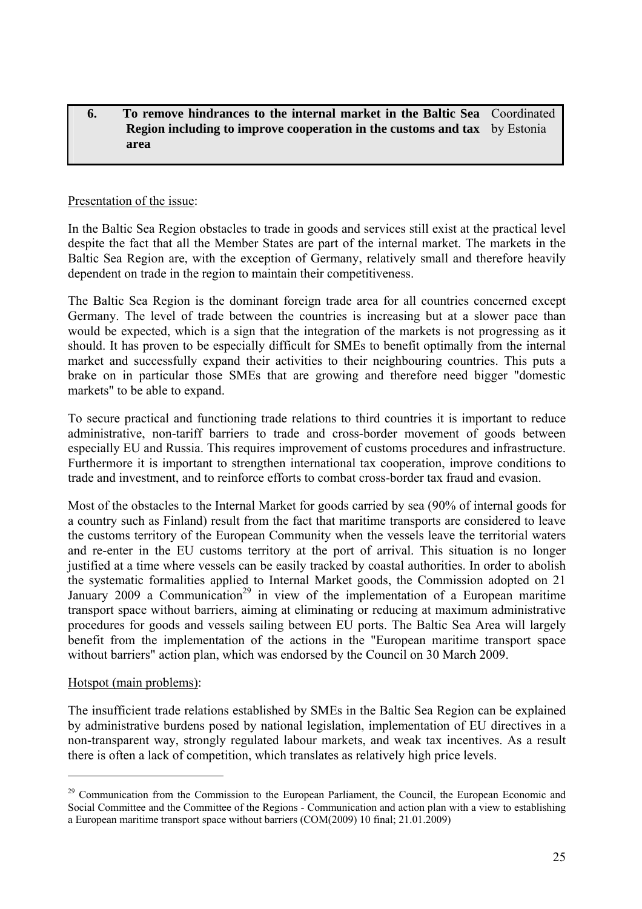#### <span id="page-24-0"></span>**6. To remove hindrances to the internal market in the Baltic Sea Region including to improve cooperation in the customs and tax** by Estonia **area**  Coordinated

### Presentation of the issue:

In the Baltic Sea Region obstacles to trade in goods and services still exist at the practical level despite the fact that all the Member States are part of the internal market. The markets in the Baltic Sea Region are, with the exception of Germany, relatively small and therefore heavily dependent on trade in the region to maintain their competitiveness.

The Baltic Sea Region is the dominant foreign trade area for all countries concerned except Germany. The level of trade between the countries is increasing but at a slower pace than would be expected, which is a sign that the integration of the markets is not progressing as it should. It has proven to be especially difficult for SMEs to benefit optimally from the internal market and successfully expand their activities to their neighbouring countries. This puts a brake on in particular those SMEs that are growing and therefore need bigger "domestic markets" to be able to expand.

To secure practical and functioning trade relations to third countries it is important to reduce administrative, non-tariff barriers to trade and cross-border movement of goods between especially EU and Russia. This requires improvement of customs procedures and infrastructure. Furthermore it is important to strengthen international tax cooperation, improve conditions to trade and investment, and to reinforce efforts to combat cross-border tax fraud and evasion.

Most of the obstacles to the Internal Market for goods carried by sea (90% of internal goods for a country such as Finland) result from the fact that maritime transports are considered to leave the customs territory of the European Community when the vessels leave the territorial waters and re-enter in the EU customs territory at the port of arrival. This situation is no longer justified at a time where vessels can be easily tracked by coastal authorities. In order to abolish the systematic formalities applied to Internal Market goods, the Commission adopted on 21 January 2009 a Communication<sup>29</sup> in view of the implementation of a European maritime transport space without barriers, aiming at eliminating or reducing at maximum administrative procedures for goods and vessels sailing between EU ports. The Baltic Sea Area will largely benefit from the implementation of the actions in the "European maritime transport space without barriers" action plan, which was endorsed by the Council on 30 March 2009.

### Hotspot (main problems):

 $\overline{a}$ 

The insufficient trade relations established by SMEs in the Baltic Sea Region can be explained by administrative burdens posed by national legislation, implementation of EU directives in a non-transparent way, strongly regulated labour markets, and weak tax incentives. As a result there is often a lack of competition, which translates as relatively high price levels.

<sup>&</sup>lt;sup>29</sup> Communication from the Commission to the European Parliament, the Council, the European Economic and Social Committee and the Committee of the Regions - Communication and action plan with a view to establishing a European maritime transport space without barriers (COM(2009) 10 final; 21.01.2009)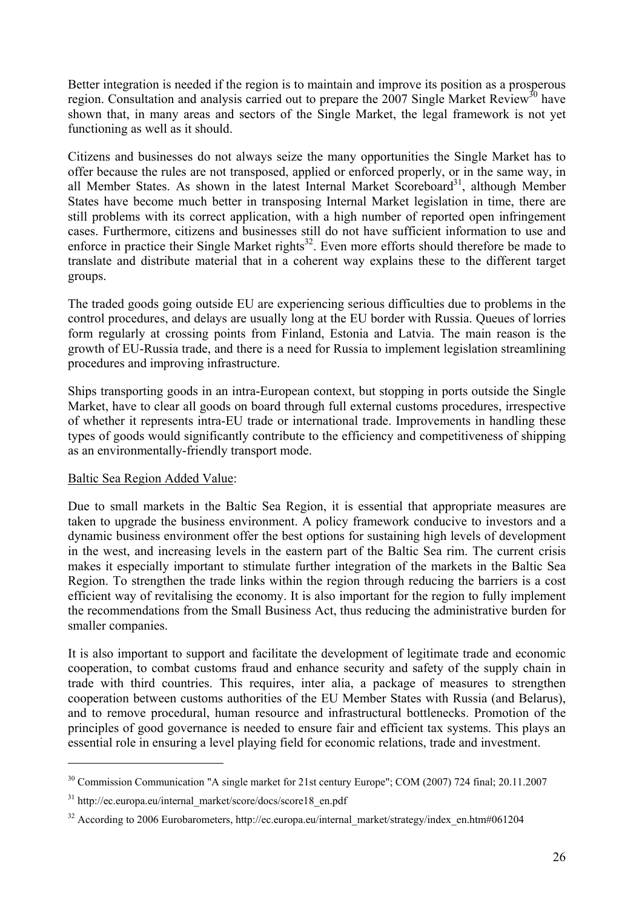Better integration is needed if the region is to maintain and improve its position as a prosperous region. Consultation and analysis carried out to prepare the 2007 Single Market Review<sup>30</sup> have shown that, in many areas and sectors of the Single Market, the legal framework is not yet functioning as well as it should.

Citizens and businesses do not always seize the many opportunities the Single Market has to offer because the rules are not transposed, applied or enforced properly, or in the same way, in all Member States. As shown in the latest Internal Market Scoreboard<sup>31</sup>, although Member States have become much better in transposing Internal Market legislation in time, there are still problems with its correct application, with a high number of reported open infringement cases. Furthermore, citizens and businesses still do not have sufficient information to use and enforce in practice their Single Market rights<sup>32</sup>. Even more efforts should therefore be made to translate and distribute material that in a coherent way explains these to the different target groups.

The traded goods going outside EU are experiencing serious difficulties due to problems in the control procedures, and delays are usually long at the EU border with Russia. Queues of lorries form regularly at crossing points from Finland, Estonia and Latvia. The main reason is the growth of EU-Russia trade, and there is a need for Russia to implement legislation streamlining procedures and improving infrastructure.

Ships transporting goods in an intra-European context, but stopping in ports outside the Single Market, have to clear all goods on board through full external customs procedures, irrespective of whether it represents intra-EU trade or international trade. Improvements in handling these types of goods would significantly contribute to the efficiency and competitiveness of shipping as an environmentally-friendly transport mode.

### Baltic Sea Region Added Value:

 $\overline{a}$ 

Due to small markets in the Baltic Sea Region, it is essential that appropriate measures are taken to upgrade the business environment. A policy framework conducive to investors and a dynamic business environment offer the best options for sustaining high levels of development in the west, and increasing levels in the eastern part of the Baltic Sea rim. The current crisis makes it especially important to stimulate further integration of the markets in the Baltic Sea Region. To strengthen the trade links within the region through reducing the barriers is a cost efficient way of revitalising the economy. It is also important for the region to fully implement the recommendations from the Small Business Act, thus reducing the administrative burden for smaller companies.

It is also important to support and facilitate the development of legitimate trade and economic cooperation, to combat customs fraud and enhance security and safety of the supply chain in trade with third countries. This requires, inter alia, a package of measures to strengthen cooperation between customs authorities of the EU Member States with Russia (and Belarus), and to remove procedural, human resource and infrastructural bottlenecks. Promotion of the principles of good governance is needed to ensure fair and efficient tax systems. This plays an essential role in ensuring a level playing field for economic relations, trade and investment.

<sup>30</sup> Commission Communication "A single market for 21st century Europe"; COM (2007) 724 final; 20.11.2007

<sup>&</sup>lt;sup>31</sup> http://ec.europa.eu/internal\_market/score/docs/score18\_en.pdf

<sup>&</sup>lt;sup>32</sup> According to 2006 Eurobarometers, http://ec.europa.eu/internal\_market/strategy/index\_en.htm#061204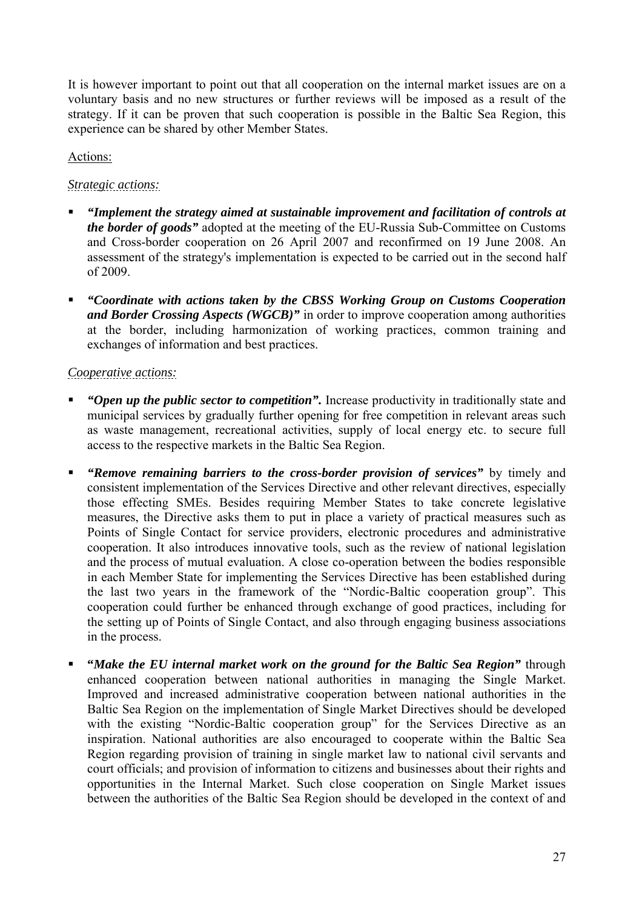It is however important to point out that all cooperation on the internal market issues are on a voluntary basis and no new structures or further reviews will be imposed as a result of the strategy. If it can be proven that such cooperation is possible in the Baltic Sea Region, this experience can be shared by other Member States.

# Actions:

# *Strategic actions:*

- *"Implement the strategy aimed at sustainable improvement and facilitation of controls at the border of goods"* adopted at the meeting of the EU-Russia Sub-Committee on Customs and Cross-border cooperation on 26 April 2007 and reconfirmed on 19 June 2008. An assessment of the strategy's implementation is expected to be carried out in the second half of 2009.
- *"Coordinate with actions taken by the CBSS Working Group on Customs Cooperation and Border Crossing Aspects (WGCB)"* in order to improve cooperation among authorities at the border, including harmonization of working practices, common training and exchanges of information and best practices.

# *Cooperative actions:*

- *"Open up the public sector to competition".* Increase productivity in traditionally state and municipal services by gradually further opening for free competition in relevant areas such as waste management, recreational activities, supply of local energy etc. to secure full access to the respective markets in the Baltic Sea Region.
- *"Remove remaining barriers to the cross-border provision of services"* by timely and consistent implementation of the Services Directive and other relevant directives, especially those effecting SMEs. Besides requiring Member States to take concrete legislative measures, the Directive asks them to put in place a variety of practical measures such as Points of Single Contact for service providers, electronic procedures and administrative cooperation. It also introduces innovative tools, such as the review of national legislation and the process of mutual evaluation. A close co-operation between the bodies responsible in each Member State for implementing the Services Directive has been established during the last two years in the framework of the "Nordic-Baltic cooperation group". This cooperation could further be enhanced through exchange of good practices, including for the setting up of Points of Single Contact, and also through engaging business associations in the process.
- **"***Make the EU internal market work on the ground for the Baltic Sea Region"* through enhanced cooperation between national authorities in managing the Single Market. Improved and increased administrative cooperation between national authorities in the Baltic Sea Region on the implementation of Single Market Directives should be developed with the existing "Nordic-Baltic cooperation group" for the Services Directive as an inspiration. National authorities are also encouraged to cooperate within the Baltic Sea Region regarding provision of training in single market law to national civil servants and court officials; and provision of information to citizens and businesses about their rights and opportunities in the Internal Market. Such close cooperation on Single Market issues between the authorities of the Baltic Sea Region should be developed in the context of and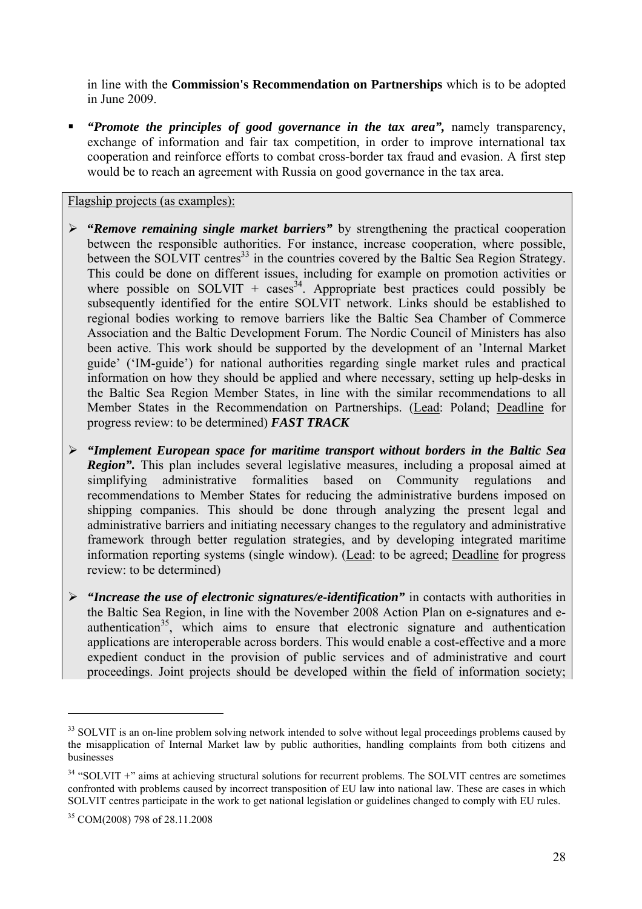in line with the **Commission's Recommendation on Partnerships** which is to be adopted in June 2009.

 *"Promote the principles of good governance in the tax area",* namely transparency, exchange of information and fair tax competition, in order to improve international tax cooperation and reinforce efforts to combat cross-border tax fraud and evasion. A first step would be to reach an agreement with Russia on good governance in the tax area.

Flagship projects (as examples):

- ¾ **"***Remove remaining single market barriers"* by strengthening the practical cooperation between the responsible authorities. For instance, increase cooperation, where possible, between the SOLVIT centres<sup>33</sup> in the countries covered by the Baltic Sea Region Strategy. This could be done on different issues, including for example on promotion activities or where possible on SOLVIT + cases<sup>34</sup>. Appropriate best practices could possibly be subsequently identified for the entire SOLVIT network. Links should be established to regional bodies working to remove barriers like the Baltic Sea Chamber of Commerce Association and the Baltic Development Forum. The Nordic Council of Ministers has also been active. This work should be supported by the development of an 'Internal Market guide' ('IM-guide') for national authorities regarding single market rules and practical information on how they should be applied and where necessary, setting up help-desks in the Baltic Sea Region Member States, in line with the similar recommendations to all Member States in the Recommendation on Partnerships. (Lead: Poland; Deadline for progress review: to be determined) *FAST TRACK*
- ¾ *"Implement European space for maritime transport without borders in the Baltic Sea Region"*. This plan includes several legislative measures, including a proposal aimed at simplifying administrative formalities based on Community regulations and recommendations to Member States for reducing the administrative burdens imposed on shipping companies. This should be done through analyzing the present legal and administrative barriers and initiating necessary changes to the regulatory and administrative framework through better regulation strategies, and by developing integrated maritime information reporting systems (single window). (Lead: to be agreed; Deadline for progress review: to be determined)
- ¾ *"Increase the use of electronic signatures/e-identification"* in contacts with authorities in the Baltic Sea Region, in line with the November 2008 Action Plan on e-signatures and eauthentication<sup>35</sup>, which aims to ensure that electronic signature and authentication applications are interoperable across borders. This would enable a cost-effective and a more expedient conduct in the provision of public services and of administrative and court proceedings. Joint projects should be developed within the field of information society;

<sup>&</sup>lt;sup>33</sup> SOLVIT is an on-line problem solving network intended to solve without legal proceedings problems caused by the misapplication of Internal Market law by public authorities, handling complaints from both citizens and businesses

<sup>&</sup>lt;sup>34</sup> "SOLVIT +" aims at achieving structural solutions for recurrent problems. The SOLVIT centres are sometimes confronted with problems caused by incorrect transposition of EU law into national law. These are cases in which SOLVIT centres participate in the work to get national legislation or guidelines changed to comply with EU rules.

<sup>35</sup> COM(2008) 798 of 28.11.2008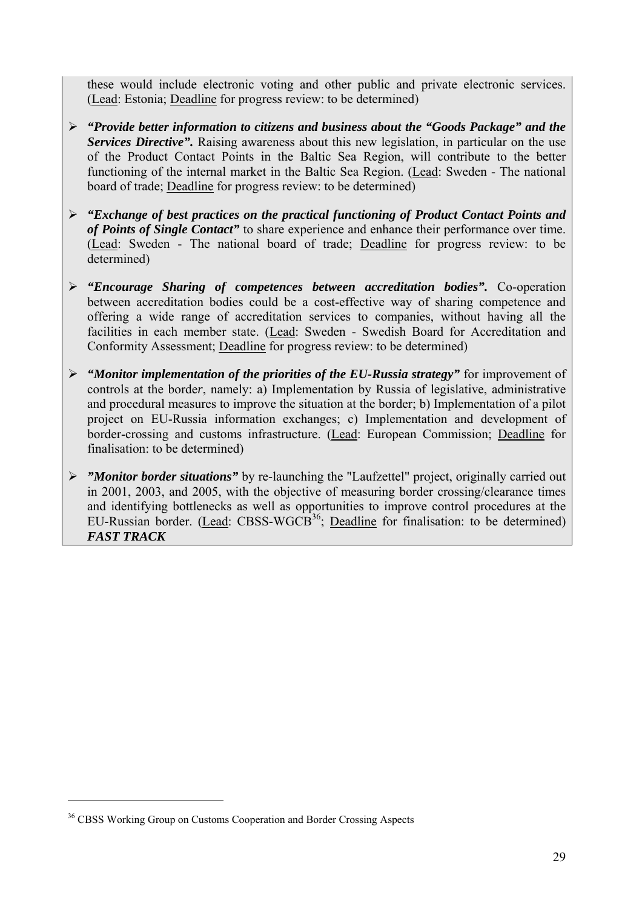these would include electronic voting and other public and private electronic services. (Lead: Estonia; Deadline for progress review: to be determined)

- ¾ *"Provide better information to citizens and business about the "Goods Package" and the Services Directive"*. Raising awareness about this new legislation, in particular on the use of the Product Contact Points in the Baltic Sea Region, will contribute to the better functioning of the internal market in the Baltic Sea Region. (Lead: Sweden - The national board of trade; Deadline for progress review: to be determined)
- ¾ *"Exchange of best practices on the practical functioning of Product Contact Points and of Points of Single Contact"* to share experience and enhance their performance over time. (Lead: Sweden - The national board of trade; Deadline for progress review: to be determined)
- ¾ *"Encourage Sharing of competences between accreditation bodies".* Co-operation between accreditation bodies could be a cost-effective way of sharing competence and offering a wide range of accreditation services to companies, without having all the facilities in each member state. (Lead: Sweden - Swedish Board for Accreditation and Conformity Assessment; Deadline for progress review: to be determined)
- ¾ *"Monitor implementation of the priorities of the EU-Russia strategy"* for improvement of controls at the borde*r*, namely: a) Implementation by Russia of legislative, administrative and procedural measures to improve the situation at the border; b) Implementation of a pilot project on EU-Russia information exchanges; c) Implementation and development of border-crossing and customs infrastructure. (Lead: European Commission; Deadline for finalisation: to be determined)
- ¾ *"Monitor border situations"* by re-launching the "Laufzettel" project, originally carried out in 2001, 2003, and 2005, with the objective of measuring border crossing/clearance times and identifying bottlenecks as well as opportunities to improve control procedures at the EU-Russian border. (Lead: CBSS-WGCB<sup>36</sup>; Deadline for finalisation: to be determined) *FAST TRACK*

<sup>&</sup>lt;sup>36</sup> CBSS Working Group on Customs Cooperation and Border Crossing Aspects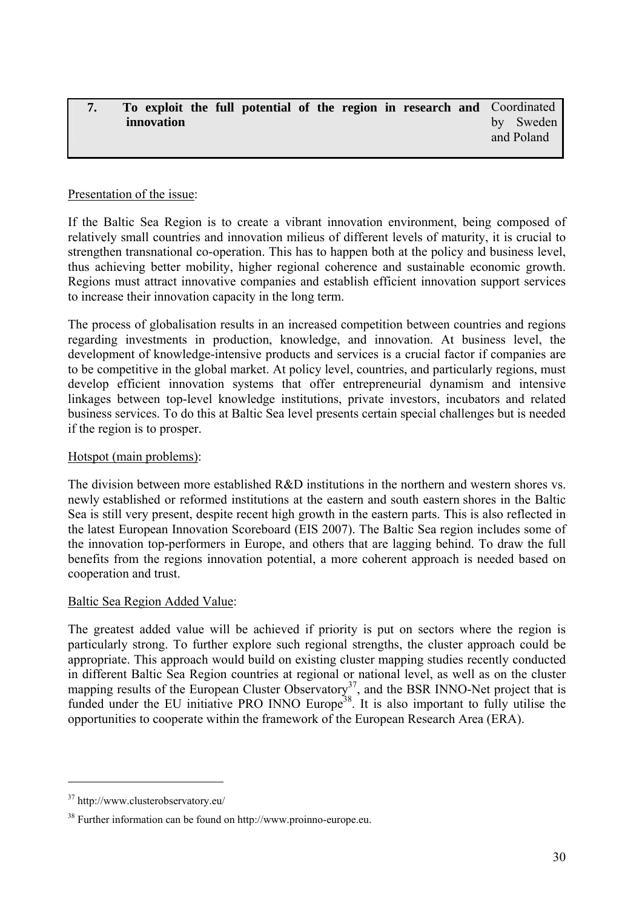#### <span id="page-29-0"></span>**7. To exploit the full potential of the region in research and innovation**  Coordinated by Sweden and Poland

### Presentation of the issue:

If the Baltic Sea Region is to create a vibrant innovation environment, being composed of relatively small countries and innovation milieus of different levels of maturity, it is crucial to strengthen transnational co-operation. This has to happen both at the policy and business level, thus achieving better mobility, higher regional coherence and sustainable economic growth. Regions must attract innovative companies and establish efficient innovation support services to increase their innovation capacity in the long term.

The process of globalisation results in an increased competition between countries and regions regarding investments in production, knowledge, and innovation. At business level, the development of knowledge-intensive products and services is a crucial factor if companies are to be competitive in the global market. At policy level, countries, and particularly regions, must develop efficient innovation systems that offer entrepreneurial dynamism and intensive linkages between top-level knowledge institutions, private investors, incubators and related business services. To do this at Baltic Sea level presents certain special challenges but is needed if the region is to prosper.

### Hotspot (main problems):

The division between more established  $R&D$  institutions in the northern and western shores vs. newly established or reformed institutions at the eastern and south eastern shores in the Baltic Sea is still very present, despite recent high growth in the eastern parts. This is also reflected in the latest European Innovation Scoreboard (EIS 2007). The Baltic Sea region includes some of the innovation top-performers in Europe, and others that are lagging behind. To draw the full benefits from the regions innovation potential, a more coherent approach is needed based on cooperation and trust.

### Baltic Sea Region Added Value:

The greatest added value will be achieved if priority is put on sectors where the region is particularly strong. To further explore such regional strengths, the cluster approach could be appropriate. This approach would build on existing cluster mapping studies recently conducted in different Baltic Sea Region countries at regional or national level, as well as on the cluster mapping results of the European Cluster Observatory<sup>37</sup>, and the BSR INNO-Net project that is funded under the EU initiative PRO INNO Europe<sup>38</sup>. It is also important to fully utilise the opportunities to cooperate within the framework of the European Research Area (ERA).

<sup>37</sup> http://www.clusterobservatory.eu/

<sup>38</sup> Further information can be found on http://www.proinno-europe.eu.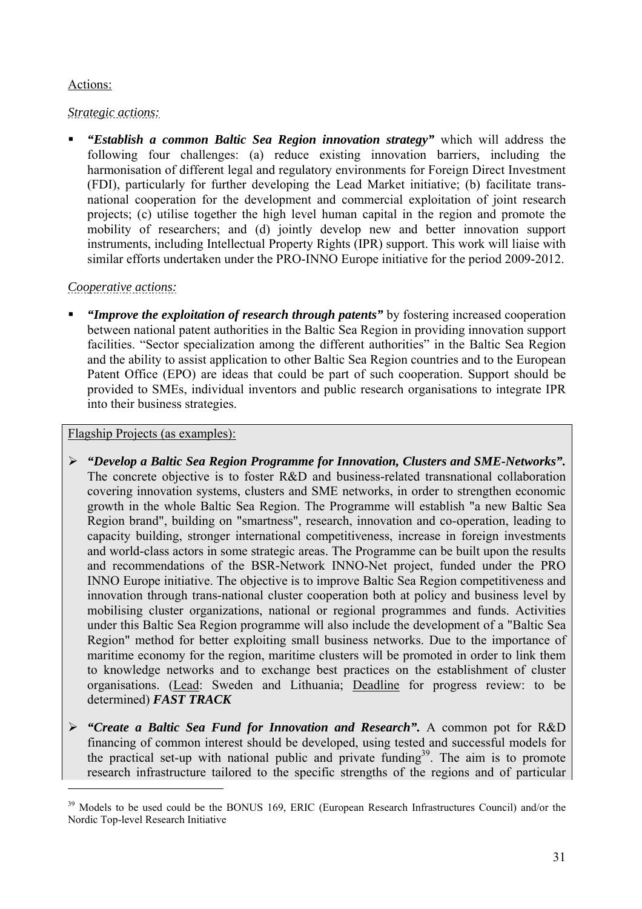# Actions:

# *Strategic actions:*

 *"Establish a common Baltic Sea Region innovation strategy"* which will address the following four challenges: (a) reduce existing innovation barriers, including the harmonisation of different legal and regulatory environments for Foreign Direct Investment (FDI), particularly for further developing the Lead Market initiative; (b) facilitate transnational cooperation for the development and commercial exploitation of joint research projects; (c) utilise together the high level human capital in the region and promote the mobility of researchers; and (d) jointly develop new and better innovation support instruments, including Intellectual Property Rights (IPR) support. This work will liaise with similar efforts undertaken under the PRO-INNO Europe initiative for the period 2009-2012.

# *Cooperative actions:*

 *"Improve the exploitation of research through patents"* by fostering increased cooperation between national patent authorities in the Baltic Sea Region in providing innovation support facilities. "Sector specialization among the different authorities" in the Baltic Sea Region and the ability to assist application to other Baltic Sea Region countries and to the European Patent Office (EPO) are ideas that could be part of such cooperation. Support should be provided to SMEs, individual inventors and public research organisations to integrate IPR into their business strategies.

# Flagship Projects (as examples):

- ¾ *"Develop a Baltic Sea Region Programme for Innovation, Clusters and SME-Networks".*  The concrete objective is to foster R&D and business-related transnational collaboration covering innovation systems, clusters and SME networks, in order to strengthen economic growth in the whole Baltic Sea Region. The Programme will establish "a new Baltic Sea Region brand", building on "smartness", research, innovation and co-operation, leading to capacity building, stronger international competitiveness, increase in foreign investments and world-class actors in some strategic areas. The Programme can be built upon the results and recommendations of the BSR-Network INNO-Net project, funded under the PRO INNO Europe initiative. The objective is to improve Baltic Sea Region competitiveness and innovation through trans-national cluster cooperation both at policy and business level by mobilising cluster organizations, national or regional programmes and funds. Activities under this Baltic Sea Region programme will also include the development of a "Baltic Sea Region" method for better exploiting small business networks. Due to the importance of maritime economy for the region, maritime clusters will be promoted in order to link them to knowledge networks and to exchange best practices on the establishment of cluster organisations. (Lead: Sweden and Lithuania; Deadline for progress review: to be determined) *FAST TRACK*
- ¾ *"Create a Baltic Sea Fund for Innovation and Research".* A common pot for R&D financing of common interest should be developed, using tested and successful models for the practical set-up with national public and private funding<sup>39</sup>. The aim is to promote research infrastructure tailored to the specific strengths of the regions and of particular

<sup>&</sup>lt;sup>39</sup> Models to be used could be the BONUS 169, ERIC (European Research Infrastructures Council) and/or the Nordic Top-level Research Initiative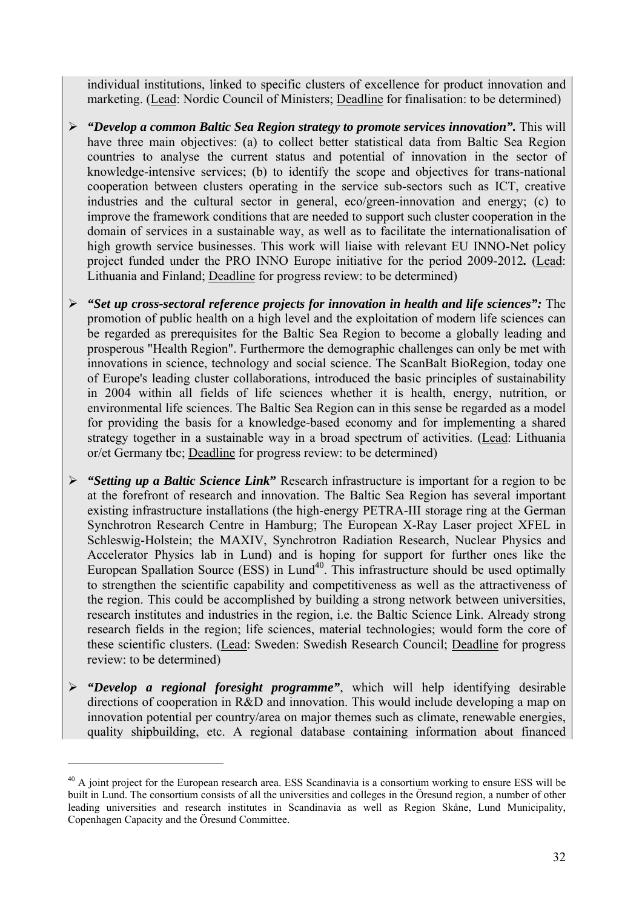individual institutions, linked to specific clusters of excellence for product innovation and marketing. (Lead: Nordic Council of Ministers; Deadline for finalisation: to be determined)

- ¾ *"Develop a common Baltic Sea Region strategy to promote services innovation".* This will have three main objectives: (a) to collect better statistical data from Baltic Sea Region countries to analyse the current status and potential of innovation in the sector of knowledge-intensive services; (b) to identify the scope and objectives for trans-national cooperation between clusters operating in the service sub-sectors such as ICT, creative industries and the cultural sector in general, eco/green-innovation and energy; (c) to improve the framework conditions that are needed to support such cluster cooperation in the domain of services in a sustainable way, as well as to facilitate the internationalisation of high growth service businesses. This work will liaise with relevant EU INNO-Net policy project funded under the PRO INNO Europe initiative for the period 2009-2012*.* (Lead: Lithuania and Finland; Deadline for progress review: to be determined)
- ¾ *"Set up cross-sectoral reference projects for innovation in health and life sciences":* The promotion of public health on a high level and the exploitation of modern life sciences can be regarded as prerequisites for the Baltic Sea Region to become a globally leading and prosperous "Health Region". Furthermore the demographic challenges can only be met with innovations in science, technology and social science. The ScanBalt BioRegion, today one of Europe's leading cluster collaborations, introduced the basic principles of sustainability in 2004 within all fields of life sciences whether it is health, energy, nutrition, or environmental life sciences. The Baltic Sea Region can in this sense be regarded as a model for providing the basis for a knowledge-based economy and for implementing a shared strategy together in a sustainable way in a broad spectrum of activities. (Lead: Lithuania or/et Germany tbc; Deadline for progress review: to be determined)
- ¾ *"Setting up a Baltic Science Link***"** Research infrastructure is important for a region to be at the forefront of research and innovation. The Baltic Sea Region has several important existing infrastructure installations (the high-energy PETRA-III storage ring at the German Synchrotron Research Centre in Hamburg; The European X-Ray Laser project XFEL in Schleswig-Holstein; the MAXIV, Synchrotron Radiation Research, Nuclear Physics and Accelerator Physics lab in Lund) and is hoping for support for further ones like the European Spallation Source  $(ESS)$  in Lund<sup>40</sup>. This infrastructure should be used optimally to strengthen the scientific capability and competitiveness as well as the attractiveness of the region. This could be accomplished by building a strong network between universities, research institutes and industries in the region, i.e. the Baltic Science Link. Already strong research fields in the region; life sciences, material technologies; would form the core of these scientific clusters. (Lead: Sweden: Swedish Research Council; Deadline for progress review: to be determined)
- ¾ *"Develop a regional foresight programme"*, which will help identifying desirable directions of cooperation in R&D and innovation. This would include developing a map on innovation potential per country/area on major themes such as climate, renewable energies, quality shipbuilding, etc. A regional database containing information about financed

<sup>&</sup>lt;sup>40</sup> A joint project for the European research area. ESS Scandinavia is a consortium working to ensure ESS will be built in Lund. The consortium consists of all the universities and colleges in the Öresund region, a number of other leading universities and research institutes in Scandinavia as well as Region Skåne, Lund Municipality, Copenhagen Capacity and the Öresund Committee.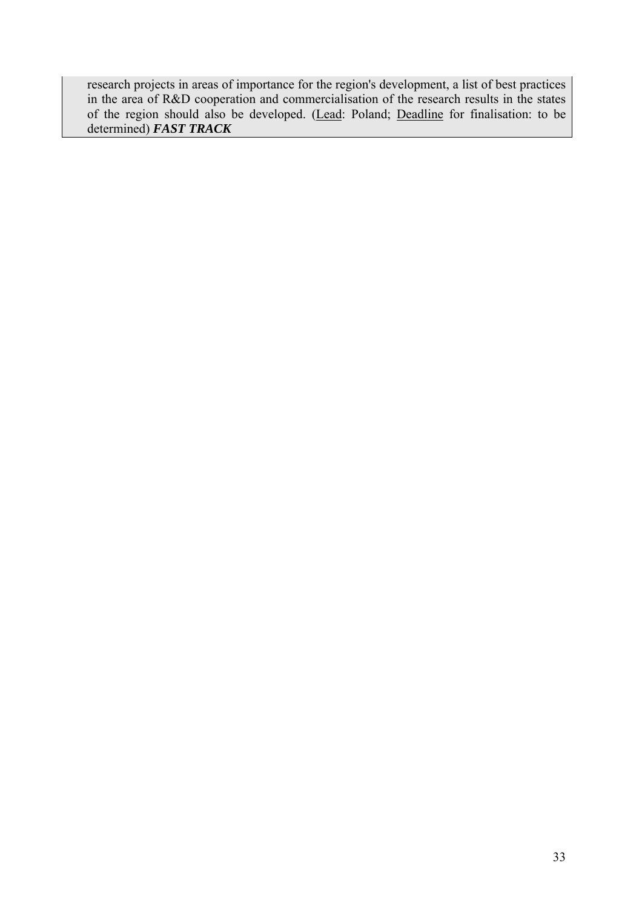research projects in areas of importance for the region's development, a list of best practices in the area of R&D cooperation and commercialisation of the research results in the states of the region should also be developed. (Lead: Poland; Deadline for finalisation: to be determined) *FAST TRACK*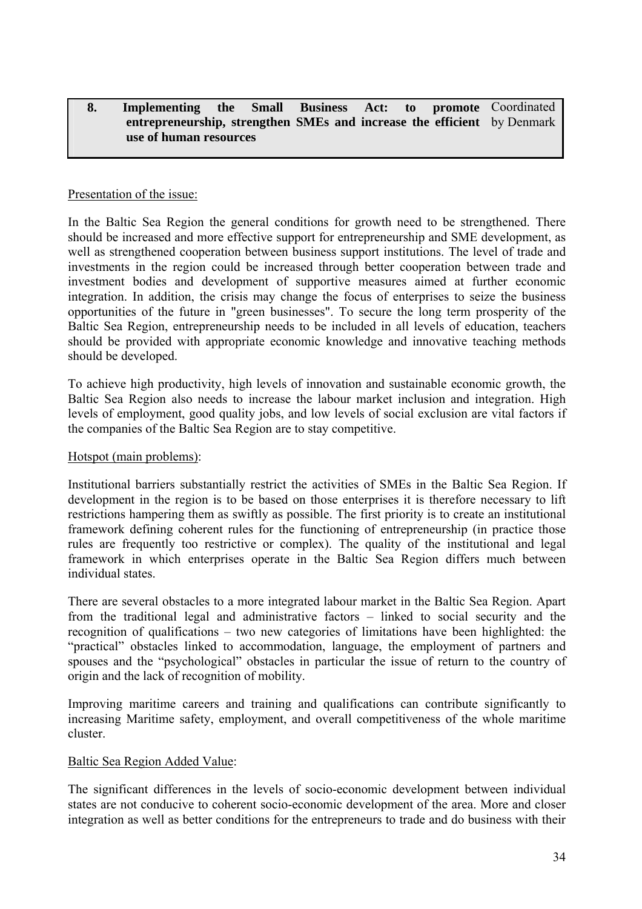#### <span id="page-33-0"></span>**8.** Implementing the Small Business Act: to **entrepreneurship, strengthen SMEs and increase the efficient**  by Denmark **use of human resources**  promote Coordinated

### Presentation of the issue:

In the Baltic Sea Region the general conditions for growth need to be strengthened. There should be increased and more effective support for entrepreneurship and SME development, as well as strengthened cooperation between business support institutions. The level of trade and investments in the region could be increased through better cooperation between trade and investment bodies and development of supportive measures aimed at further economic integration. In addition, the crisis may change the focus of enterprises to seize the business opportunities of the future in "green businesses". To secure the long term prosperity of the Baltic Sea Region, entrepreneurship needs to be included in all levels of education, teachers should be provided with appropriate economic knowledge and innovative teaching methods should be developed.

To achieve high productivity, high levels of innovation and sustainable economic growth, the Baltic Sea Region also needs to increase the labour market inclusion and integration. High levels of employment, good quality jobs, and low levels of social exclusion are vital factors if the companies of the Baltic Sea Region are to stay competitive.

### Hotspot (main problems):

Institutional barriers substantially restrict the activities of SMEs in the Baltic Sea Region. If development in the region is to be based on those enterprises it is therefore necessary to lift restrictions hampering them as swiftly as possible. The first priority is to create an institutional framework defining coherent rules for the functioning of entrepreneurship (in practice those rules are frequently too restrictive or complex). The quality of the institutional and legal framework in which enterprises operate in the Baltic Sea Region differs much between individual states.

There are several obstacles to a more integrated labour market in the Baltic Sea Region. Apart from the traditional legal and administrative factors – linked to social security and the recognition of qualifications – two new categories of limitations have been highlighted: the "practical" obstacles linked to accommodation, language, the employment of partners and spouses and the "psychological" obstacles in particular the issue of return to the country of origin and the lack of recognition of mobility.

Improving maritime careers and training and qualifications can contribute significantly to increasing Maritime safety, employment, and overall competitiveness of the whole maritime cluster.

### Baltic Sea Region Added Value:

The significant differences in the levels of socio-economic development between individual states are not conducive to coherent socio-economic development of the area. More and closer integration as well as better conditions for the entrepreneurs to trade and do business with their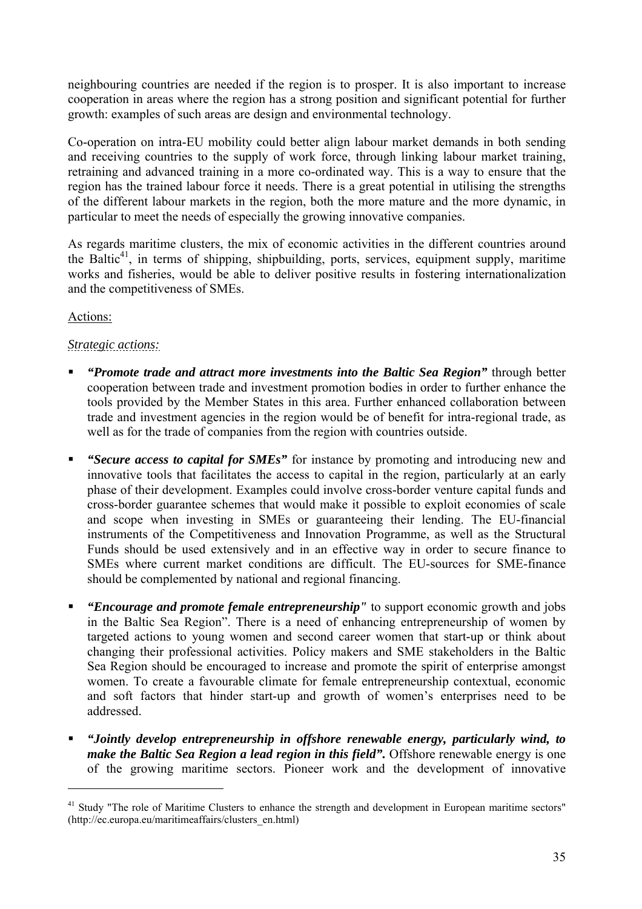neighbouring countries are needed if the region is to prosper. It is also important to increase cooperation in areas where the region has a strong position and significant potential for further growth: examples of such areas are design and environmental technology.

Co-operation on intra-EU mobility could better align labour market demands in both sending and receiving countries to the supply of work force, through linking labour market training, retraining and advanced training in a more co-ordinated way. This is a way to ensure that the region has the trained labour force it needs. There is a great potential in utilising the strengths of the different labour markets in the region, both the more mature and the more dynamic, in particular to meet the needs of especially the growing innovative companies.

As regards maritime clusters, the mix of economic activities in the different countries around the Baltic<sup>41</sup>, in terms of shipping, shipbuilding, ports, services, equipment supply, maritime works and fisheries, would be able to deliver positive results in fostering internationalization and the competitiveness of SMEs.

# Actions:

 $\overline{a}$ 

# *Strategic actions:*

- *"Promote trade and attract more investments into the Baltic Sea Region"* through better cooperation between trade and investment promotion bodies in order to further enhance the tools provided by the Member States in this area. Further enhanced collaboration between trade and investment agencies in the region would be of benefit for intra-regional trade, as well as for the trade of companies from the region with countries outside.
- *"Secure access to capital for SMEs"* for instance by promoting and introducing new and innovative tools that facilitates the access to capital in the region, particularly at an early phase of their development. Examples could involve cross-border venture capital funds and cross-border guarantee schemes that would make it possible to exploit economies of scale and scope when investing in SMEs or guaranteeing their lending. The EU-financial instruments of the Competitiveness and Innovation Programme, as well as the Structural Funds should be used extensively and in an effective way in order to secure finance to SMEs where current market conditions are difficult. The EU-sources for SME-finance should be complemented by national and regional financing.
- *"Encourage and promote female entrepreneurship"* to support economic growth and jobs in the Baltic Sea Region". There is a need of enhancing entrepreneurship of women by targeted actions to young women and second career women that start-up or think about changing their professional activities. Policy makers and SME stakeholders in the Baltic Sea Region should be encouraged to increase and promote the spirit of enterprise amongst women. To create a favourable climate for female entrepreneurship contextual, economic and soft factors that hinder start-up and growth of women's enterprises need to be addressed.
- *"Jointly develop entrepreneurship in offshore renewable energy, particularly wind, to make the Baltic Sea Region a lead region in this field".* Offshore renewable energy is one of the growing maritime sectors. Pioneer work and the development of innovative

<sup>&</sup>lt;sup>41</sup> Study "The role of Maritime Clusters to enhance the strength and development in European maritime sectors" (http://ec.europa.eu/maritimeaffairs/clusters\_en.html)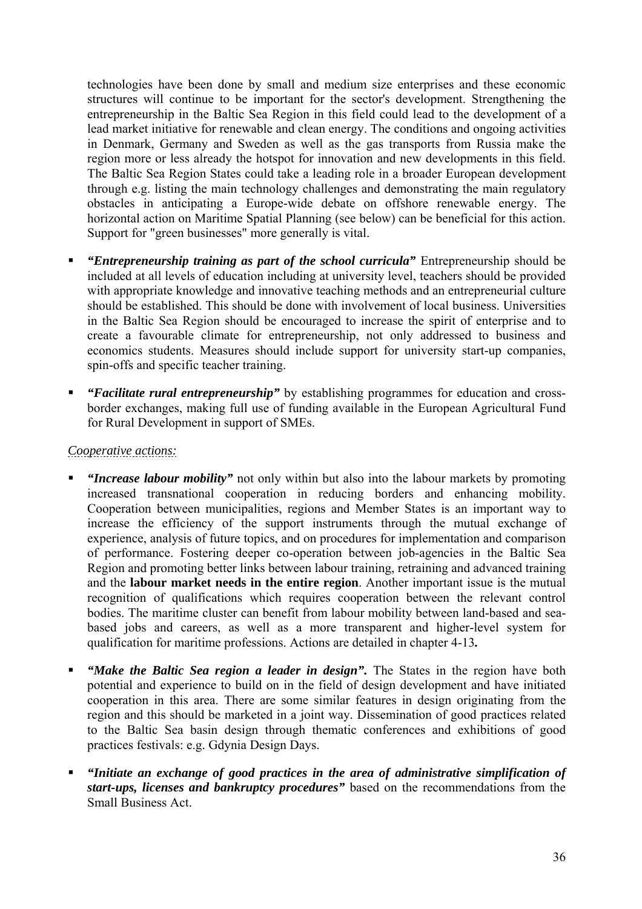technologies have been done by small and medium size enterprises and these economic structures will continue to be important for the sector's development. Strengthening the entrepreneurship in the Baltic Sea Region in this field could lead to the development of a lead market initiative for renewable and clean energy. The conditions and ongoing activities in Denmark, Germany and Sweden as well as the gas transports from Russia make the region more or less already the hotspot for innovation and new developments in this field. The Baltic Sea Region States could take a leading role in a broader European development through e.g. listing the main technology challenges and demonstrating the main regulatory obstacles in anticipating a Europe-wide debate on offshore renewable energy. The horizontal action on Maritime Spatial Planning (see below) can be beneficial for this action. Support for "green businesses" more generally is vital.

- *"Entrepreneurship training as part of the school curricula"* Entrepreneurship should be included at all levels of education including at university level, teachers should be provided with appropriate knowledge and innovative teaching methods and an entrepreneurial culture should be established. This should be done with involvement of local business. Universities in the Baltic Sea Region should be encouraged to increase the spirit of enterprise and to create a favourable climate for entrepreneurship, not only addressed to business and economics students. Measures should include support for university start-up companies, spin-offs and specific teacher training.
- *"Facilitate rural entrepreneurship"* by establishing programmes for education and crossborder exchanges, making full use of funding available in the European Agricultural Fund for Rural Development in support of SMEs.

# *Cooperative actions:*

- *"Increase labour mobility"* not only within but also into the labour markets by promoting increased transnational cooperation in reducing borders and enhancing mobility. Cooperation between municipalities, regions and Member States is an important way to increase the efficiency of the support instruments through the mutual exchange of experience, analysis of future topics, and on procedures for implementation and comparison of performance. Fostering deeper co-operation between job-agencies in the Baltic Sea Region and promoting better links between labour training, retraining and advanced training and the **labour market needs in the entire region**. Another important issue is the mutual recognition of qualifications which requires cooperation between the relevant control bodies. The maritime cluster can benefit from labour mobility between land-based and seabased jobs and careers, as well as a more transparent and higher-level system for qualification for maritime professions. Actions are detailed in chapter 4-13*.*
- *"Make the Baltic Sea region a leader in design"*. The States in the region have both potential and experience to build on in the field of design development and have initiated cooperation in this area. There are some similar features in design originating from the region and this should be marketed in a joint way. Dissemination of good practices related to the Baltic Sea basin design through thematic conferences and exhibitions of good practices festivals: e.g. Gdynia Design Days.
- *"Initiate an exchange of good practices in the area of administrative simplification of start-ups, licenses and bankruptcy procedures"* based on the recommendations from the Small Business Act.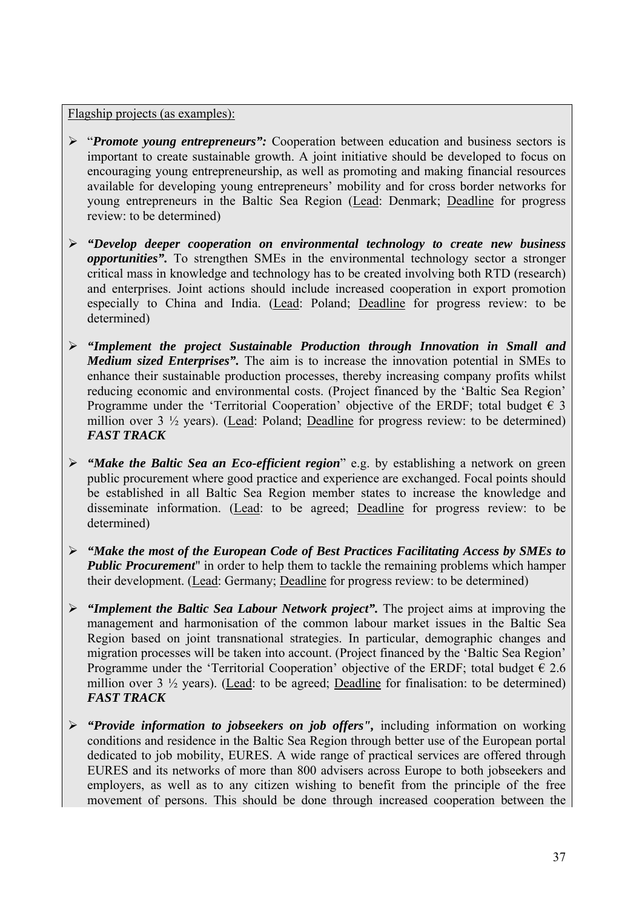Flagship projects (as examples):

- ¾ "*Promote young entrepreneurs":* Cooperation between education and business sectors is important to create sustainable growth. A joint initiative should be developed to focus on encouraging young entrepreneurship, as well as promoting and making financial resources available for developing young entrepreneurs' mobility and for cross border networks for young entrepreneurs in the Baltic Sea Region (Lead: Denmark; Deadline for progress review: to be determined)
- ¾ *"Develop deeper cooperation on environmental technology to create new business opportunities".* To strengthen SMEs in the environmental technology sector a stronger critical mass in knowledge and technology has to be created involving both RTD (research) and enterprises. Joint actions should include increased cooperation in export promotion especially to China and India. (Lead: Poland; Deadline for progress review: to be determined)
- ¾ *"Implement the project Sustainable Production through Innovation in Small and Medium sized Enterprises*". The aim is to increase the innovation potential in SMEs to enhance their sustainable production processes, thereby increasing company profits whilst reducing economic and environmental costs. (Project financed by the 'Baltic Sea Region' Programme under the 'Territorial Cooperation' objective of the ERDF; total budget  $\epsilon$  3 million over  $3\frac{1}{2}$  years). (Lead: Poland; Deadline for progress review: to be determined) *FAST TRACK*
- ¾ *"Make the Baltic Sea an Eco-efficient region*" e.g. by establishing a network on green public procurement where good practice and experience are exchanged. Focal points should be established in all Baltic Sea Region member states to increase the knowledge and disseminate information. (Lead: to be agreed; Deadline for progress review: to be determined)
- ¾ *"Make the most of the European Code of Best Practices Facilitating Access by SMEs to Public Procurement*" in order to help them to tackle the remaining problems which hamper their development. (Lead: Germany; Deadline for progress review: to be determined)
- ¾ *"Implement the Baltic Sea Labour Network project".* The project aims at improving the management and harmonisation of the common labour market issues in the Baltic Sea Region based on joint transnational strategies. In particular, demographic changes and migration processes will be taken into account. (Project financed by the 'Baltic Sea Region' Programme under the 'Territorial Cooperation' objective of the ERDF; total budget  $\epsilon$  2.6 million over  $3\frac{1}{2}$  years). (Lead: to be agreed; Deadline for finalisation: to be determined) *FAST TRACK*
- ¾ *"Provide information to jobseekers on job offers",* including information on working conditions and residence in the Baltic Sea Region through better use of the European portal dedicated to job mobility, EURES. A wide range of practical services are offered through EURES and its networks of more than 800 advisers across Europe to both jobseekers and employers, as well as to any citizen wishing to benefit from the principle of the free movement of persons. This should be done through increased cooperation between the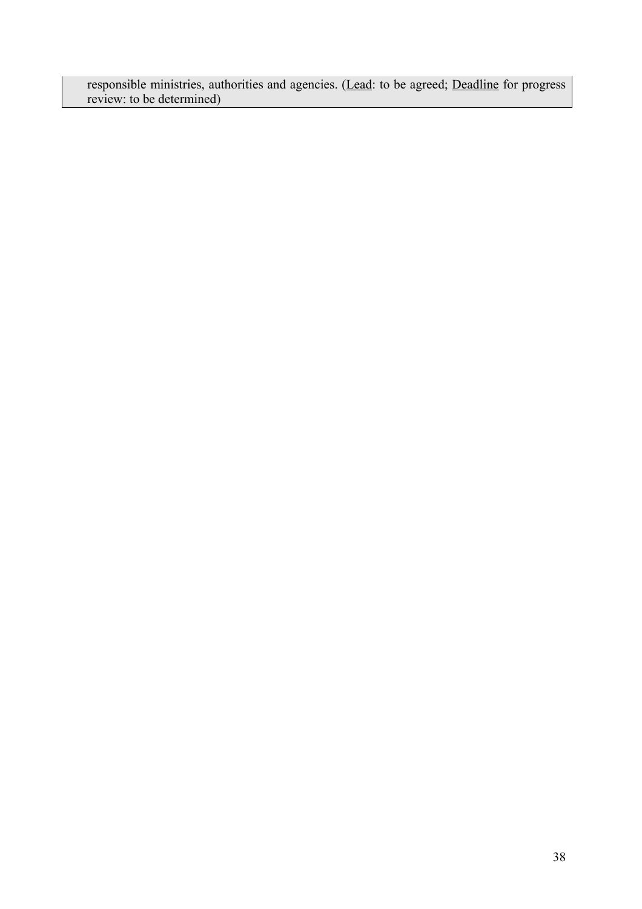responsible ministries, authorities and agencies. (Lead: to be agreed; Deadline for progress review: to be determined)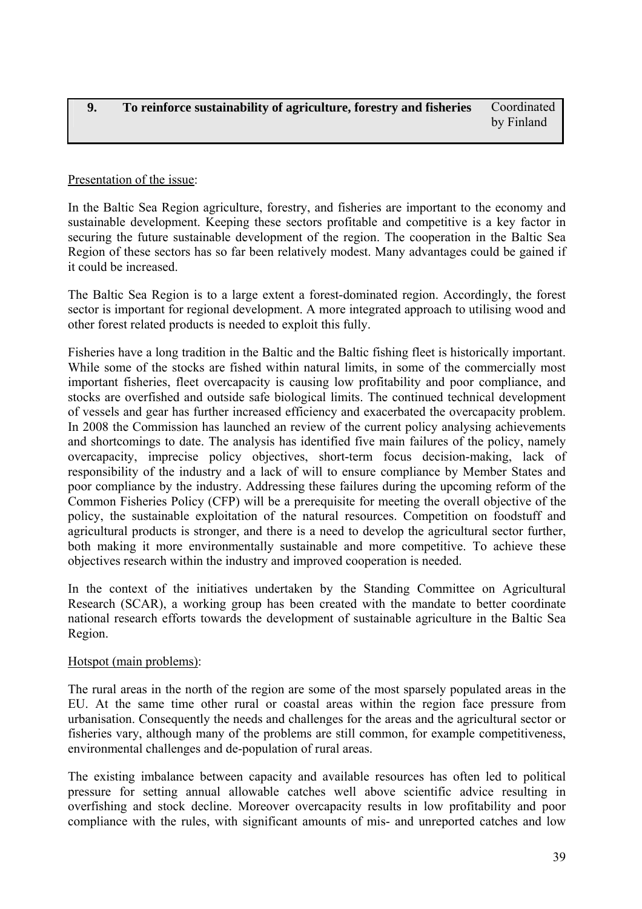# <span id="page-38-0"></span>Presentation of the issue:

In the Baltic Sea Region agriculture, forestry, and fisheries are important to the economy and sustainable development. Keeping these sectors profitable and competitive is a key factor in securing the future sustainable development of the region. The cooperation in the Baltic Sea Region of these sectors has so far been relatively modest. Many advantages could be gained if it could be increased.

The Baltic Sea Region is to a large extent a forest-dominated region. Accordingly, the forest sector is important for regional development. A more integrated approach to utilising wood and other forest related products is needed to exploit this fully.

Fisheries have a long tradition in the Baltic and the Baltic fishing fleet is historically important. While some of the stocks are fished within natural limits, in some of the commercially most important fisheries, fleet overcapacity is causing low profitability and poor compliance, and stocks are overfished and outside safe biological limits. The continued technical development of vessels and gear has further increased efficiency and exacerbated the overcapacity problem. In 2008 the Commission has launched an [review of the current policy](http://ec.europa.eu/fisheries/cfp/review_en.htm) analysing achievements and shortcomings to date. The analysis has identified five main failures of the policy, namely overcapacity, imprecise policy objectives, short-term focus decision-making, lack of responsibility of the industry and a lack of will to ensure compliance by Member States and poor compliance by the industry. Addressing these failures during the upcoming reform of the Common Fisheries Policy (CFP) will be a prerequisite for meeting the overall objective of the policy, the sustainable exploitation of the natural resources. Competition on foodstuff and agricultural products is stronger, and there is a need to develop the agricultural sector further, both making it more environmentally sustainable and more competitive. To achieve these objectives research within the industry and improved cooperation is needed.

In the context of the initiatives undertaken by the Standing Committee on Agricultural Research (SCAR), a working group has been created with the mandate to better coordinate national research efforts towards the development of sustainable agriculture in the Baltic Sea Region.

# Hotspot (main problems):

The rural areas in the north of the region are some of the most sparsely populated areas in the EU. At the same time other rural or coastal areas within the region face pressure from urbanisation. Consequently the needs and challenges for the areas and the agricultural sector or fisheries vary, although many of the problems are still common, for example competitiveness, environmental challenges and de-population of rural areas.

The existing imbalance between capacity and available resources has often led to political pressure for setting annual allowable catches well above scientific advice resulting in overfishing and stock decline. Moreover overcapacity results in low profitability and poor compliance with the rules, with significant amounts of mis- and unreported catches and low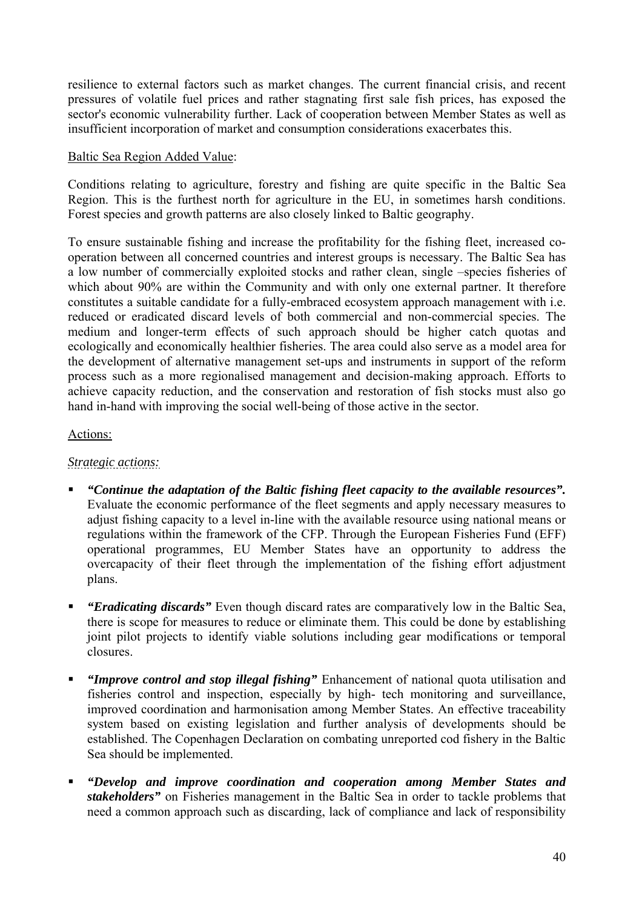resilience to external factors such as market changes. The current financial crisis, and recent pressures of volatile fuel prices and rather stagnating first sale fish prices, has exposed the sector's economic vulnerability further. Lack of cooperation between Member States as well as insufficient incorporation of market and consumption considerations exacerbates this.

### Baltic Sea Region Added Value:

Conditions relating to agriculture, forestry and fishing are quite specific in the Baltic Sea Region. This is the furthest north for agriculture in the EU, in sometimes harsh conditions. Forest species and growth patterns are also closely linked to Baltic geography.

To ensure sustainable fishing and increase the profitability for the fishing fleet, increased cooperation between all concerned countries and interest groups is necessary. The Baltic Sea has a low number of commercially exploited stocks and rather clean, single –species fisheries of which about 90% are within the Community and with only one external partner. It therefore constitutes a suitable candidate for a fully-embraced ecosystem approach management with i.e. reduced or eradicated discard levels of both commercial and non-commercial species. The medium and longer-term effects of such approach should be higher catch quotas and ecologically and economically healthier fisheries. The area could also serve as a model area for the development of alternative management set-ups and instruments in support of the reform process such as a more regionalised management and decision-making approach. Efforts to achieve capacity reduction, and the conservation and restoration of fish stocks must also go hand in-hand with improving the social well-being of those active in the sector.

# Actions:

# *Strategic actions:*

- *"Continue the adaptation of the Baltic fishing fleet capacity to the available resources".*  Evaluate the economic performance of the fleet segments and apply necessary measures to adjust fishing capacity to a level in-line with the available resource using national means or regulations within the framework of the CFP. Through the European Fisheries Fund (EFF) operational programmes, EU Member States have an opportunity to address the overcapacity of their fleet through the implementation of the fishing effort adjustment plans.
- *"Eradicating discards"* Even though discard rates are comparatively low in the Baltic Sea, there is scope for measures to reduce or eliminate them. This could be done by establishing joint pilot projects to identify viable solutions including gear modifications or temporal closures.
- *"Improve control and stop illegal fishing"* Enhancement of national quota utilisation and fisheries control and inspection, especially by high- tech monitoring and surveillance, improved coordination and harmonisation among Member States. An effective traceability system based on existing legislation and further analysis of developments should be established. The Copenhagen Declaration on combating unreported cod fishery in the Baltic Sea should be implemented.
- *"Develop and improve coordination and cooperation among Member States and stakeholders"* on Fisheries management in the Baltic Sea in order to tackle problems that need a common approach such as discarding, lack of compliance and lack of responsibility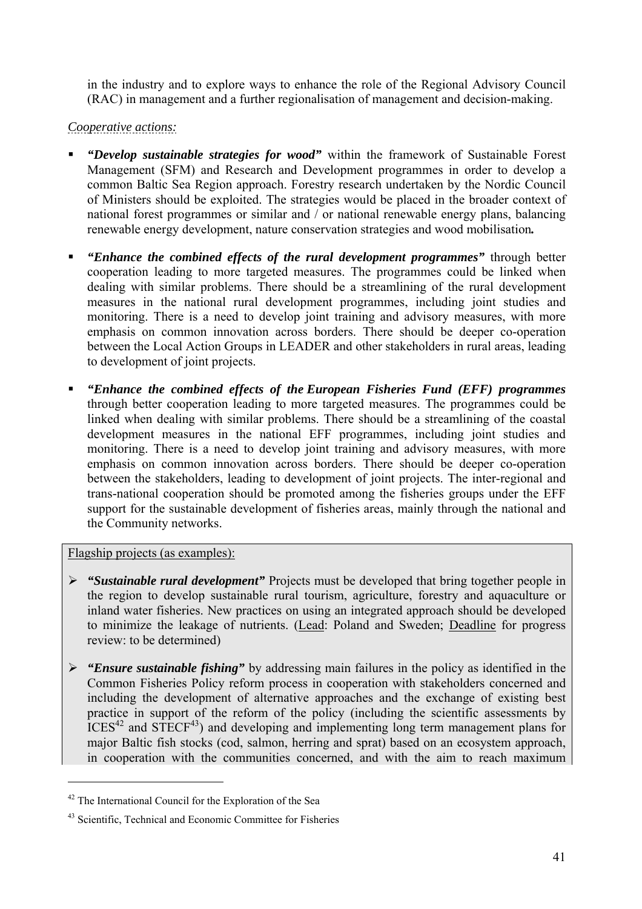in the industry and to explore ways to enhance the role of the Regional Advisory Council (RAC) in management and a further regionalisation of management and decision-making.

# *Cooperative actions:*

- *"Develop sustainable strategies for wood"* within the framework of Sustainable Forest Management (SFM) and Research and Development programmes in order to develop a common Baltic Sea Region approach. Forestry research undertaken by the Nordic Council of Ministers should be exploited. The strategies would be placed in the broader context of national forest programmes or similar and / or national renewable energy plans, balancing renewable energy development, nature conservation strategies and wood mobilisation*.*
- *"Enhance the combined effects of the rural development programmes"* through better cooperation leading to more targeted measures. The programmes could be linked when dealing with similar problems. There should be a streamlining of the rural development measures in the national rural development programmes, including joint studies and monitoring. There is a need to develop joint training and advisory measures, with more emphasis on common innovation across borders. There should be deeper co-operation between the Local Action Groups in LEADER and other stakeholders in rural areas, leading to development of joint projects.
- *"Enhance the combined effects of the European Fisheries Fund (EFF) programmes*  through better cooperation leading to more targeted measures. The programmes could be linked when dealing with similar problems. There should be a streamlining of the coastal development measures in the national EFF programmes, including joint studies and monitoring. There is a need to develop joint training and advisory measures, with more emphasis on common innovation across borders. There should be deeper co-operation between the stakeholders, leading to development of joint projects. The inter-regional and trans-national cooperation should be promoted among the fisheries groups under the EFF support for the sustainable development of fisheries areas, mainly through the national and the Community networks.

Flagship projects (as examples):

- ¾ *"Sustainable rural development"* Projects must be developed that bring together people in the region to develop sustainable rural tourism, agriculture, forestry and aquaculture or inland water fisheries. New practices on using an integrated approach should be developed to minimize the leakage of nutrients. (Lead: Poland and Sweden; Deadline for progress review: to be determined)
- ¾ *"Ensure sustainable fishing"* by addressing main failures in the policy as identified in the Common Fisheries Policy reform process in cooperation with stakeholders concerned and including the development of alternative approaches and the exchange of existing best practice in support of the reform of the policy (including the scientific assessments by  $ICES<sup>42</sup>$  and  $STECF<sup>43</sup>$ ) and developing and implementing long term management plans for major Baltic fish stocks (cod, salmon, herring and sprat) based on an ecosystem approach, in cooperation with the communities concerned, and with the aim to reach maximum

<sup>42</sup> The International Council for the Exploration of the Sea

<sup>&</sup>lt;sup>43</sup> Scientific, Technical and Economic Committee for Fisheries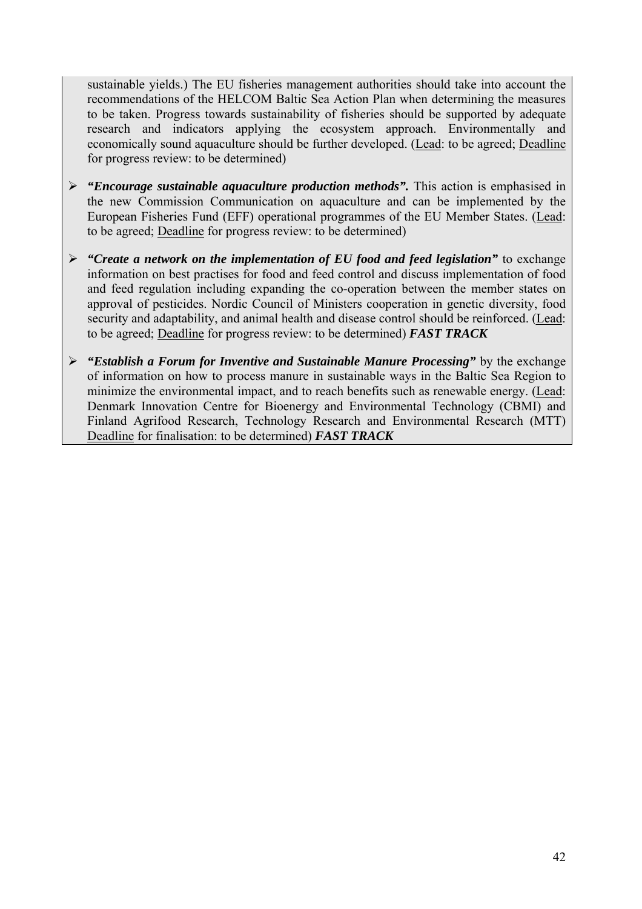sustainable yields.) The EU fisheries management authorities should take into account the recommendations of the HELCOM Baltic Sea Action Plan when determining the measures to be taken. Progress towards sustainability of fisheries should be supported by adequate research and indicators applying the ecosystem approach. Environmentally and economically sound aquaculture should be further developed. (Lead: to be agreed; Deadline for progress review: to be determined)

- ¾ *"Encourage sustainable aquaculture production methods".* This action is emphasised in the new Commission Communication on aquaculture and can be implemented by the European Fisheries Fund (EFF) operational programmes of the EU Member States. (Lead: to be agreed; Deadline for progress review: to be determined)
- ¾ *"Create a network on the implementation of EU food and feed legislation"* to exchange information on best practises for food and feed control and discuss implementation of food and feed regulation including expanding the co-operation between the member states on approval of pesticides. Nordic Council of Ministers cooperation in genetic diversity, food security and adaptability, and animal health and disease control should be reinforced. (Lead: to be agreed; Deadline for progress review: to be determined) *FAST TRACK*
- ¾ *"Establish a Forum for Inventive and Sustainable Manure Processing"* by the exchange of information on how to process manure in sustainable ways in the Baltic Sea Region to minimize the environmental impact, and to reach benefits such as renewable energy. (Lead: Denmark Innovation Centre for Bioenergy and Environmental Technology (CBMI) and Finland Agrifood Research, Technology Research and Environmental Research (MTT) Deadline for finalisation: to be determined) *FAST TRACK*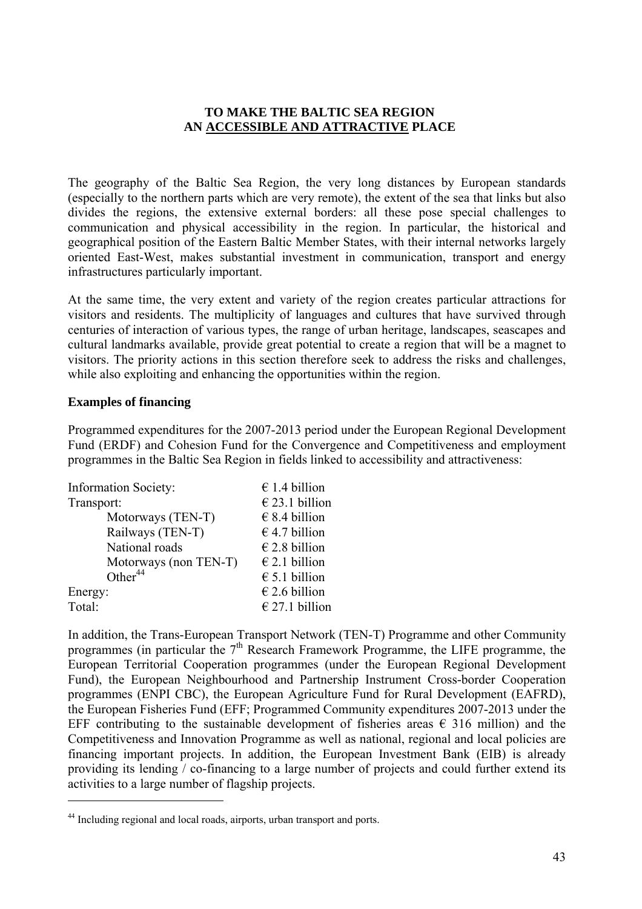### **TO MAKE THE BALTIC SEA REGION AN ACCESSIBLE AND ATTRACTIVE PLACE**

<span id="page-42-0"></span>The geography of the Baltic Sea Region, the very long distances by European standards (especially to the northern parts which are very remote), the extent of the sea that links but also divides the regions, the extensive external borders: all these pose special challenges to communication and physical accessibility in the region. In particular, the historical and geographical position of the Eastern Baltic Member States, with their internal networks largely oriented East-West, makes substantial investment in communication, transport and energy infrastructures particularly important.

At the same time, the very extent and variety of the region creates particular attractions for visitors and residents. The multiplicity of languages and cultures that have survived through centuries of interaction of various types, the range of urban heritage, landscapes, seascapes and cultural landmarks available, provide great potential to create a region that will be a magnet to visitors. The priority actions in this section therefore seek to address the risks and challenges, while also exploiting and enhancing the opportunities within the region.

#### **Examples of financing**

 $\overline{a}$ 

Programmed expenditures for the 2007-2013 period under the European Regional Development Fund (ERDF) and Cohesion Fund for the Convergence and Competitiveness and employment programmes in the Baltic Sea Region in fields linked to accessibility and attractiveness:

| <b>Information Society:</b> | € 1.4 billion          |
|-----------------------------|------------------------|
| Transport:                  | $€$ 23.1 billion       |
| Motorways (TEN-T)           | $\epsilon$ 8.4 billion |
| Railways (TEN-T)            | € 4.7 billion          |
| National roads              | $€$ 2.8 billion        |
| Motorways (non TEN-T)       | $E$ 2.1 billion        |
| Other $44$                  | $\epsilon$ 5.1 billion |
| Energy:                     | $€$ 2.6 billion        |
| Total:                      | $E$ 27.1 billion       |

In addition, the Trans-European Transport Network (TEN-T) Programme and other Community programmes (in particular the 7<sup>th</sup> Research Framework Programme, the LIFE programme, the European Territorial Cooperation programmes (under the European Regional Development Fund), the European Neighbourhood and Partnership Instrument Cross-border Cooperation programmes (ENPI CBC), the European Agriculture Fund for Rural Development (EAFRD), the European Fisheries Fund (EFF; Programmed Community expenditures 2007-2013 under the EFF contributing to the sustainable development of fisheries areas  $\epsilon$  316 million) and the Competitiveness and Innovation Programme as well as national, regional and local policies are financing important projects. In addition, the European Investment Bank (EIB) is already providing its lending / co-financing to a large number of projects and could further extend its activities to a large number of flagship projects.

<sup>44</sup> Including regional and local roads, airports, urban transport and ports.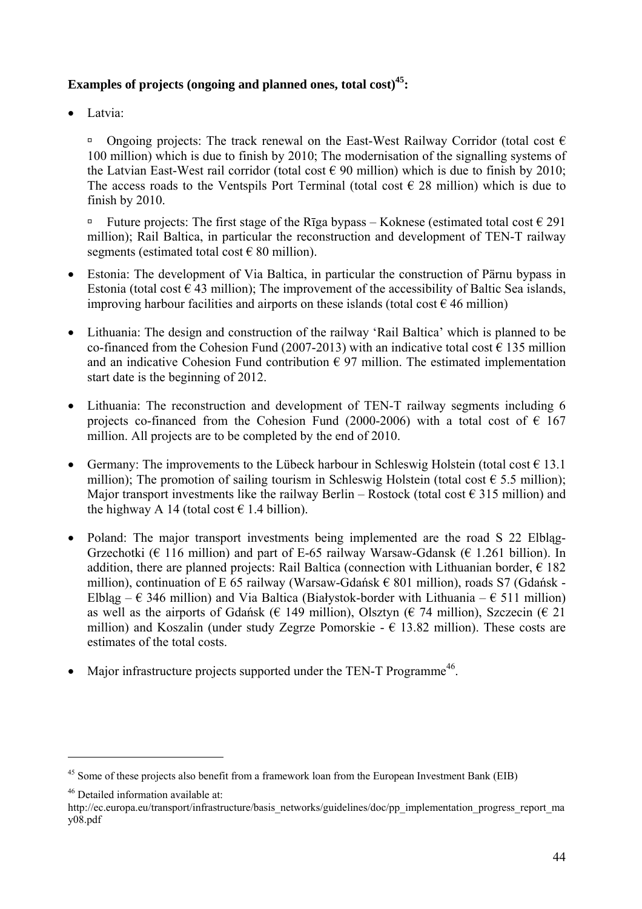# **Examples of projects (ongoing and planned ones, total cost)<sup>45</sup>:**

• Latvia:

**a** Ongoing projects: The track renewal on the East-West Railway Corridor (total cost  $\epsilon$ 100 million) which is due to finish by 2010; The modernisation of the signalling systems of the Latvian East-West rail corridor (total cost  $\epsilon$  90 million) which is due to finish by 2010; The access roads to the Ventspils Port Terminal (total cost  $\epsilon$  28 million) which is due to finish by 2010.

**□** Future projects: The first stage of the Rīga bypass – Koknese (estimated total cost  $€ 291$ million); Rail Baltica, in particular the reconstruction and development of TEN-T railway segments (estimated total cost  $\epsilon$  80 million).

- Estonia: The development of Via Baltica, in particular the construction of Pärnu bypass in Estonia (total cost  $\in$  43 million); The improvement of the accessibility of Baltic Sea islands, improving harbour facilities and airports on these islands (total cost  $\epsilon$  46 million)
- Lithuania: The design and construction of the railway 'Rail Baltica' which is planned to be co-financed from the Cohesion Fund (2007-2013) with an indicative total cost  $\epsilon$  135 million and an indicative Cohesion Fund contribution  $\epsilon$  97 million. The estimated implementation start date is the beginning of 2012.
- Lithuania: The reconstruction and development of TEN-T railway segments including 6 projects co-financed from the Cohesion Fund (2000-2006) with a total cost of  $\epsilon$  167 million. All projects are to be completed by the end of 2010.
- Germany: The improvements to the Lübeck harbour in Schleswig Holstein (total cost  $\in$  13.1 million); The promotion of sailing tourism in Schleswig Holstein (total cost  $\epsilon$  5.5 million); Major transport investments like the railway Berlin – Rostock (total cost  $\epsilon$  315 million) and the highway A 14 (total cost  $\epsilon$  1.4 billion).
- Poland: The major transport investments being implemented are the road S 22 Elblag-Grzechotki ( $\epsilon$  116 million) and part of E-65 railway Warsaw-Gdansk ( $\epsilon$  1.261 billion). In addition, there are planned projects: Rail Baltica (connection with Lithuanian border,  $\epsilon$  182 million), continuation of E 65 railway (Warsaw-Gdańsk  $\epsilon$  801 million), roads S7 (Gdańsk -Elblag –  $\epsilon$  346 million) and Via Baltica (Białystok-border with Lithuania –  $\epsilon$  511 million) as well as the airports of Gdańsk ( $\epsilon$  149 million), Olsztyn ( $\epsilon$  74 million), Szczecin ( $\epsilon$  21 million) and Koszalin (under study Zegrze Pomorskie -  $\epsilon$  13.82 million). These costs are estimates of the total costs.
- Major infrastructure projects supported under the TEN-T Programme<sup>46</sup>.

<sup>&</sup>lt;sup>45</sup> Some of these projects also benefit from a framework loan from the European Investment Bank (EIB)

<sup>46</sup> Detailed information available at:

http://ec.europa.eu/transport/infrastructure/basis\_networks/guidelines/doc/pp\_implementation\_progress\_report\_ma y08.pdf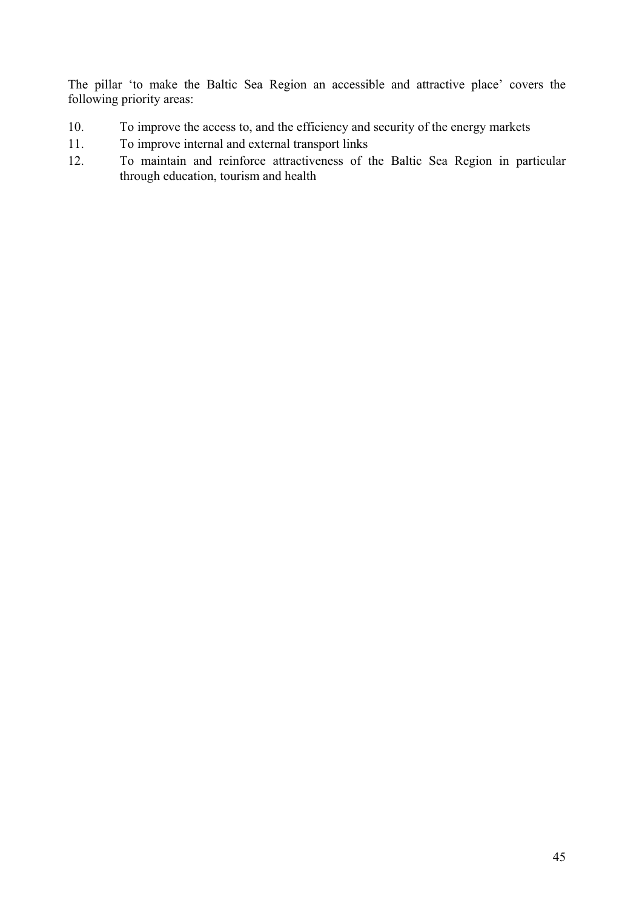The pillar 'to make the Baltic Sea Region an accessible and attractive place' covers the following priority areas:

- 10. To improve the access to, and the efficiency and security of the energy markets
- 11. To improve internal and external transport links
- 12. To maintain and reinforce attractiveness of the Baltic Sea Region in particular through education, tourism and health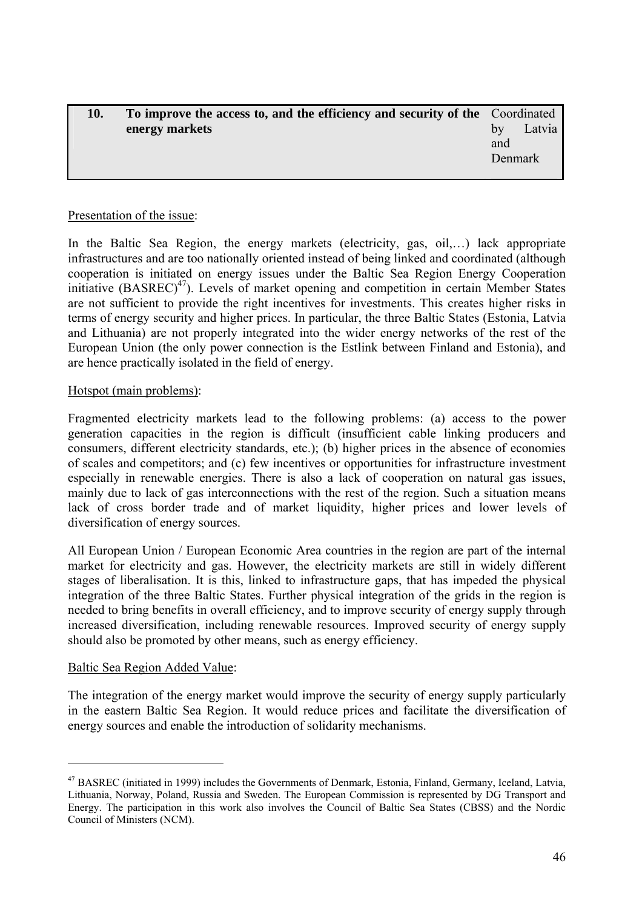<span id="page-45-0"></span>

| 10. | To improve the access to, and the efficiency and security of the Coordinated |              |
|-----|------------------------------------------------------------------------------|--------------|
|     | energy markets                                                               | Latvia<br>by |
|     |                                                                              | and          |
|     |                                                                              | Denmark      |
|     |                                                                              |              |

### Presentation of the issue:

In the Baltic Sea Region, the energy markets (electricity, gas, oil,…) lack appropriate infrastructures and are too nationally oriented instead of being linked and coordinated (although cooperation is initiated on energy issues under the Baltic Sea Region Energy Cooperation initiative  $(BASREC)^{47}$ ). Levels of market opening and competition in certain Member States are not sufficient to provide the right incentives for investments. This creates higher risks in terms of energy security and higher prices. In particular, the three Baltic States (Estonia, Latvia and Lithuania) are not properly integrated into the wider energy networks of the rest of the European Union (the only power connection is the Estlink between Finland and Estonia), and are hence practically isolated in the field of energy.

### Hotspot (main problems):

Fragmented electricity markets lead to the following problems: (a) access to the power generation capacities in the region is difficult (insufficient cable linking producers and consumers, different electricity standards, etc.); (b) higher prices in the absence of economies of scales and competitors; and (c) few incentives or opportunities for infrastructure investment especially in renewable energies. There is also a lack of cooperation on natural gas issues, mainly due to lack of gas interconnections with the rest of the region. Such a situation means lack of cross border trade and of market liquidity, higher prices and lower levels of diversification of energy sources.

All European Union / European Economic Area countries in the region are part of the internal market for electricity and gas. However, the electricity markets are still in widely different stages of liberalisation. It is this, linked to infrastructure gaps, that has impeded the physical integration of the three Baltic States. Further physical integration of the grids in the region is needed to bring benefits in overall efficiency, and to improve security of energy supply through increased diversification, including renewable resources. Improved security of energy supply should also be promoted by other means, such as energy efficiency.

### Baltic Sea Region Added Value:

 $\overline{a}$ 

The integration of the energy market would improve the security of energy supply particularly in the eastern Baltic Sea Region. It would reduce prices and facilitate the diversification of energy sources and enable the introduction of solidarity mechanisms.

<sup>47</sup> BASREC (initiated in 1999) includes the Governments of Denmark, Estonia, Finland, Germany, Iceland, Latvia, Lithuania, Norway, Poland, Russia and Sweden. The European Commission is represented by DG Transport and Energy. The participation in this work also involves the Council of Baltic Sea States (CBSS) and the Nordic Council of Ministers (NCM).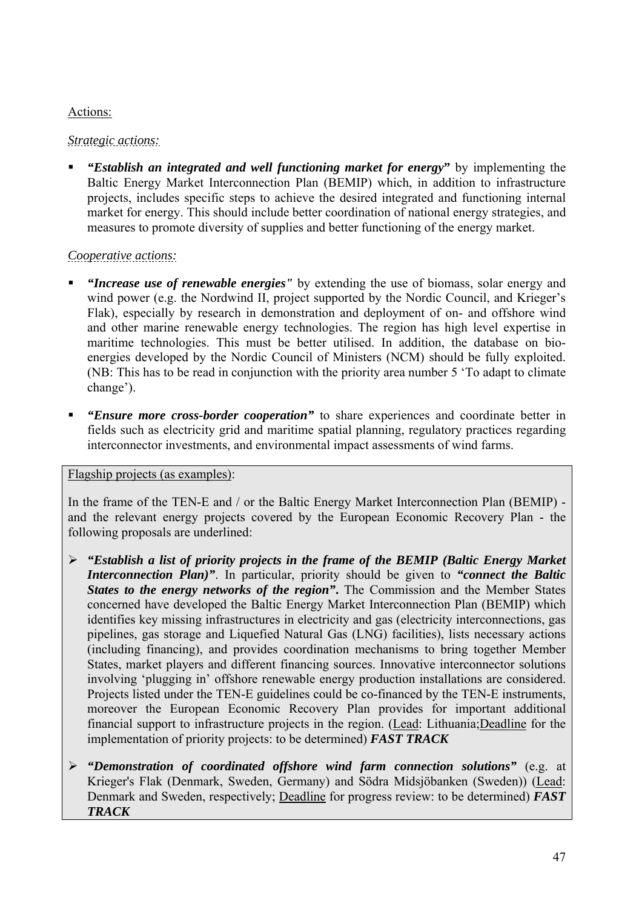# Actions:

# *Strategic actions:*

 *"Establish an integrated and well functioning market for energy***"** by implementing the Baltic Energy Market Interconnection Plan (BEMIP) which, in addition to infrastructure projects, includes specific steps to achieve the desired integrated and functioning internal market for energy. This should include better coordination of national energy strategies, and measures to promote diversity of supplies and better functioning of the energy market.

# *Cooperative actions:*

- *"Increase use of renewable energies"* by extending the use of biomass, solar energy and wind power (e.g. the Nordwind II, project supported by the Nordic Council, and Krieger's Flak), especially by research in demonstration and deployment of on- and offshore wind and other marine renewable energy technologies. The region has high level expertise in maritime technologies. This must be better utilised. In addition, the database on bioenergies developed by the Nordic Council of Ministers (NCM) should be fully exploited. (NB: This has to be read in conjunction with the priority area number 5 'To adapt to climate change').
- *"Ensure more cross-border cooperation"* to share experiences and coordinate better in fields such as electricity grid and maritime spatial planning, regulatory practices regarding interconnector investments, and environmental impact assessments of wind farms.

# Flagship projects (as examples):

In the frame of the TEN-E and / or the Baltic Energy Market Interconnection Plan (BEMIP) and the relevant energy projects covered by the European Economic Recovery Plan - the following proposals are underlined:

- ¾ *"Establish a list of priority projects in the frame of the BEMIP (Baltic Energy Market Interconnection Plan)"*. In particular, priority should be given to *"connect the Baltic States to the energy networks of the region"***.** The Commission and the Member States concerned have developed the Baltic Energy Market Interconnection Plan (BEMIP) which identifies key missing infrastructures in electricity and gas (electricity interconnections, gas pipelines, gas storage and Liquefied Natural Gas (LNG) facilities), lists necessary actions (including financing), and provides coordination mechanisms to bring together Member States, market players and different financing sources. Innovative interconnector solutions involving 'plugging in' offshore renewable energy production installations are considered. Projects listed under the TEN-E guidelines could be co-financed by the TEN-E instruments, moreover the European Economic Recovery Plan provides for important additional financial support to infrastructure projects in the region. (Lead: Lithuania;Deadline for the implementation of priority projects: to be determined) *FAST TRACK*
- ¾ *"Demonstration of coordinated offshore wind farm connection solutions"* (e.g. at Krieger's Flak (Denmark, Sweden, Germany) and Södra Midsjöbanken (Sweden)) (Lead: Denmark and Sweden, respectively; Deadline for progress review: to be determined) *FAST TRACK*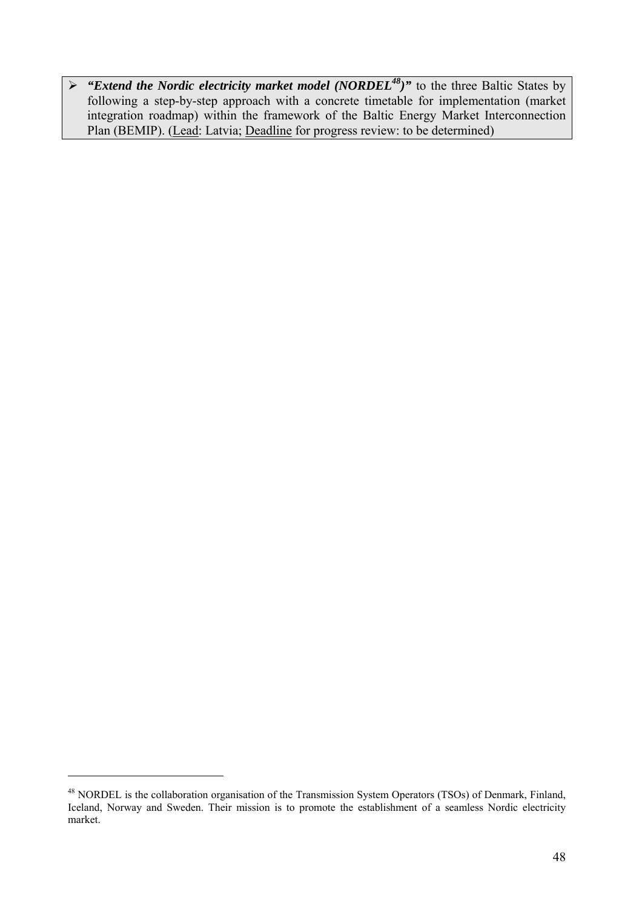¾ *"Extend the Nordic electricity market model (NORDEL48)"* to the three Baltic States by following a step-by-step approach with a concrete timetable for implementation (market integration roadmap) within the framework of the Baltic Energy Market Interconnection Plan (BEMIP). (Lead: Latvia; Deadline for progress review: to be determined)

<sup>&</sup>lt;sup>48</sup> NORDEL is the collaboration organisation of the Transmission System Operators (TSOs) of Denmark, Finland, Iceland, Norway and Sweden. Their mission is to promote the establishment of a seamless Nordic electricity market.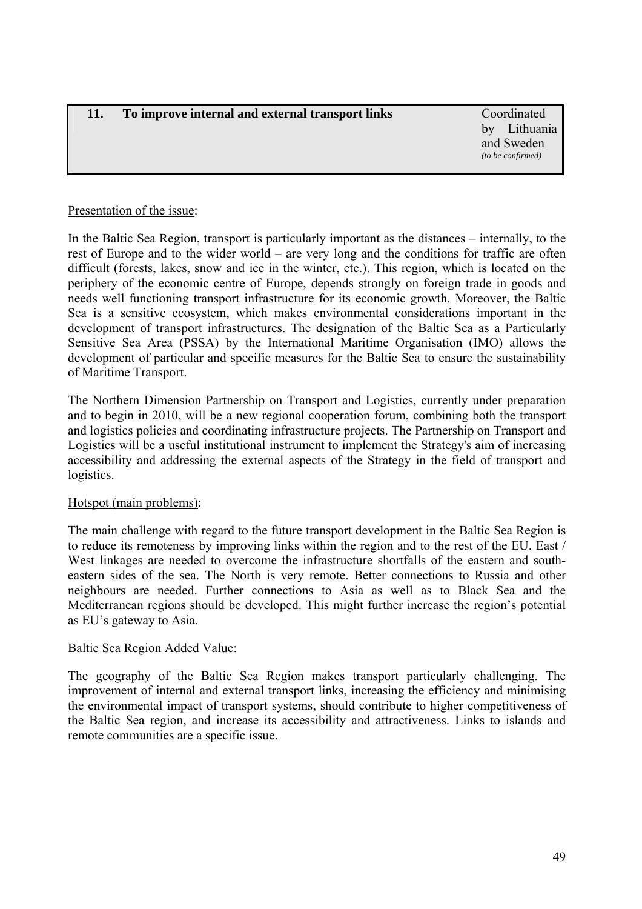# <span id="page-48-0"></span>**11. To improve internal and external transport links** Coordinated

by Lithuania and Sweden *(to be confirmed)* 

# Presentation of the issue:

In the Baltic Sea Region, transport is particularly important as the distances – internally, to the rest of Europe and to the wider world – are very long and the conditions for traffic are often difficult (forests, lakes, snow and ice in the winter, etc.). This region, which is located on the periphery of the economic centre of Europe, depends strongly on foreign trade in goods and needs well functioning transport infrastructure for its economic growth. Moreover, the Baltic Sea is a sensitive ecosystem, which makes environmental considerations important in the development of transport infrastructures. The designation of the Baltic Sea as a Particularly Sensitive Sea Area (PSSA) by the International Maritime Organisation (IMO) allows the development of particular and specific measures for the Baltic Sea to ensure the sustainability of Maritime Transport.

The Northern Dimension Partnership on Transport and Logistics, currently under preparation and to begin in 2010, will be a new regional cooperation forum, combining both the transport and logistics policies and coordinating infrastructure projects. The Partnership on Transport and Logistics will be a useful institutional instrument to implement the Strategy's aim of increasing accessibility and addressing the external aspects of the Strategy in the field of transport and logistics.

# Hotspot (main problems):

The main challenge with regard to the future transport development in the Baltic Sea Region is to reduce its remoteness by improving links within the region and to the rest of the EU. East / West linkages are needed to overcome the infrastructure shortfalls of the eastern and southeastern sides of the sea. The North is very remote. Better connections to Russia and other neighbours are needed. Further connections to Asia as well as to Black Sea and the Mediterranean regions should be developed. This might further increase the region's potential as EU's gateway to Asia.

# Baltic Sea Region Added Value:

The geography of the Baltic Sea Region makes transport particularly challenging. The improvement of internal and external transport links, increasing the efficiency and minimising the environmental impact of transport systems, should contribute to higher competitiveness of the Baltic Sea region, and increase its accessibility and attractiveness. Links to islands and remote communities are a specific issue.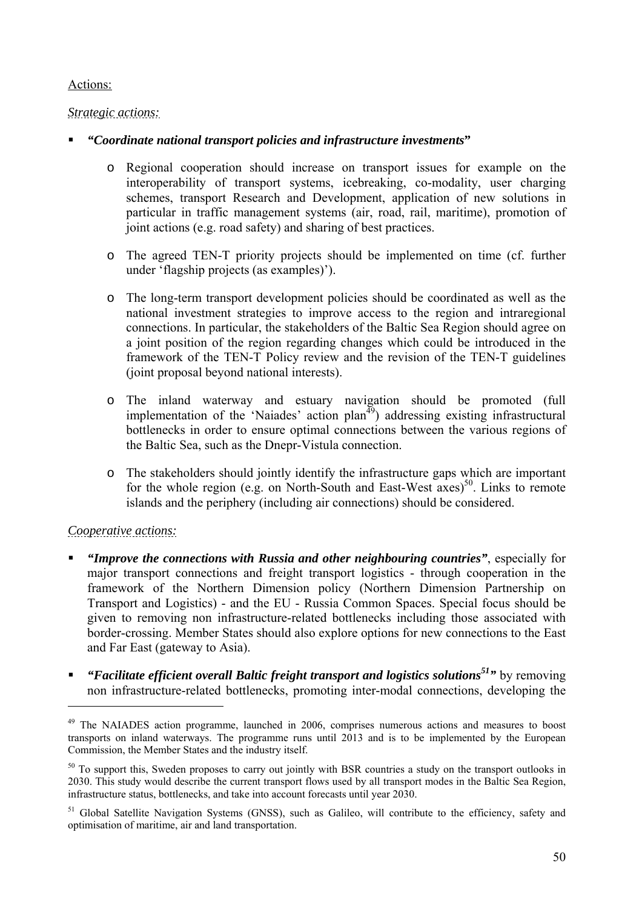# Actions:

# *Strategic actions:*

# *"Coordinate national transport policies and infrastructure investments***"**

- o Regional cooperation should increase on transport issues for example on the interoperability of transport systems, icebreaking, co-modality, user charging schemes, transport Research and Development, application of new solutions in particular in traffic management systems (air, road, rail, maritime), promotion of joint actions (e.g. road safety) and sharing of best practices.
- o The agreed TEN-T priority projects should be implemented on time (cf. further under 'flagship projects (as examples)').
- o The long-term transport development policies should be coordinated as well as the national investment strategies to improve access to the region and intraregional connections. In particular, the stakeholders of the Baltic Sea Region should agree on a joint position of the region regarding changes which could be introduced in the framework of the TEN-T Policy review and the revision of the TEN-T guidelines (joint proposal beyond national interests).
- o The inland waterway and estuary navigation should be promoted (full implementation of the 'Naiades' action  $plan<sup>49</sup>$ ) addressing existing infrastructural bottlenecks in order to ensure optimal connections between the various regions of the Baltic Sea, such as the Dnepr-Vistula connection.
- o The stakeholders should jointly identify the infrastructure gaps which are important for the whole region (e.g. on North-South and East-West axes)<sup>50</sup>. Links to remote islands and the periphery (including air connections) should be considered.

# *Cooperative actions:*

- *"Improve the connections with Russia and other neighbouring countries"*, especially for major transport connections and freight transport logistics - through cooperation in the framework of the Northern Dimension policy (Northern Dimension Partnership on Transport and Logistics) - and the EU - Russia Common Spaces. Special focus should be given to removing non infrastructure-related bottlenecks including those associated with border-crossing. Member States should also explore options for new connections to the East and Far East (gateway to Asia).
- *"Facilitate efficient overall Baltic freight transport and logistics solutions51"* by removing non infrastructure-related bottlenecks, promoting inter-modal connections, developing the

<sup>&</sup>lt;sup>49</sup> The NAIADES action programme, launched in 2006, comprises numerous actions and measures to boost transports on inland waterways. The programme runs until 2013 and is to be implemented by the European Commission, the Member States and the industry itself.

<sup>&</sup>lt;sup>50</sup> To support this, Sweden proposes to carry out jointly with BSR countries a study on the transport outlooks in 2030. This study would describe the current transport flows used by all transport modes in the Baltic Sea Region, infrastructure status, bottlenecks, and take into account forecasts until year 2030.

<sup>&</sup>lt;sup>51</sup> Global Satellite Navigation Systems (GNSS), such as Galileo, will contribute to the efficiency, safety and optimisation of maritime, air and land transportation.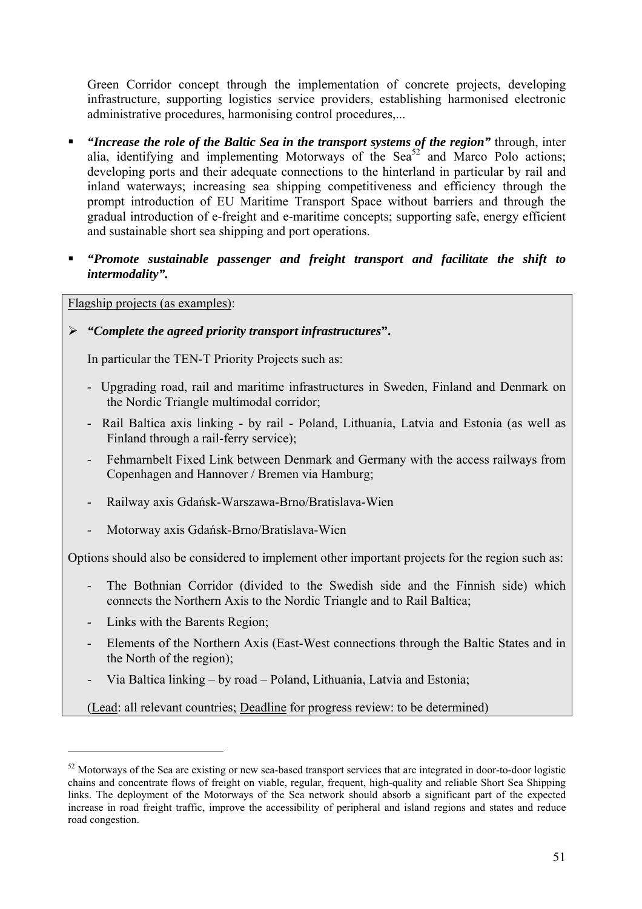Green Corridor concept through the implementation of concrete projects, developing infrastructure, supporting logistics service providers, establishing harmonised electronic administrative procedures, harmonising control procedures,...

- *"Increase the role of the Baltic Sea in the transport systems of the region"* through, inter alia, identifying and implementing Motorways of the Sea<sup>52</sup> and Marco Polo actions; developing ports and their adequate connections to the hinterland in particular by rail and inland waterways; increasing sea shipping competitiveness and efficiency through the prompt introduction of EU Maritime Transport Space without barriers and through the gradual introduction of e-freight and e-maritime concepts; supporting safe, energy efficient and sustainable short sea shipping and port operations.
- *"Promote sustainable passenger and freight transport and facilitate the shift to intermodality".*

Flagship projects (as examples):

# ¾ *"Complete the agreed priority transport infrastructures***".**

In particular the TEN-T Priority Projects such as:

- Upgrading road, rail and maritime infrastructures in Sweden, Finland and Denmark on the Nordic Triangle multimodal corridor;
- Rail Baltica axis linking by rail Poland, Lithuania, Latvia and Estonia (as well as Finland through a rail-ferry service);
- Fehmarnbelt Fixed Link between Denmark and Germany with the access railways from Copenhagen and Hannover / Bremen via Hamburg;
- Railway axis Gdańsk-Warszawa-Brno/Bratislava-Wien
- Motorway axis Gdańsk-Brno/Bratislava-Wien

Options should also be considered to implement other important projects for the region such as:

- The Bothnian Corridor (divided to the Swedish side and the Finnish side) which connects the Northern Axis to the Nordic Triangle and to Rail Baltica;
- Links with the Barents Region;

 $\overline{a}$ 

- Elements of the Northern Axis (East-West connections through the Baltic States and in the North of the region);
- Via Baltica linking by road Poland, Lithuania, Latvia and Estonia;

(Lead: all relevant countries; Deadline for progress review: to be determined)

 $52$  Motorways of the Sea are existing or new sea-based transport services that are integrated in door-to-door logistic chains and concentrate flows of freight on viable, regular, frequent, high-quality and reliable Short Sea Shipping links. The deployment of the Motorways of the Sea network should absorb a significant part of the expected increase in road freight traffic, improve the accessibility of peripheral and island regions and states and reduce road congestion.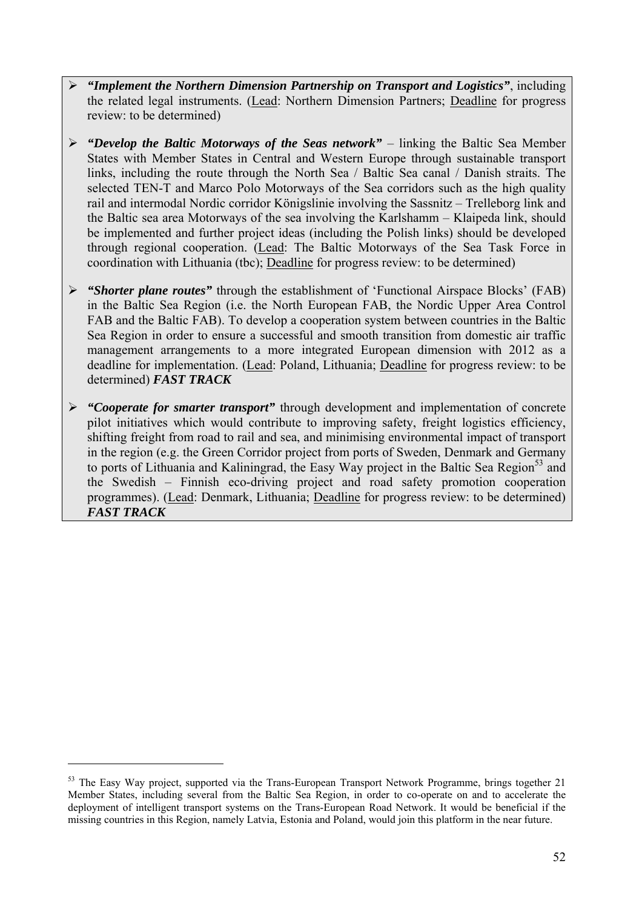- ¾ *"Implement the Northern Dimension Partnership on Transport and Logistics"*, including the related legal instruments. (Lead: Northern Dimension Partners; Deadline for progress review: to be determined)
- ¾ *"Develop the Baltic Motorways of the Seas network"* linking the Baltic Sea Member States with Member States in Central and Western Europe through sustainable transport links, including the route through the North Sea / Baltic Sea canal / Danish straits. The selected TEN-T and Marco Polo Motorways of the Sea corridors such as the high quality rail and intermodal Nordic corridor Königslinie involving the Sassnitz – Trelleborg link and the Baltic sea area Motorways of the sea involving the Karlshamm – Klaipeda link, should be implemented and further project ideas (including the Polish links) should be developed through regional cooperation. (Lead: The Baltic Motorways of the Sea Task Force in coordination with Lithuania (tbc); Deadline for progress review: to be determined)
- ¾ *"Shorter plane routes"* through the establishment of 'Functional Airspace Blocks' (FAB) in the Baltic Sea Region (i.e. the North European FAB, the Nordic Upper Area Control FAB and the Baltic FAB). To develop a cooperation system between countries in the Baltic Sea Region in order to ensure a successful and smooth transition from domestic air traffic management arrangements to a more integrated European dimension with 2012 as a deadline for implementation. (Lead: Poland, Lithuania; Deadline for progress review: to be determined) *FAST TRACK*
- ¾ *"Cooperate for smarter transport"* through development and implementation of concrete pilot initiatives which would contribute to improving safety, freight logistics efficiency, shifting freight from road to rail and sea, and minimising environmental impact of transport in the region (e.g. the Green Corridor project from ports of Sweden, Denmark and Germany to ports of Lithuania and Kaliningrad, the Easy Way project in the Baltic Sea Region<sup>53</sup> and the Swedish – Finnish eco-driving project and road safety promotion cooperation programmes). (Lead: Denmark, Lithuania; Deadline for progress review: to be determined) *FAST TRACK*

<sup>&</sup>lt;sup>53</sup> The Easy Way project, supported via the Trans-European Transport Network Programme, brings together 21 Member States, including several from the Baltic Sea Region, in order to co-operate on and to accelerate the deployment of intelligent transport systems on the Trans-European Road Network. It would be beneficial if the missing countries in this Region, namely Latvia, Estonia and Poland, would join this platform in the near future.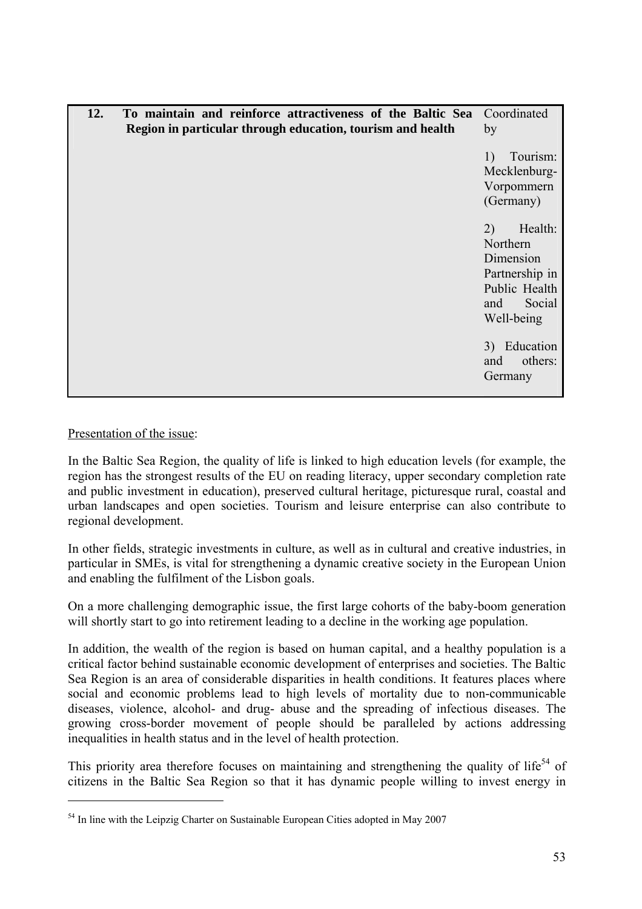<span id="page-52-0"></span>

| 12. | To maintain and reinforce attractiveness of the Baltic Sea<br>Region in particular through education, tourism and health | Coordinated<br>by                                                                                        |
|-----|--------------------------------------------------------------------------------------------------------------------------|----------------------------------------------------------------------------------------------------------|
|     |                                                                                                                          | Tourism:<br>1)<br>Mecklenburg-<br>Vorpommern<br>(Germany)                                                |
|     |                                                                                                                          | 2)<br>Health:<br>Northern<br>Dimension<br>Partnership in<br>Public Health<br>Social<br>and<br>Well-being |
|     |                                                                                                                          | 3) Education<br>others:<br>and<br>Germany                                                                |

Presentation of the issue:

 $\overline{a}$ 

In the Baltic Sea Region, the quality of life is linked to high education levels (for example, the region has the strongest results of the EU on reading literacy, upper secondary completion rate and public investment in education), preserved cultural heritage, picturesque rural, coastal and urban landscapes and open societies. Tourism and leisure enterprise can also contribute to regional development.

In other fields, strategic investments in culture, as well as in cultural and creative industries, in particular in SMEs, is vital for strengthening a dynamic creative society in the European Union and enabling the fulfilment of the Lisbon goals.

On a more challenging demographic issue, the first large cohorts of the baby-boom generation will shortly start to go into retirement leading to a decline in the working age population.

In addition, the wealth of the region is based on human capital, and a healthy population is a critical factor behind sustainable economic development of enterprises and societies. The Baltic Sea Region is an area of considerable disparities in health conditions. It features places where social and economic problems lead to high levels of mortality due to non-communicable diseases, violence, alcohol- and drug- abuse and the spreading of infectious diseases. The growing cross-border movement of people should be paralleled by actions addressing inequalities in health status and in the level of health protection.

This priority area therefore focuses on maintaining and strengthening the quality of life<sup>54</sup> of citizens in the Baltic Sea Region so that it has dynamic people willing to invest energy in

<sup>&</sup>lt;sup>54</sup> In line with the Leipzig Charter on Sustainable European Cities adopted in May 2007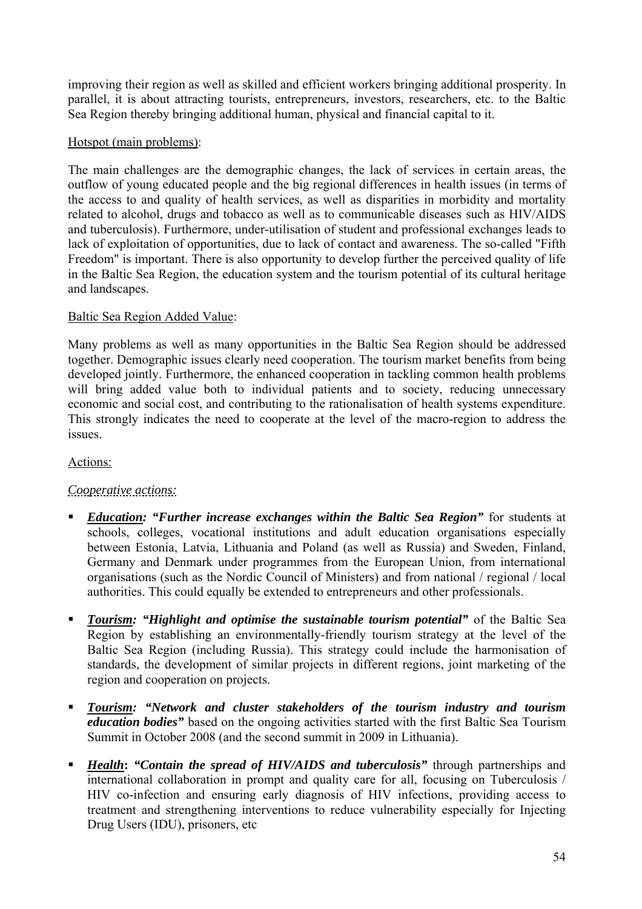improving their region as well as skilled and efficient workers bringing additional prosperity. In parallel, it is about attracting tourists, entrepreneurs, investors, researchers, etc. to the Baltic Sea Region thereby bringing additional human, physical and financial capital to it.

# Hotspot (main problems):

The main challenges are the demographic changes, the lack of services in certain areas, the outflow of young educated people and the big regional differences in health issues (in terms of the access to and quality of health services, as well as disparities in morbidity and mortality related to alcohol, drugs and tobacco as well as to communicable diseases such as HIV/AIDS and tuberculosis). Furthermore, under-utilisation of student and professional exchanges leads to lack of exploitation of opportunities, due to lack of contact and awareness. The so-called "Fifth Freedom" is important. There is also opportunity to develop further the perceived quality of life in the Baltic Sea Region, the education system and the tourism potential of its cultural heritage and landscapes.

# Baltic Sea Region Added Value:

Many problems as well as many opportunities in the Baltic Sea Region should be addressed together. Demographic issues clearly need cooperation. The tourism market benefits from being developed jointly. Furthermore, the enhanced cooperation in tackling common health problems will bring added value both to individual patients and to society, reducing unnecessary economic and social cost, and contributing to the rationalisation of health systems expenditure. This strongly indicates the need to cooperate at the level of the macro-region to address the issues.

# Actions:

# *Cooperative actions:*

- *Education: "Further increase exchanges within the Baltic Sea Region"* for students at schools, colleges, vocational institutions and adult education organisations especially between Estonia, Latvia, Lithuania and Poland (as well as Russia) and Sweden, Finland, Germany and Denmark under programmes from the European Union, from international organisations (such as the Nordic Council of Ministers) and from national / regional / local authorities. This could equally be extended to entrepreneurs and other professionals.
- *Tourism: "Highlight and optimise the sustainable tourism potential"* **of the Baltic Sea** Region by establishing an environmentally-friendly tourism strategy at the level of the Baltic Sea Region (including Russia). This strategy could include the harmonisation of standards, the development of similar projects in different regions, joint marketing of the region and cooperation on projects.
- *Tourism: "Network and cluster stakeholders of the tourism industry and tourism education bodies"* based on the ongoing activities started with the first Baltic Sea Tourism Summit in October 2008 (and the second summit in 2009 in Lithuania).
- **Health: "Contain the spread of HIV/AIDS and tuberculosis" through partnerships and** international collaboration in prompt and quality care for all, focusing on Tuberculosis / HIV co-infection and ensuring early diagnosis of HIV infections, providing access to treatment and strengthening interventions to reduce vulnerability especially for Injecting Drug Users (IDU), prisoners, etc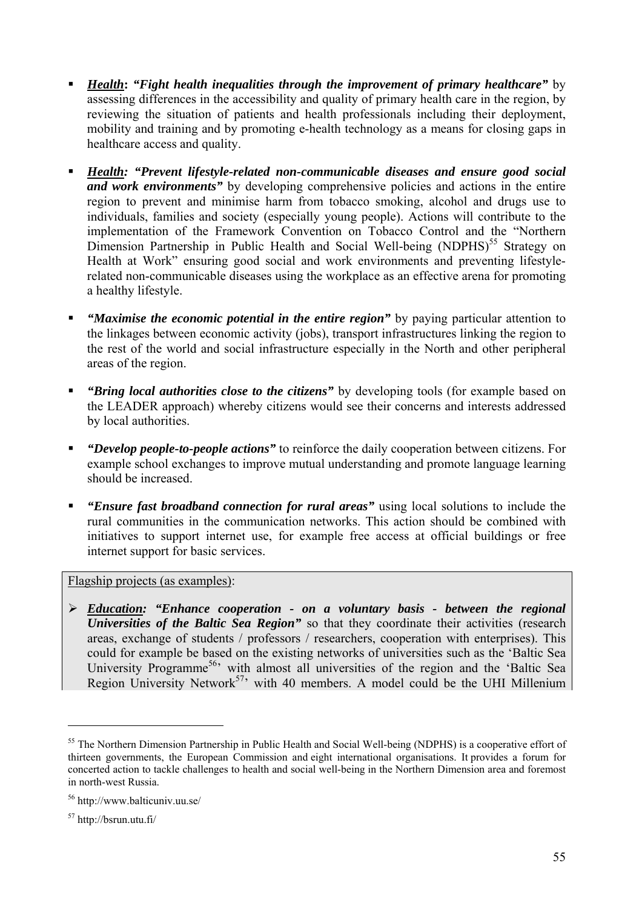- *Health***:** *"Fight health inequalities through the improvement of primary healthcare"* by assessing differences in the accessibility and quality of primary health care in the region, by reviewing the situation of patients and health professionals including their deployment, mobility and training and by promoting e-health technology as a means for closing gaps in healthcare access and quality.
- *Health: "Prevent lifestyle-related non-communicable diseases and ensure good social and work environments"* by developing comprehensive policies and actions in the entire region to prevent and minimise harm from tobacco smoking, alcohol and drugs use to individuals, families and society (especially young people). Actions will contribute to the implementation of the Framework Convention on Tobacco Control and the "Northern Dimension Partnership in Public Health and Social Well-being  $(NDPHS)^{55}$  Strategy on Health at Work" ensuring good social and work environments and preventing lifestylerelated non-communicable diseases using the workplace as an effective arena for promoting a healthy lifestyle.
- *"Maximise the economic potential in the entire region"* by paying particular attention to the linkages between economic activity (jobs), transport infrastructures linking the region to the rest of the world and social infrastructure especially in the North and other peripheral areas of the region.
- *"Bring local authorities close to the citizens"* by developing tools (for example based on the LEADER approach) whereby citizens would see their concerns and interests addressed by local authorities.
- *"Develop people-to-people actions"* to reinforce the daily cooperation between citizens. For example school exchanges to improve mutual understanding and promote language learning should be increased.
- *"Ensure fast broadband connection for rural areas"* using local solutions to include the rural communities in the communication networks. This action should be combined with initiatives to support internet use, for example free access at official buildings or free internet support for basic services.

### Flagship projects (as examples):

¾ *Education: "Enhance cooperation - on a voluntary basis - between the regional Universities of the Baltic Sea Region*" so that they coordinate their activities (research areas, exchange of students / professors / researchers, cooperation with enterprises). This could for example be based on the existing networks of universities such as the 'Baltic Sea University Programme<sup>56</sup> with almost all universities of the region and the 'Baltic Sea Region University Network<sup>57,</sup> with 40 members. A model could be the UHI Millenium

<sup>&</sup>lt;sup>55</sup> The Northern Dimension Partnership in Public Health and Social Well-being (NDPHS) is a cooperative effort of thirteen governments, the European Commission and eight international organisations. It provides a forum for concerted action to tackle challenges to health and social well-being in the Northern Dimension area and foremost in north-west Russia.

<sup>56</sup> http://www.balticuniv.uu.se/

<sup>57</sup> http://bsrun.utu.fi/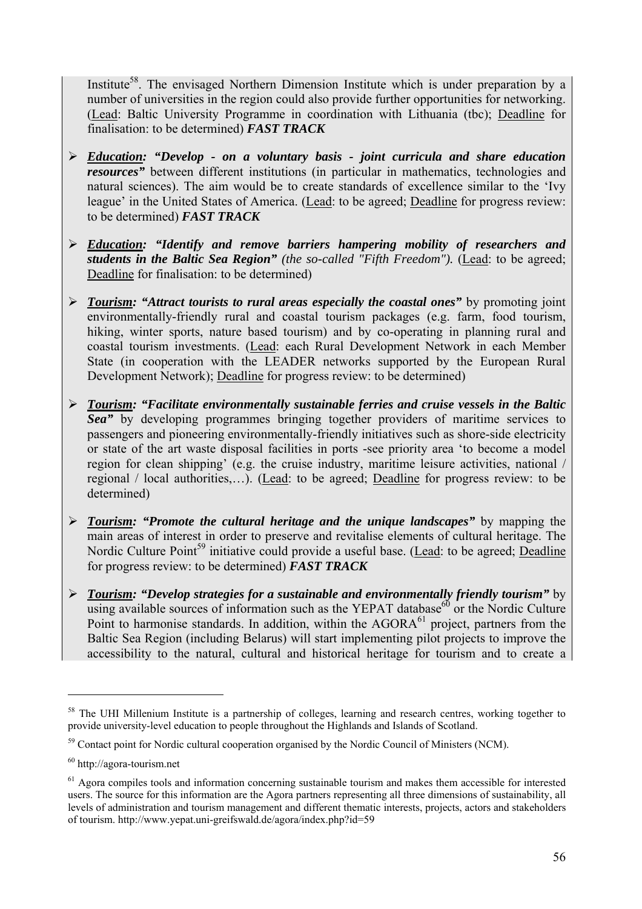Institute<sup>58</sup>. The envisaged Northern Dimension Institute which is under preparation by a number of universities in the region could also provide further opportunities for networking. (Lead: Baltic University Programme in coordination with Lithuania (tbc); Deadline for finalisation: to be determined) *FAST TRACK*

- ¾ *Education: "Develop on a voluntary basis joint curricula and share education resources"* between different institutions (in particular in mathematics, technologies and natural sciences). The aim would be to create standards of excellence similar to the 'Ivy league' in the United States of America. (Lead: to be agreed; Deadline for progress review: to be determined) *FAST TRACK*
- ¾ *Education: "Identify and remove barriers hampering mobility of researchers and students in the Baltic Sea Region" (the so-called "Fifth Freedom").* (Lead: to be agreed; Deadline for finalisation: to be determined)
- ¾ *Tourism: "Attract tourists to rural areas especially the coastal ones"* by promoting joint environmentally-friendly rural and coastal tourism packages (e.g. farm, food tourism, hiking, winter sports, nature based tourism) and by co-operating in planning rural and coastal tourism investments. (Lead: each Rural Development Network in each Member State (in cooperation with the LEADER networks supported by the European Rural Development Network); Deadline for progress review: to be determined)
- ¾ *Tourism: "Facilitate environmentally sustainable ferries and cruise vessels in the Baltic Sea"* by developing programmes bringing together providers of maritime services to passengers and pioneering environmentally-friendly initiatives such as shore-side electricity or state of the art waste disposal facilities in ports -see priority area 'to become a model region for clean shipping' (e.g. the cruise industry, maritime leisure activities, national / regional / local authorities,…). (Lead: to be agreed; Deadline for progress review: to be determined)
- ¾ *Tourism: "Promote the cultural heritage and the unique landscapes"* by mapping the main areas of interest in order to preserve and revitalise elements of cultural heritage. The Nordic Culture Point<sup>59</sup> initiative could provide a useful base. (Lead: to be agreed; Deadline for progress review: to be determined) *FAST TRACK*
- ¾ *Tourism: "Develop strategies for a sustainable and environmentally friendly tourism"* by using available sources of information such as the YEPAT database  $60$  or the Nordic Culture Point to harmonise standards. In addition, within the  $AGORA^{61}$  project, partners from the Baltic Sea Region (including Belarus) will start implementing pilot projects to improve the accessibility to the natural, cultural and historical heritage for tourism and to create a

<sup>&</sup>lt;sup>58</sup> The UHI Millenium Institute is a partnership of colleges, learning and research centres, working together to provide university-level education to people throughout the Highlands and Islands of Scotland.

<sup>&</sup>lt;sup>59</sup> Contact point for Nordic cultural cooperation organised by the Nordic Council of Ministers (NCM).

<sup>60</sup> http://agora-tourism.net

<sup>&</sup>lt;sup>61</sup> Agora compiles tools and information concerning sustainable tourism and makes them accessible for interested users. The source for this information are the Agora partners representing all three dimensions of sustainability, all levels of administration and tourism management and different thematic interests, projects, actors and stakeholders of tourism. http://www.yepat.uni-greifswald.de/agora/index.php?id=59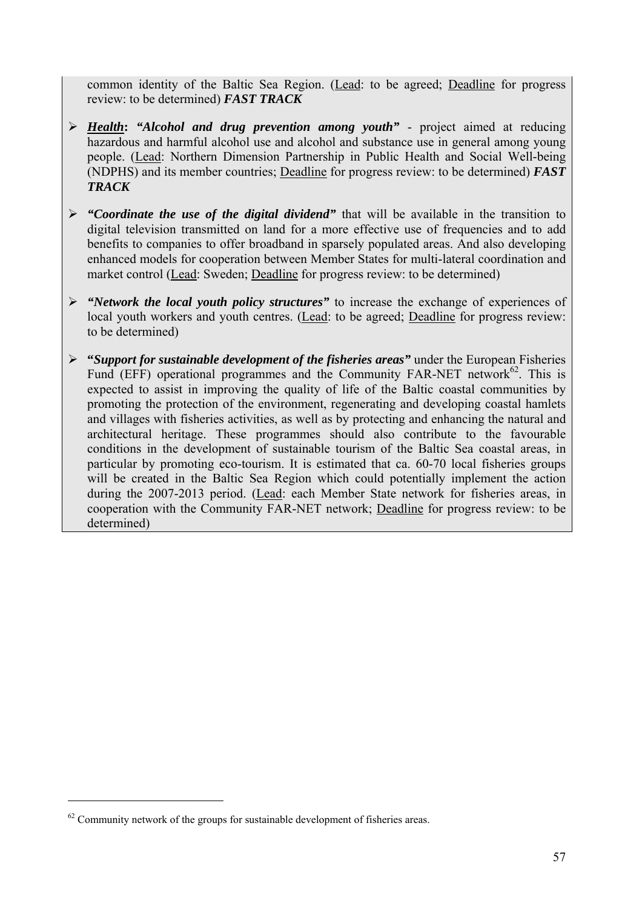common identity of the Baltic Sea Region. (Lead: to be agreed; Deadline for progress review: to be determined) *FAST TRACK*

- ¾ *Health***:** *"Alcohol and drug prevention among youth"*  project aimed at reducing hazardous and harmful alcohol use and alcohol and substance use in general among young people. (Lead: Northern Dimension Partnership in Public Health and Social Well-being (NDPHS) and its member countries; Deadline for progress review: to be determined) *FAST TRACK*
- ¾ *"Coordinate the use of the digital dividend"* that will be available in the transition to digital television transmitted on land for a more effective use of frequencies and to add benefits to companies to offer broadband in sparsely populated areas. And also developing enhanced models for cooperation between Member States for multi-lateral coordination and market control (Lead: Sweden; Deadline for progress review: to be determined)
- ¾ *"Network the local youth policy structures"* to increase the exchange of experiences of local youth workers and youth centres. (Lead: to be agreed; Deadline for progress review: to be determined)
- ¾ **"***Support for sustainable development of the fisheries areas"* under the European Fisheries Fund (EFF) operational programmes and the Community FAR-NET network $62$ . This is expected to assist in improving the quality of life of the Baltic coastal communities by promoting the protection of the environment, regenerating and developing coastal hamlets and villages with fisheries activities, as well as by protecting and enhancing the natural and architectural heritage. These programmes should also contribute to the favourable conditions in the development of sustainable tourism of the Baltic Sea coastal areas, in particular by promoting eco-tourism. It is estimated that ca. 60-70 local fisheries groups will be created in the Baltic Sea Region which could potentially implement the action during the 2007-2013 period. (Lead: each Member State network for fisheries areas, in cooperation with the Community FAR-NET network; Deadline for progress review: to be determined)

 $62$  Community network of the groups for sustainable development of fisheries areas.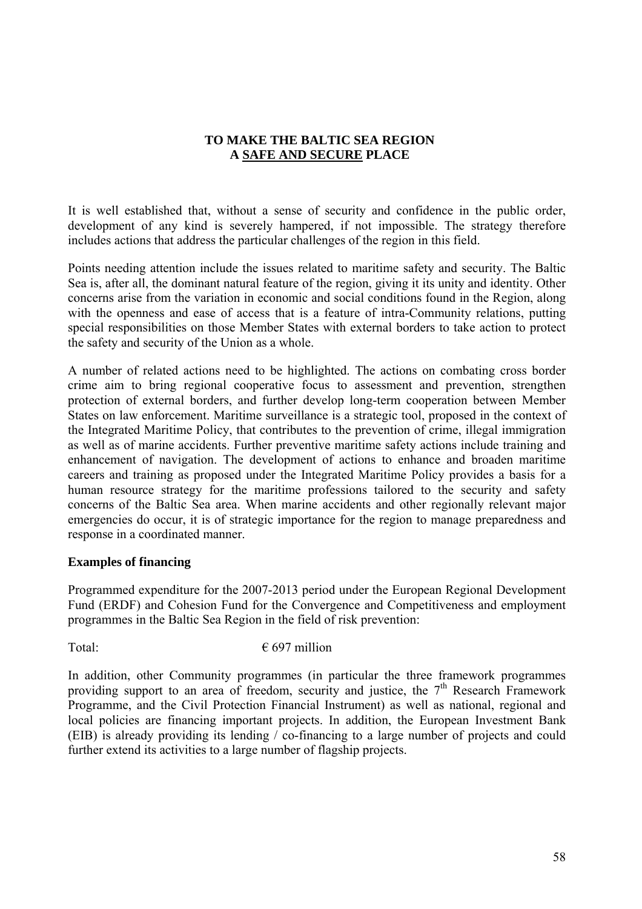# **TO MAKE THE BALTIC SEA REGION A SAFE AND SECURE PLACE**

<span id="page-57-0"></span>It is well established that, without a sense of security and confidence in the public order, development of any kind is severely hampered, if not impossible. The strategy therefore includes actions that address the particular challenges of the region in this field.

Points needing attention include the issues related to maritime safety and security. The Baltic Sea is, after all, the dominant natural feature of the region, giving it its unity and identity. Other concerns arise from the variation in economic and social conditions found in the Region, along with the openness and ease of access that is a feature of intra-Community relations, putting special responsibilities on those Member States with external borders to take action to protect the safety and security of the Union as a whole.

A number of related actions need to be highlighted. The actions on combating cross border crime aim to bring regional cooperative focus to assessment and prevention, strengthen protection of external borders, and further develop long-term cooperation between Member States on law enforcement. Maritime surveillance is a strategic tool, proposed in the context of the Integrated Maritime Policy, that contributes to the prevention of crime, illegal immigration as well as of marine accidents. Further preventive maritime safety actions include training and enhancement of navigation. The development of actions to enhance and broaden maritime careers and training as proposed under the Integrated Maritime Policy provides a basis for a human resource strategy for the maritime professions tailored to the security and safety concerns of the Baltic Sea area. When marine accidents and other regionally relevant major emergencies do occur, it is of strategic importance for the region to manage preparedness and response in a coordinated manner.

# **Examples of financing**

Programmed expenditure for the 2007-2013 period under the European Regional Development Fund (ERDF) and Cohesion Fund for the Convergence and Competitiveness and employment programmes in the Baltic Sea Region in the field of risk prevention:

Total:  $697$  million

In addition, other Community programmes (in particular the three framework programmes providing support to an area of freedom, security and justice, the  $7<sup>th</sup>$  Research Framework Programme, and the Civil Protection Financial Instrument) as well as national, regional and local policies are financing important projects. In addition, the European Investment Bank (EIB) is already providing its lending / co-financing to a large number of projects and could further extend its activities to a large number of flagship projects.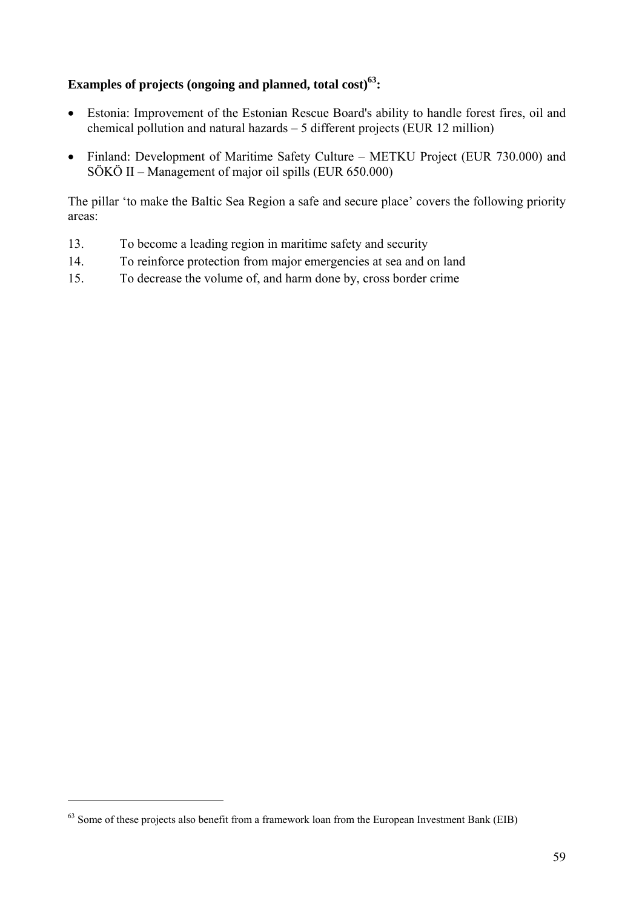# Examples of projects (ongoing and planned, total cost)<sup>63</sup>:

- Estonia: Improvement of the Estonian Rescue Board's ability to handle forest fires, oil and chemical pollution and natural hazards – 5 different projects (EUR 12 million)
- Finland: Development of Maritime Safety Culture METKU Project (EUR 730.000) and SÖKÖ II – Management of major oil spills (EUR 650.000)

The pillar 'to make the Baltic Sea Region a safe and secure place' covers the following priority areas:

- 13. To become a leading region in maritime safety and security
- 14. To reinforce protection from major emergencies at sea and on land
- 15. To decrease the volume of, and harm done by, cross border crime

 $63$  Some of these projects also benefit from a framework loan from the European Investment Bank (EIB)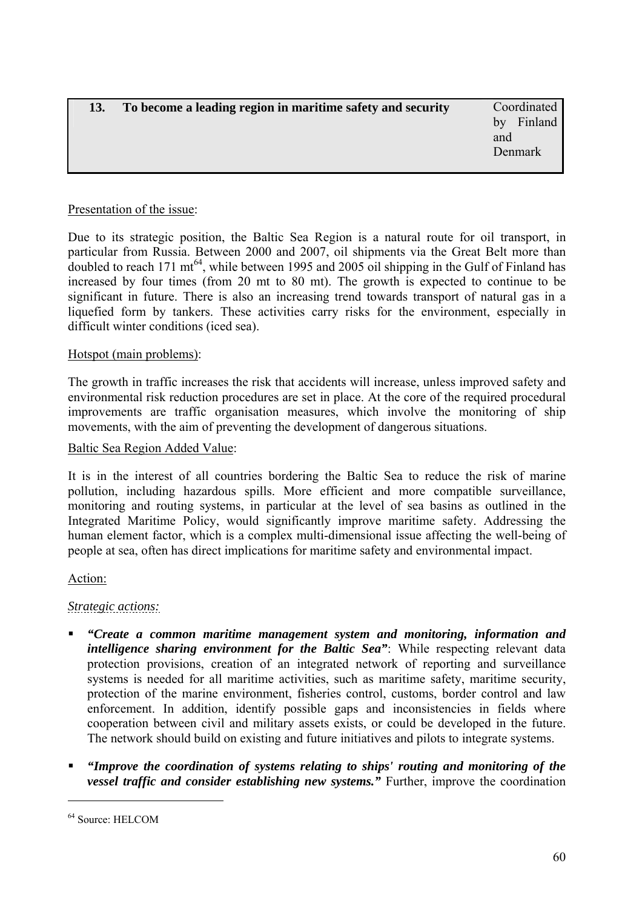<span id="page-59-0"></span>

| 13. | To become a leading region in maritime safety and security | Coordinated   |
|-----|------------------------------------------------------------|---------------|
|     |                                                            | Finland<br>hv |
|     |                                                            | and           |
|     |                                                            | Denmark       |
|     |                                                            |               |

### Presentation of the issue:

Due to its strategic position, the Baltic Sea Region is a natural route for oil transport, in particular from Russia. Between 2000 and 2007, oil shipments via the Great Belt more than doubled to reach 171 mt<sup>64</sup>, while between 1995 and 2005 oil shipping in the Gulf of Finland has increased by four times (from 20 mt to 80 mt). The growth is expected to continue to be significant in future. There is also an increasing trend towards transport of natural gas in a liquefied form by tankers. These activities carry risks for the environment, especially in difficult winter conditions (iced sea).

### Hotspot (main problems):

The growth in traffic increases the risk that accidents will increase, unless improved safety and environmental risk reduction procedures are set in place. At the core of the required procedural improvements are traffic organisation measures, which involve the monitoring of ship movements, with the aim of preventing the development of dangerous situations.

### Baltic Sea Region Added Value:

It is in the interest of all countries bordering the Baltic Sea to reduce the risk of marine pollution, including hazardous spills. More efficient and more compatible surveillance, monitoring and routing systems, in particular at the level of sea basins as outlined in the Integrated Maritime Policy, would significantly improve maritime safety. Addressing the human element factor, which is a complex multi-dimensional issue affecting the well-being of people at sea, often has direct implications for maritime safety and environmental impact.

### Action:

### *Strategic actions:*

- *"Create a common maritime management system and monitoring, information and intelligence sharing environment for the Baltic Sea"*: While respecting relevant data protection provisions, creation of an integrated network of reporting and surveillance systems is needed for all maritime activities, such as maritime safety, maritime security, protection of the marine environment, fisheries control, customs, border control and law enforcement. In addition, identify possible gaps and inconsistencies in fields where cooperation between civil and military assets exists, or could be developed in the future. The network should build on existing and future initiatives and pilots to integrate systems.
- *"Improve the coordination of systems relating to ships' routing and monitoring of the vessel traffic and consider establishing new systems."* Further, improve the coordination

<sup>64</sup> Source: HELCOM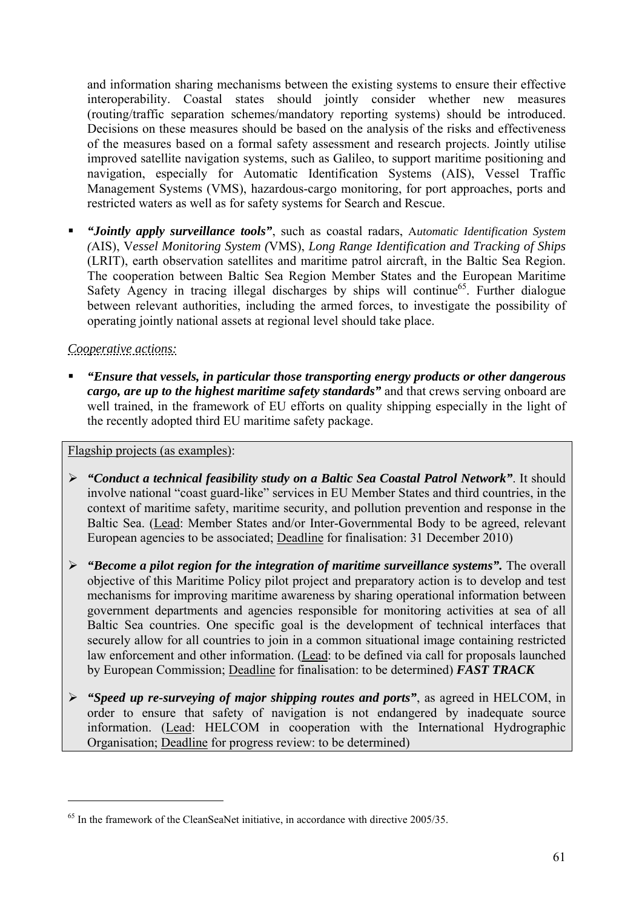and information sharing mechanisms between the existing systems to ensure their effective interoperability. Coastal states should jointly consider whether new measures (routing/traffic separation schemes/mandatory reporting systems) should be introduced. Decisions on these measures should be based on the analysis of the risks and effectiveness of the measures based on a formal safety assessment and research projects. Jointly utilise improved satellite navigation systems, such as Galileo, to support maritime positioning and navigation, especially for Automatic Identification Systems (AIS), Vessel Traffic Management Systems (VMS), hazardous-cargo monitoring, for port approaches, ports and restricted waters as well as for safety systems for Search and Rescue.

 *"Jointly apply surveillance tools"*, such as coastal radars, A*utomatic Identification System (*AIS), V*essel Monitoring System (*VMS), *Long Range Identification and Tracking of Ships*  (LRIT), earth observation satellites and maritime patrol aircraft, in the Baltic Sea Region. The cooperation between Baltic Sea Region Member States and the European Maritime Safety Agency in tracing illegal discharges by ships will continue<sup>65</sup>. Further dialogue between relevant authorities, including the armed forces, to investigate the possibility of operating jointly national assets at regional level should take place.

# *Cooperative actions:*

 $\overline{a}$ 

 *"Ensure that vessels, in particular those transporting energy products or other dangerous cargo, are up to the highest maritime safety standards"* and that crews serving onboard are well trained, in the framework of EU efforts on quality shipping especially in the light of the recently adopted third EU maritime safety package.

### Flagship projects (as examples):

- ¾ *"Conduct a technical feasibility study on a Baltic Sea Coastal Patrol Network"*. It should involve national "coast guard-like" services in EU Member States and third countries, in the context of maritime safety, maritime security, and pollution prevention and response in the Baltic Sea. (Lead: Member States and/or Inter-Governmental Body to be agreed, relevant European agencies to be associated; Deadline for finalisation: 31 December 2010)
- ¾ *"Become a pilot region for the integration of maritime surveillance systems".* The overall objective of this Maritime Policy pilot project and preparatory action is to develop and test mechanisms for improving maritime awareness by sharing operational information between government departments and agencies responsible for monitoring activities at sea of all Baltic Sea countries. One specific goal is the development of technical interfaces that securely allow for all countries to join in a common situational image containing restricted law enforcement and other information. (Lead: to be defined via call for proposals launched by European Commission; Deadline for finalisation: to be determined) *FAST TRACK*
- ¾ *"Speed up re-surveying of major shipping routes and ports"*, as agreed in HELCOM, in order to ensure that safety of navigation is not endangered by inadequate source information. (Lead: HELCOM in cooperation with the International Hydrographic Organisation; Deadline for progress review: to be determined)

<sup>&</sup>lt;sup>65</sup> In the framework of the CleanSeaNet initiative, in accordance with directive 2005/35.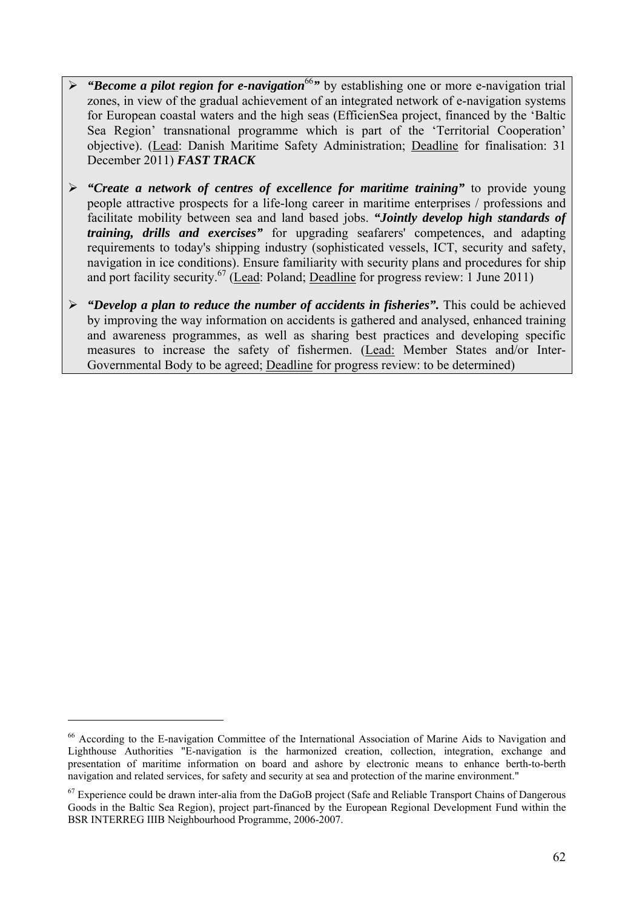- $\triangleright$  "Become a pilot region for e-navigation<sup>66</sup>*"* by establishing one or more e-navigation trial zones, in view of the gradual achievement of an integrated network of e-navigation systems for European coastal waters and the high seas (EfficienSea project, financed by the 'Baltic Sea Region' transnational programme which is part of the 'Territorial Cooperation' objective). (Lead: Danish Maritime Safety Administration; Deadline for finalisation: 31 December 2011) *FAST TRACK*
- ¾ *"Create a network of centres of excellence for maritime training"* to provide young people attractive prospects for a life-long career in maritime enterprises / professions and facilitate mobility between sea and land based jobs. *"Jointly develop high standards of training, drills and exercises"* for upgrading seafarers' competences, and adapting requirements to today's shipping industry (sophisticated vessels, ICT, security and safety, navigation in ice conditions). Ensure familiarity with security plans and procedures for ship and port facility security.<sup>67</sup> (Lead: Poland; Deadline for progress review: 1 June 2011)
- ¾ *"Develop a plan to reduce the number of accidents in fisheries".* This could be achieved by improving the way information on accidents is gathered and analysed, enhanced training and awareness programmes, as well as sharing best practices and developing specific measures to increase the safety of fishermen. (Lead: Member States and/or Inter-Governmental Body to be agreed; Deadline for progress review: to be determined)

<sup>66</sup> According to the E-navigation Committee of the International Association of Marine Aids to Navigation and Lighthouse Authorities "E-navigation is the harmonized creation, collection, integration, exchange and presentation of maritime information on board and ashore by electronic means to enhance berth-to-berth navigation and related services, for safety and security at sea and protection of the marine environment."

<sup>&</sup>lt;sup>67</sup> Experience could be drawn inter-alia from the DaGoB project (Safe and Reliable Transport Chains of Dangerous Goods in the Baltic Sea Region), project part-financed by the European Regional Development Fund within the BSR INTERREG IIIB Neighbourhood Programme, 2006-2007.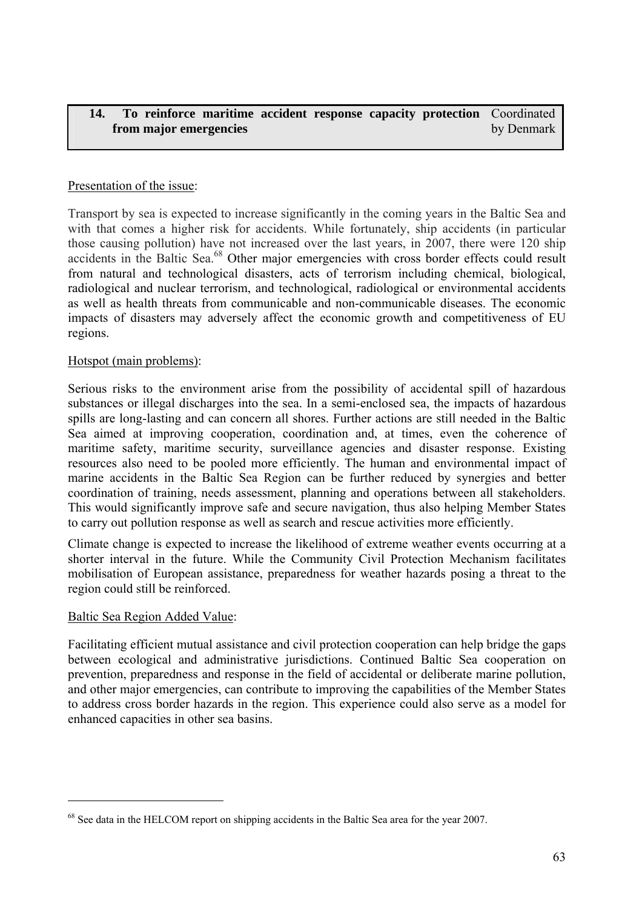#### <span id="page-62-0"></span>**14. To reinforce maritime accident response capacity protection**  Coordinated **from major emergencies**  by Denmark

# Presentation of the issue:

Transport by sea is expected to increase significantly in the coming years in the Baltic Sea and with that comes a higher risk for accidents. While fortunately, ship accidents (in particular those causing pollution) have not increased over the last years, in 2007, there were 120 ship accidents in the Baltic Sea.<sup>68</sup> Other major emergencies with cross border effects could result from natural and technological disasters, acts of terrorism including chemical, biological, radiological and nuclear terrorism, and technological, radiological or environmental accidents as well as health threats from communicable and non-communicable diseases. The economic impacts of disasters may adversely affect the economic growth and competitiveness of EU regions.

### Hotspot (main problems):

Serious risks to the environment arise from the possibility of accidental spill of hazardous substances or illegal discharges into the sea. In a semi-enclosed sea, the impacts of hazardous spills are long-lasting and can concern all shores. Further actions are still needed in the Baltic Sea aimed at improving cooperation, coordination and, at times, even the coherence of maritime safety, maritime security, surveillance agencies and disaster response. Existing resources also need to be pooled more efficiently. The human and environmental impact of marine accidents in the Baltic Sea Region can be further reduced by synergies and better coordination of training, needs assessment, planning and operations between all stakeholders. This would significantly improve safe and secure navigation, thus also helping Member States to carry out pollution response as well as search and rescue activities more efficiently.

Climate change is expected to increase the likelihood of extreme weather events occurring at a shorter interval in the future. While the Community Civil Protection Mechanism facilitates mobilisation of European assistance, preparedness for weather hazards posing a threat to the region could still be reinforced.

# Baltic Sea Region Added Value:

 $\overline{a}$ 

Facilitating efficient mutual assistance and civil protection cooperation can help bridge the gaps between ecological and administrative jurisdictions. Continued Baltic Sea cooperation on prevention, preparedness and response in the field of accidental or deliberate marine pollution, and other major emergencies, can contribute to improving the capabilities of the Member States to address cross border hazards in the region. This experience could also serve as a model for enhanced capacities in other sea basins.

<sup>&</sup>lt;sup>68</sup> See data in the HELCOM report on shipping accidents in the Baltic Sea area for the year 2007.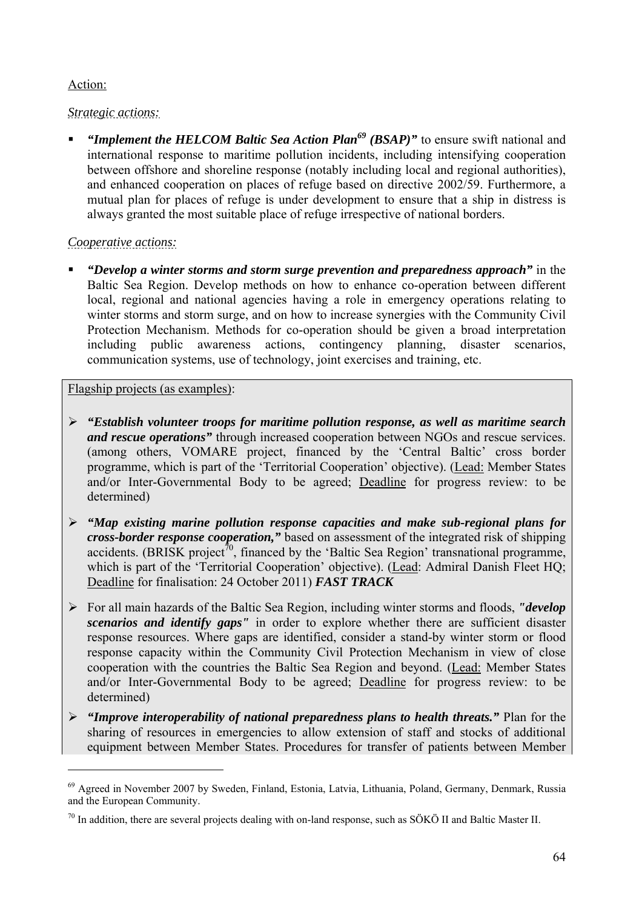# Action:

 $\overline{a}$ 

# *Strategic actions:*

 *"Implement the HELCOM Baltic Sea Action Plan69 (BSAP)"* to ensure swift national and international response to maritime pollution incidents, including intensifying cooperation between offshore and shoreline response (notably including local and regional authorities), and enhanced cooperation on places of refuge based on directive 2002/59. Furthermore, a mutual plan for places of refuge is under development to ensure that a ship in distress is always granted the most suitable place of refuge irrespective of national borders.

# *Cooperative actions:*

 *"Develop a winter storms and storm surge prevention and preparedness approach"* in the Baltic Sea Region. Develop methods on how to enhance co-operation between different local, regional and national agencies having a role in emergency operations relating to winter storms and storm surge, and on how to increase synergies with the Community Civil Protection Mechanism. Methods for co-operation should be given a broad interpretation including public awareness actions, contingency planning, disaster scenarios, communication systems, use of technology, joint exercises and training, etc.

# Flagship projects (as examples):

- ¾ *"Establish volunteer troops for maritime pollution response, as well as maritime search and rescue operations"* through increased cooperation between NGOs and rescue services. (among others, VOMARE project, financed by the 'Central Baltic' cross border programme, which is part of the 'Territorial Cooperation' objective). (Lead: Member States and/or Inter-Governmental Body to be agreed; Deadline for progress review: to be determined)
- ¾ *"Map existing marine pollution response capacities and make sub-regional plans for cross-border response cooperation,"* based on assessment of the integrated risk of shipping accidents. (BRISK project<sup>70</sup>, financed by the 'Baltic Sea Region' transnational programme, which is part of the 'Territorial Cooperation' objective). (Lead: Admiral Danish Fleet HQ; Deadline for finalisation: 24 October 2011) *FAST TRACK*
- ¾ For all main hazards of the Baltic Sea Region, including winter storms and floods, *"develop scenarios and identify gaps"* in order to explore whether there are sufficient disaster response resources. Where gaps are identified, consider a stand-by winter storm or flood response capacity within the Community Civil Protection Mechanism in view of close cooperation with the countries the Baltic Sea Region and beyond. (Lead: Member States and/or Inter-Governmental Body to be agreed; Deadline for progress review: to be determined)
- ¾ *"Improve interoperability of national preparedness plans to health threats."* Plan for the sharing of resources in emergencies to allow extension of staff and stocks of additional equipment between Member States. Procedures for transfer of patients between Member

<sup>69</sup> Agreed in November 2007 by Sweden, Finland, Estonia, Latvia, Lithuania, Poland, Germany, Denmark, Russia and the European Community.

 $70$  In addition, there are several projects dealing with on-land response, such as SÖKÖ II and Baltic Master II.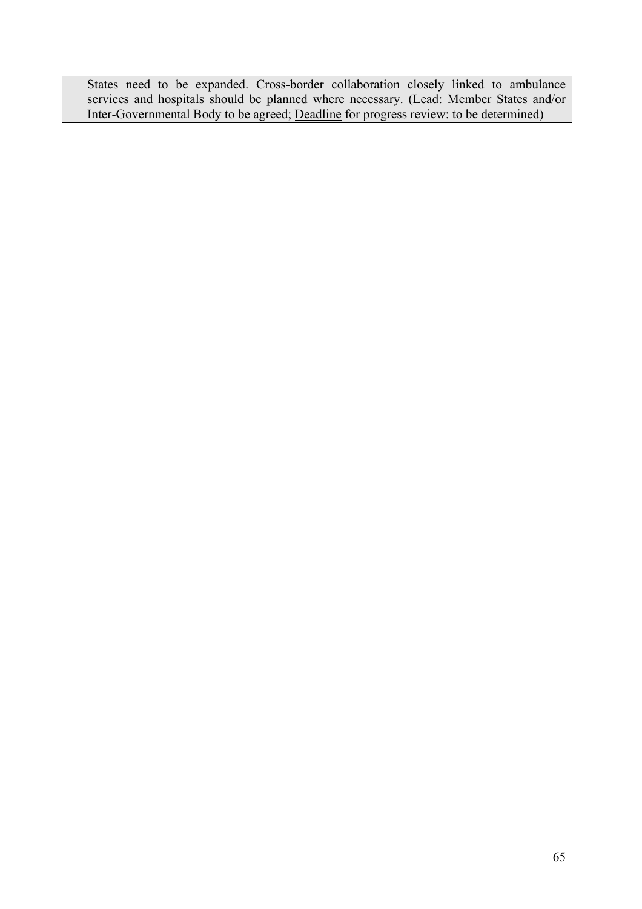States need to be expanded. Cross-border collaboration closely linked to ambulance services and hospitals should be planned where necessary. (Lead: Member States and/or Inter-Governmental Body to be agreed; Deadline for progress review: to be determined)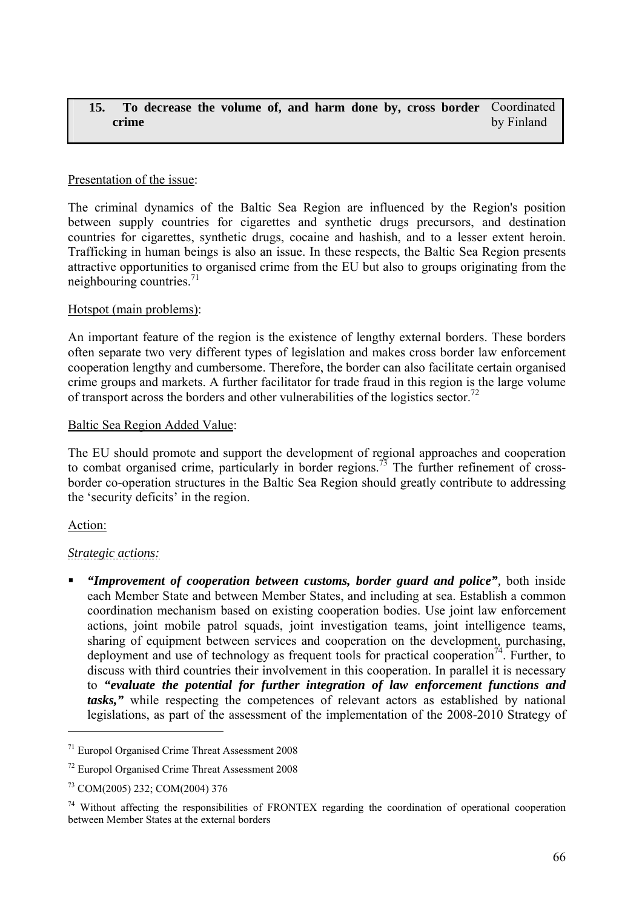#### <span id="page-65-0"></span>**15. To decrease the volume of, and harm done by, cross border**  Coordinated **crime**  by Finland

### Presentation of the issue:

The criminal dynamics of the Baltic Sea Region are influenced by the Region's position between supply countries for cigarettes and synthetic drugs precursors, and destination countries for cigarettes, synthetic drugs, cocaine and hashish, and to a lesser extent heroin. Trafficking in human beings is also an issue. In these respects, the Baltic Sea Region presents attractive opportunities to organised crime from the EU but also to groups originating from the neighbouring countries. $^{71}$ 

### Hotspot (main problems):

An important feature of the region is the existence of lengthy external borders. These borders often separate two very different types of legislation and makes cross border law enforcement cooperation lengthy and cumbersome. Therefore, the border can also facilitate certain organised crime groups and markets. A further facilitator for trade fraud in this region is the large volume of transport across the borders and other vulnerabilities of the logistics sector.72

### Baltic Sea Region Added Value:

The EU should promote and support the development of regional approaches and cooperation to combat organised crime, particularly in border regions.<sup>73</sup> The further refinement of crossborder co-operation structures in the Baltic Sea Region should greatly contribute to addressing the 'security deficits' in the region.

# Action:

 $\overline{a}$ 

# *Strategic actions:*

 *"Improvement of cooperation between customs, border guard and police",* both inside each Member State and between Member States, and including at sea. Establish a common coordination mechanism based on existing cooperation bodies. Use joint law enforcement actions, joint mobile patrol squads, joint investigation teams, joint intelligence teams, sharing of equipment between services and cooperation on the development, purchasing, deployment and use of technology as frequent tools for practical cooperation<sup>74</sup>. Further, to discuss with third countries their involvement in this cooperation. In parallel it is necessary to *"evaluate the potential for further integration of law enforcement functions and tasks,"* while respecting the competences of relevant actors as established by national legislations, as part of the assessment of the implementation of the 2008-2010 Strategy of

<sup>71</sup> Europol Organised Crime Threat Assessment 2008

<sup>72</sup> Europol Organised Crime Threat Assessment 2008

<sup>73</sup> COM(2005) 232; COM(2004) 376

<sup>&</sup>lt;sup>74</sup> Without affecting the responsibilities of FRONTEX regarding the coordination of operational cooperation between Member States at the external borders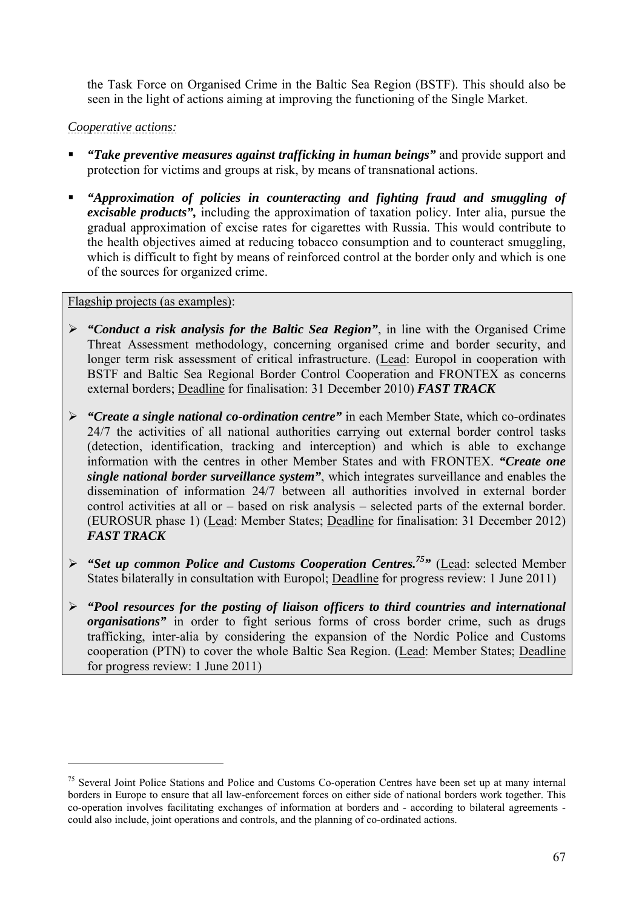the Task Force on Organised Crime in the Baltic Sea Region (BSTF). This should also be seen in the light of actions aiming at improving the functioning of the Single Market.

# *Cooperative actions:*

- *"Take preventive measures against trafficking in human beings"* and provide support and protection for victims and groups at risk, by means of transnational actions.
- *"Approximation of policies in counteracting and fighting fraud and smuggling of excisable products",* including the approximation of taxation policy. Inter alia, pursue the gradual approximation of excise rates for cigarettes with Russia. This would contribute to the health objectives aimed at reducing tobacco consumption and to counteract smuggling, which is difficult to fight by means of reinforced control at the border only and which is one of the sources for organized crime.

# Flagship projects (as examples):

- ¾ *"Conduct a risk analysis for the Baltic Sea Region"*, in line with the Organised Crime Threat Assessment methodology, concerning organised crime and border security, and longer term risk assessment of critical infrastructure. (Lead: Europol in cooperation with BSTF and Baltic Sea Regional Border Control Cooperation and FRONTEX as concerns external borders; Deadline for finalisation: 31 December 2010) *FAST TRACK*
- ¾ *"Create a single national co-ordination centre"* in each Member State, which co-ordinates 24/7 the activities of all national authorities carrying out external border control tasks (detection, identification, tracking and interception) and which is able to exchange information with the centres in other Member States and with FRONTEX. *"Create one single national border surveillance system"*, which integrates surveillance and enables the dissemination of information 24/7 between all authorities involved in external border control activities at all or – based on risk analysis – selected parts of the external border. (EUROSUR phase 1) (Lead: Member States; Deadline for finalisation: 31 December 2012) *FAST TRACK*
- ¾ *"Set up common Police and Customs Cooperation Centres.75"* (Lead: selected Member States bilaterally in consultation with Europol; Deadline for progress review: 1 June 2011)
- ¾ *"Pool resources for the posting of liaison officers to third countries and international organisations*" in order to fight serious forms of cross border crime, such as drugs trafficking, inter-alia by considering the expansion of the Nordic Police and Customs cooperation (PTN) to cover the whole Baltic Sea Region. (Lead: Member States; Deadline for progress review: 1 June 2011)

<sup>&</sup>lt;sup>75</sup> Several Joint Police Stations and Police and Customs Co-operation Centres have been set up at many internal borders in Europe to ensure that all law-enforcement forces on either side of national borders work together. This co-operation involves facilitating exchanges of information at borders and - according to bilateral agreements could also include, joint operations and controls, and the planning of co-ordinated actions.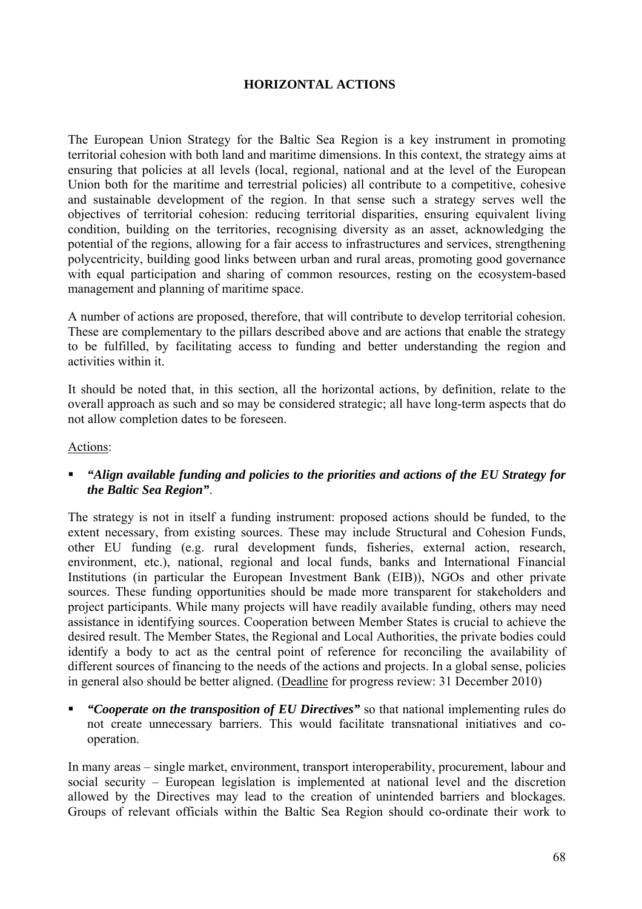# **HORIZONTAL ACTIONS**

<span id="page-67-0"></span>The European Union Strategy for the Baltic Sea Region is a key instrument in promoting territorial cohesion with both land and maritime dimensions. In this context, the strategy aims at ensuring that policies at all levels (local, regional, national and at the level of the European Union both for the maritime and terrestrial policies) all contribute to a competitive, cohesive and sustainable development of the region. In that sense such a strategy serves well the objectives of territorial cohesion: reducing territorial disparities, ensuring equivalent living condition, building on the territories, recognising diversity as an asset, acknowledging the potential of the regions, allowing for a fair access to infrastructures and services, strengthening polycentricity, building good links between urban and rural areas, promoting good governance with equal participation and sharing of common resources, resting on the ecosystem-based management and planning of maritime space.

A number of actions are proposed, therefore, that will contribute to develop territorial cohesion. These are complementary to the pillars described above and are actions that enable the strategy to be fulfilled, by facilitating access to funding and better understanding the region and activities within it.

It should be noted that, in this section, all the horizontal actions, by definition, relate to the overall approach as such and so may be considered strategic; all have long-term aspects that do not allow completion dates to be foreseen.

### Actions:

 *"Align available funding and policies to the priorities and actions of the EU Strategy for the Baltic Sea Region"*.

The strategy is not in itself a funding instrument: proposed actions should be funded, to the extent necessary, from existing sources. These may include Structural and Cohesion Funds, other EU funding (e.g. rural development funds, fisheries, external action, research, environment, etc.), national, regional and local funds, banks and International Financial Institutions (in particular the European Investment Bank (EIB)), NGOs and other private sources. These funding opportunities should be made more transparent for stakeholders and project participants. While many projects will have readily available funding, others may need assistance in identifying sources. Cooperation between Member States is crucial to achieve the desired result. The Member States, the Regional and Local Authorities, the private bodies could identify a body to act as the central point of reference for reconciling the availability of different sources of financing to the needs of the actions and projects. In a global sense, policies in general also should be better aligned. (Deadline for progress review: 31 December 2010)

 *"Cooperate on the transposition of EU Directives"* so that national implementing rules do not create unnecessary barriers. This would facilitate transnational initiatives and cooperation.

In many areas – single market, environment, transport interoperability, procurement, labour and social security – European legislation is implemented at national level and the discretion allowed by the Directives may lead to the creation of unintended barriers and blockages. Groups of relevant officials within the Baltic Sea Region should co-ordinate their work to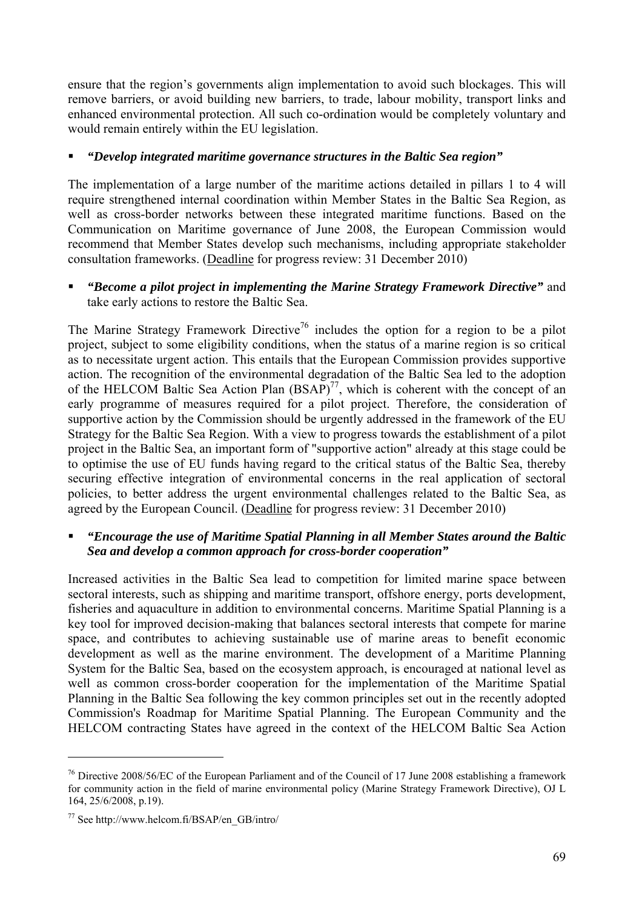ensure that the region's governments align implementation to avoid such blockages. This will remove barriers, or avoid building new barriers, to trade, labour mobility, transport links and enhanced environmental protection. All such co-ordination would be completely voluntary and would remain entirely within the EU legislation.

### *"Develop integrated maritime governance structures in the Baltic Sea region"*

The implementation of a large number of the maritime actions detailed in pillars 1 to 4 will require strengthened internal coordination within Member States in the Baltic Sea Region, as well as cross-border networks between these integrated maritime functions. Based on the Communication on Maritime governance of June 2008, the European Commission would recommend that Member States develop such mechanisms, including appropriate stakeholder consultation frameworks. (Deadline for progress review: 31 December 2010)

# *"Become a pilot project in implementing the Marine Strategy Framework Directive"* and take early actions to restore the Baltic Sea.

The Marine Strategy Framework Directive<sup>76</sup> includes the option for a region to be a pilot project, subject to some eligibility conditions, when the status of a marine region is so critical as to necessitate urgent action. This entails that the European Commission provides supportive action. The recognition of the environmental degradation of the Baltic Sea led to the adoption of the HELCOM Baltic Sea Action Plan  $(BSAP)^{77}$ , which is coherent with the concept of an early programme of measures required for a pilot project. Therefore, the consideration of supportive action by the Commission should be urgently addressed in the framework of the EU Strategy for the Baltic Sea Region. With a view to progress towards the establishment of a pilot project in the Baltic Sea, an important form of "supportive action" already at this stage could be to optimise the use of EU funds having regard to the critical status of the Baltic Sea, thereby securing effective integration of environmental concerns in the real application of sectoral policies, to better address the urgent environmental challenges related to the Baltic Sea, as agreed by the European Council. (Deadline for progress review: 31 December 2010)

# *"Encourage the use of Maritime Spatial Planning in all Member States around the Baltic Sea and develop a common approach for cross-border cooperation"*

Increased activities in the Baltic Sea lead to competition for limited marine space between sectoral interests, such as shipping and maritime transport, offshore energy, ports development, fisheries and aquaculture in addition to environmental concerns. Maritime Spatial Planning is a key tool for improved decision-making that balances sectoral interests that compete for marine space, and contributes to achieving sustainable use of marine areas to benefit economic development as well as the marine environment. The development of a Maritime Planning System for the Baltic Sea, based on the ecosystem approach, is encouraged at national level as well as common cross-border cooperation for the implementation of the Maritime Spatial Planning in the Baltic Sea following the key common principles set out in the recently adopted Commission's Roadmap for Maritime Spatial Planning. The European Community and the HELCOM contracting States have agreed in the context of the HELCOM Baltic Sea Action

<sup>&</sup>lt;sup>76</sup> Directive 2008/56/EC of the European Parliament and of the Council of 17 June 2008 establishing a framework for community action in the field of marine environmental policy (Marine Strategy Framework Directive), OJ L 164, 25/6/2008, p.19).

<sup>77</sup> See http://www.helcom.fi/BSAP/en\_GB/intro/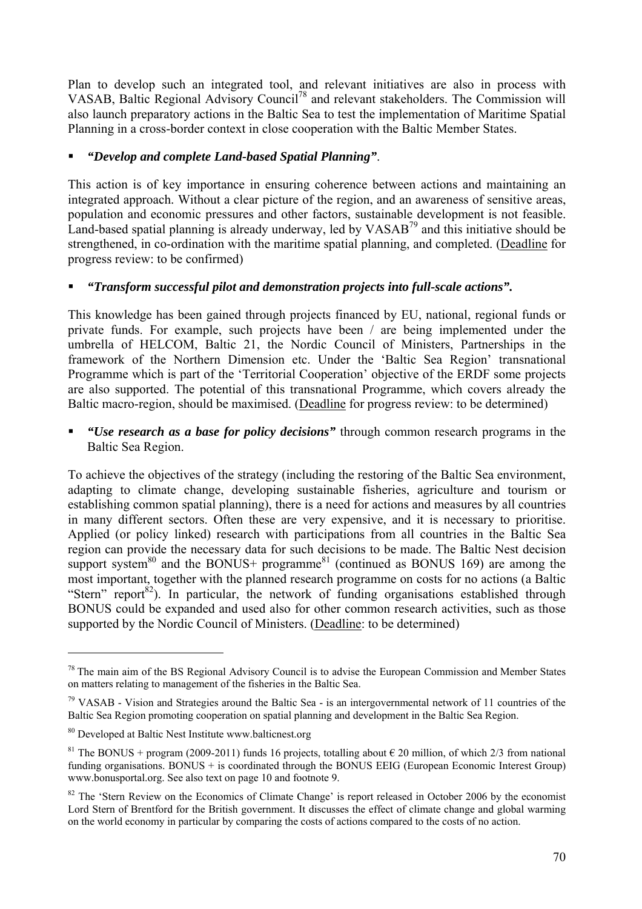Plan to develop such an integrated tool, and relevant initiatives are also in process with VASAB, Baltic Regional Advisory Council78 and relevant stakeholders. The Commission will also launch preparatory actions in the Baltic Sea to test the implementation of Maritime Spatial Planning in a cross-border context in close cooperation with the Baltic Member States.

# *"Develop and complete Land-based Spatial Planning"*.

This action is of key importance in ensuring coherence between actions and maintaining an integrated approach. Without a clear picture of the region, and an awareness of sensitive areas, population and economic pressures and other factors, sustainable development is not feasible. Land-based spatial planning is already underway, led by VASAB<sup>79</sup> and this initiative should be strengthened, in co-ordination with the maritime spatial planning, and completed. (Deadline for progress review: to be confirmed)

# *"Transform successful pilot and demonstration projects into full-scale actions".*

This knowledge has been gained through projects financed by EU, national, regional funds or private funds. For example, such projects have been / are being implemented under the umbrella of HELCOM, Baltic 21, the Nordic Council of Ministers, Partnerships in the framework of the Northern Dimension etc. Under the 'Baltic Sea Region' transnational Programme which is part of the 'Territorial Cooperation' objective of the ERDF some projects are also supported. The potential of this transnational Programme, which covers already the Baltic macro-region, should be maximised. (Deadline for progress review: to be determined)

 *"Use research as a base for policy decisions"* through common research programs in the Baltic Sea Region.

To achieve the objectives of the strategy (including the restoring of the Baltic Sea environment, adapting to climate change, developing sustainable fisheries, agriculture and tourism or establishing common spatial planning), there is a need for actions and measures by all countries in many different sectors. Often these are very expensive, and it is necessary to prioritise. Applied (or policy linked) research with participations from all countries in the Baltic Sea region can provide the necessary data for such decisions to be made. The Baltic Nest decision support system $80$  and the BONUS+ programme $81$  (continued as BONUS 169) are among the most important, together with the planned research programme on costs for no actions (a Baltic "Stern" report<sup>82</sup>). In particular, the network of funding organisations established through BONUS could be expanded and used also for other common research activities, such as those supported by the Nordic Council of Ministers. (Deadline: to be determined)

 $78$  The main aim of the BS Regional Advisory Council is to advise the European Commission and Member States on matters relating to management of the fisheries in the Baltic Sea.

 $79$  VASAB - Vision and Strategies around the Baltic Sea - is an intergovernmental network of 11 countries of the Baltic Sea Region promoting cooperation on spatial planning and development in the Baltic Sea Region.

<sup>80</sup> Developed at Baltic Nest Institute www.balticnest.org

<sup>&</sup>lt;sup>81</sup> The BONUS + program (2009-2011) funds 16 projects, totalling about  $\epsilon$  20 million, of which 2/3 from national funding organisations. BONUS + is coordinated through the BONUS EEIG (European Economic Interest Group) www.bonusportal.org. See also text on page 10 and footnote 9.

<sup>&</sup>lt;sup>82</sup> The 'Stern Review on the Economics of Climate Change' is report released in Octobe[r 2006](http://en.wikipedia.org/wiki/2006) by the economist Lord Stern of Brentford for the British government. It discusses the effect of climate change and global warming on the world economy in particular by comparing the costs of actions compared to the costs of no action.